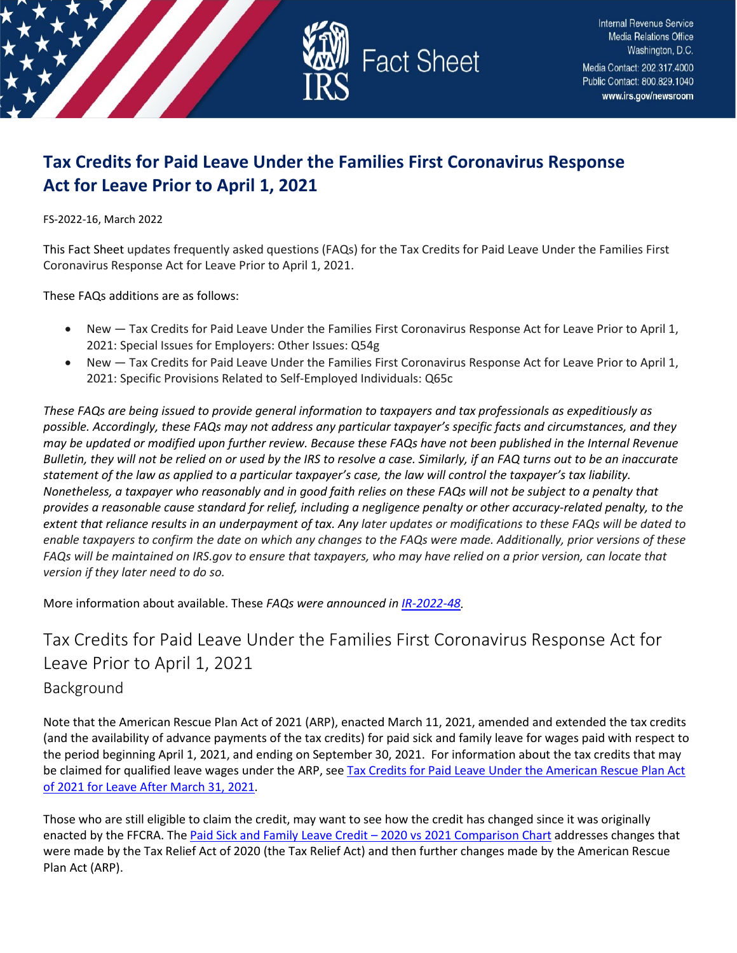

# **Tax Credits for Paid Leave Under the Families First Coronavirus Response Act for Leave Prior to April 1, 2021**

FS-2022-16, March 2022

This Fact Sheet updates frequently asked questions (FAQs) for the Tax Credits for Paid Leave Under the Families First Coronavirus Response Act for Leave Prior to April 1, 2021.

These FAQs additions are as follows:

- New Tax Credits for Paid Leave Under the Families First Coronavirus Response Act for Leave Prior to April 1, 2021: Special Issues for Employers: Other Issues: Q54g
- New Tax Credits for Paid Leave Under the Families First Coronavirus Response Act for Leave Prior to April 1, 2021: Specific Provisions Related to Self-Employed Individuals: Q65c

*These FAQs are being issued to provide general information to taxpayers and tax professionals as expeditiously as possible. Accordingly, these FAQs may not address any particular taxpayer's specific facts and circumstances, and they may be updated or modified upon further review. Because these FAQs have not been published in the Internal Revenue Bulletin, they will not be relied on or used by the IRS to resolve a case. Similarly, if an FAQ turns out to be an inaccurate statement of the law as applied to a particular taxpayer's case, the law will control the taxpayer's tax liability. Nonetheless, a taxpayer who reasonably and in good faith relies on these FAQs will not be subject to a penalty that provides a reasonable cause standard for relief, including a negligence penalty or other accuracy-related penalty, to the extent that reliance results in an underpayment of tax. Any later updates or modifications to these FAQs will be dated to enable taxpayers to confirm the date on which any changes to the FAQs were made. Additionally, prior versions of these FAQs will be maintained on IRS.gov to ensure that taxpayers, who may have relied on a prior version, can locate that version if they later need to do so.*

More information about available. These *FAQs were announced in [IR-2022-48.](https://www.irs.gov/newsroom/irs-updates-frequently-asked-questions-on-tax-credits-for-paid-leave-under-the-families-first-coronavirus-response-act-for-leave-prior-to-april-1-2021)* 

# Tax Credits for Paid Leave Under the Families First Coronavirus Response Act for Leave Prior to April 1, 2021 Background

Note that the American Rescue Plan Act of 2021 (ARP), enacted March 11, 2021, amended and extended the tax credits (and the availability of advance payments of the tax credits) for paid sick and family leave for wages paid with respect to the period beginning April 1, 2021, and ending on September 30, 2021. For information about the tax credits that may be claimed for qualified leave wages under the ARP, see Tax Credits for Paid Leave Under the American Rescue Plan Act

[of 2021 for Leave After March 31, 2021.](https://www.irs.gov/newsroom/tax-credits-for-paid-leave-under-the-american-rescue-plan-act-of-2021-for-leave-after-march-31-2021)

Those who are still eligible to claim the credit, may want to see how the credit has changed since it was originally enacted by the FFCRA. The [Paid Sick and Family Leave Credit – 2020 vs 2021 Comparison Chart](https://www.irs.gov/newsroom/paid-sick-and-family-leave-credit-2020-vs-2021-comparison-chart) addresses changes that were made by the Tax Relief Act of 2020 (the Tax Relief Act) and then further changes made by the American Rescue Plan Act (ARP).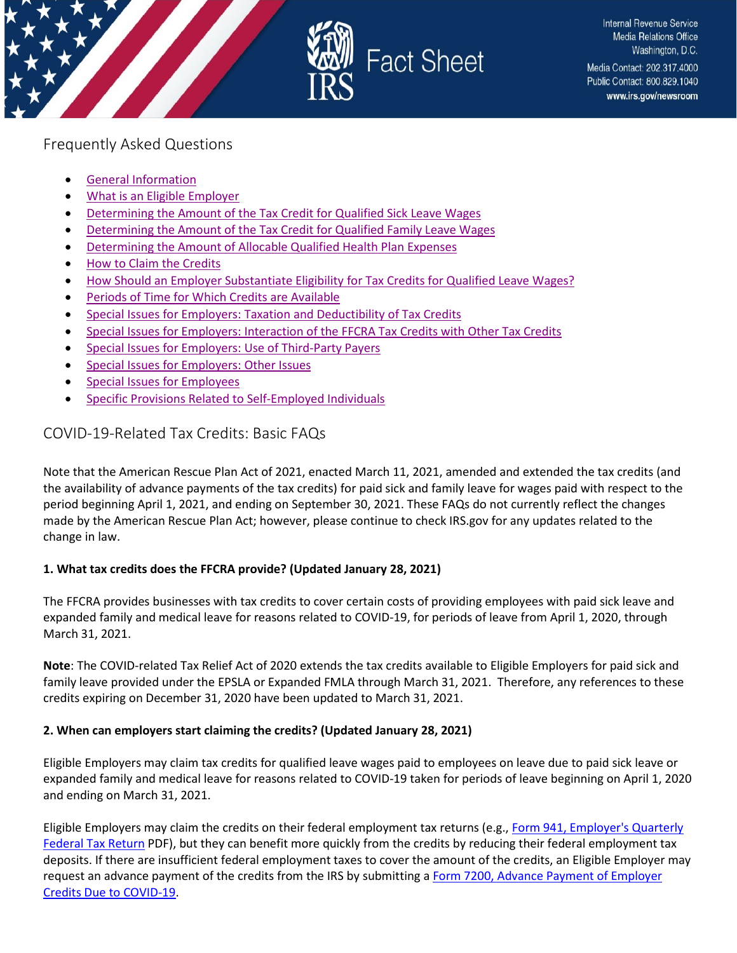

# Frequently Asked Questions

- [General Information](#page-1-0)
- [What is an Eligible Employer](#page-7-0)
- [Determining the Amount of the Tax Credit for Qualified Sick Leave Wages](#page-9-0)
- [Determining the Amount of the Tax Credit for Qualified Family Leave Wages](#page-12-0)
- [Determining the Amount of Allocable Qualified Health Plan Expenses](#page-14-0)
- [How to Claim the Credits](#page-15-0)
- [How Should an Employer Substantiate Eligibility for Tax Credits](#page-21-0) for Qualified Leave Wages?
- [Periods of Time for Which Credits are Available](#page-22-0)
- [Special Issues for Employers: Taxation and Deductibility of Tax Credits](#page-23-0)
- [Special Issues for Employers: Interaction of the FFCRA Tax Credits with Other Tax Credits](#page-25-0)
- Special Issues for [Employers: Use of Third-Party Payers](#page-25-1)
- [Special Issues for Employers: Other Issues](#page-29-0)
- [Special Issues for Employees](#page-33-0)
- [Specific Provisions Related to Self-Employed Individuals](#page-34-0)

# <span id="page-1-0"></span>COVID-19-Related Tax Credits: Basic FAQs

Note that the American Rescue Plan Act of 2021, enacted March 11, 2021, amended and extended the tax credits (and the availability of advance payments of the tax credits) for paid sick and family leave for wages paid with respect to the period beginning April 1, 2021, and ending on September 30, 2021. These FAQs do not currently reflect the changes made by the American Rescue Plan Act; however, please continue to check IRS.gov for any updates related to the change in law.

### **1. What tax credits does the FFCRA provide? (Updated January 28, 2021)**

The FFCRA provides businesses with tax credits to cover certain costs of providing employees with paid sick leave and expanded family and medical leave for reasons related to COVID-19, for periods of leave from April 1, 2020, through March 31, 2021.

**Note**: The COVID-related Tax Relief Act of 2020 extends the tax credits available to Eligible Employers for paid sick and family leave provided under the EPSLA or Expanded FMLA through March 31, 2021. Therefore, any references to these credits expiring on December 31, 2020 have been updated to March 31, 2021.

#### **2. When can employers start claiming the credits? (Updated January 28, 2021)**

Eligible Employers may claim tax credits for qualified leave wages paid to employees on leave due to paid sick leave or expanded family and medical leave for reasons related to COVID-19 taken for periods of leave beginning on April 1, 2020 and ending on March 31, 2021.

Eligible Employers may claim the credits on their federal employment tax returns (e.g., [Form 941, Employer's Quarterly](https://www.irs.gov/pub/irs-pdf/f941.pdf)  [Federal Tax Return](https://www.irs.gov/pub/irs-pdf/f941.pdf) PDF), but they can benefit more quickly from the credits by reducing their federal employment tax deposits. If there are insufficient federal employment taxes to cover the amount of the credits, an Eligible Employer may request an advance payment of the credits from the IRS by submitting a Form 7200, Advance Payment of Employer [Credits Due to COVID-19.](https://www.irs.gov/forms-pubs/about-form-7200)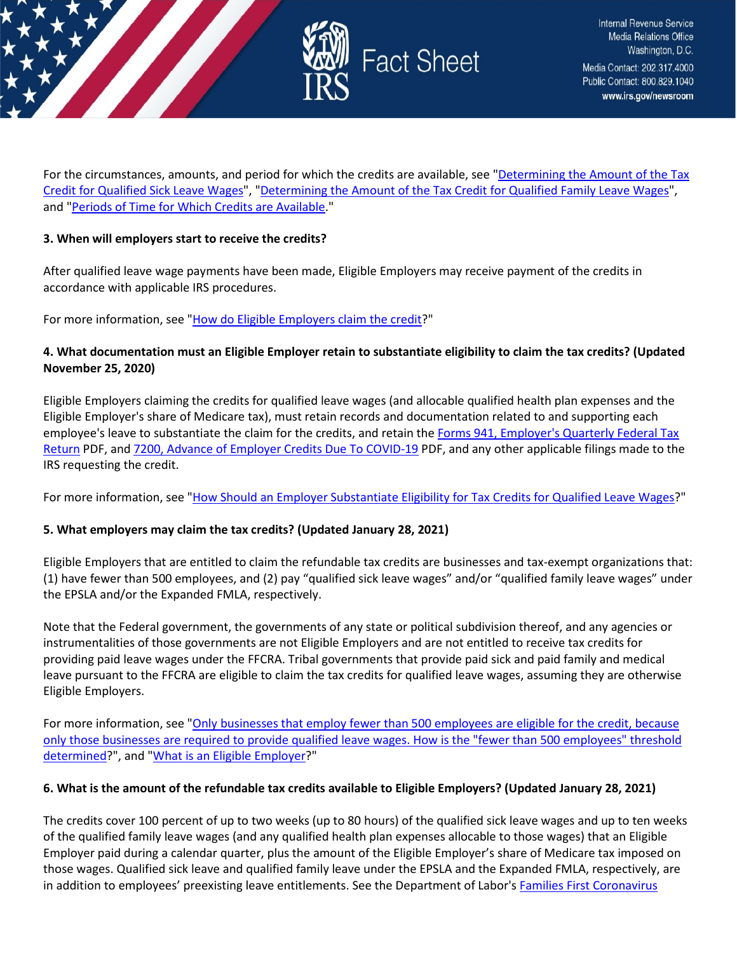

For the circumstances, amounts, and period for which the credits are available, see ["Determining the Amount of the Tax](https://www.irs.gov/newsroom/determining-the-amount-of-the-tax-credit-for-qualified-sick-leave-wages)  [Credit for Qualified Sick Leave Wages"](https://www.irs.gov/newsroom/determining-the-amount-of-the-tax-credit-for-qualified-sick-leave-wages), ["Determining the Amount of the Tax Credit for Qualified Family Leave Wages"](https://www.irs.gov/newsroom/determining-the-amount-of-the-tax-credit-for-qualified-family-leave-wages), and ["Periods of Time for Which Credits are Available.](https://www.irs.gov/newsroom/periods-of-time-for-which-credits-are-available)"

#### **3. When will employers start to receive the credits?**

After qualified leave wage payments have been made, Eligible Employers may receive payment of the credits in accordance with applicable IRS procedures.

For more information, see ["How do Eligible Employers claim the credit?](https://www.irs.gov/newsroom/covid-19-related-tax-credits-basic-faqs#how-do-eligible-employers-claim-credits)"

### **4. What documentation must an Eligible Employer retain to substantiate eligibility to claim the tax credits? (Updated November 25, 2020)**

Eligible Employers claiming the credits for qualified leave wages (and allocable qualified health plan expenses and the Eligible Employer's share of Medicare tax), must retain records and documentation related to and supporting each employee's leave to substantiate the claim for the credits, and retain th[e Forms 941, Employer's Quarterly Federal Tax](https://www.irs.gov/pub/irs-pdf/f941.pdf)  [Return](https://www.irs.gov/pub/irs-pdf/f941.pdf) PDF, and [7200, Advance of Employer Credits Due To COVID-19](https://www.irs.gov/pub/irs-pdf/f7200.pdf) PDF, and any other applicable filings made to the IRS requesting the credit.

For more information, see ["How Should an Employer Substantiate Eligibility for Tax Credits for Qualified Leave Wages?](https://www.irs.gov/newsroom/how-should-an-employer-substantiate-eligibility-for-tax-credits-for-qualified-leave-wages)"

### **5. What employers may claim the tax credits? (Updated January 28, 2021)**

Eligible Employers that are entitled to claim the refundable tax credits are businesses and tax-exempt organizations that: (1) have fewer than 500 employees, and (2) pay "qualified sick leave wages" and/or "qualified family leave wages" under the EPSLA and/or the Expanded FMLA, respectively.

Note that the Federal government, the governments of any state or political subdivision thereof, and any agencies or instrumentalities of those governments are not Eligible Employers and are not entitled to receive tax credits for providing paid leave wages under the FFCRA. Tribal governments that provide paid sick and paid family and medical leave pursuant to the FFCRA are eligible to claim the tax credits for qualified leave wages, assuming they are otherwise Eligible Employers.

For more information, see ["Only businesses that employ fewer than 500 employees are eligible for the](https://www.irs.gov/newsroom/covid-19-related-tax-credits-basic-faqs#16) credit, because [only those businesses are required to provide qualified leave wages. How is the "fewer than 500 employees" threshold](https://www.irs.gov/newsroom/covid-19-related-tax-credits-basic-faqs#16)  [determined?](https://www.irs.gov/newsroom/covid-19-related-tax-credits-basic-faqs#16)", and ["What is an Eligible Employer?](https://www.irs.gov/newsroom/covid-19-related-tax-credits-what-is-an-eligible-employer-faqs)"

### **6. What is the amount of the refundable tax credits available to Eligible Employers? (Updated January 28, 2021)**

The credits cover 100 percent of up to two weeks (up to 80 hours) of the qualified sick leave wages and up to ten weeks of the qualified family leave wages (and any qualified health plan expenses allocable to those wages) that an Eligible Employer paid during a calendar quarter, plus the amount of the Eligible Employer's share of Medicare tax imposed on those wages. Qualified sick leave and qualified family leave under the EPSLA and the Expanded FMLA, respectively, are in addition to employees' preexisting leave entitlements. See the Department of Labor's Families First Coronavirus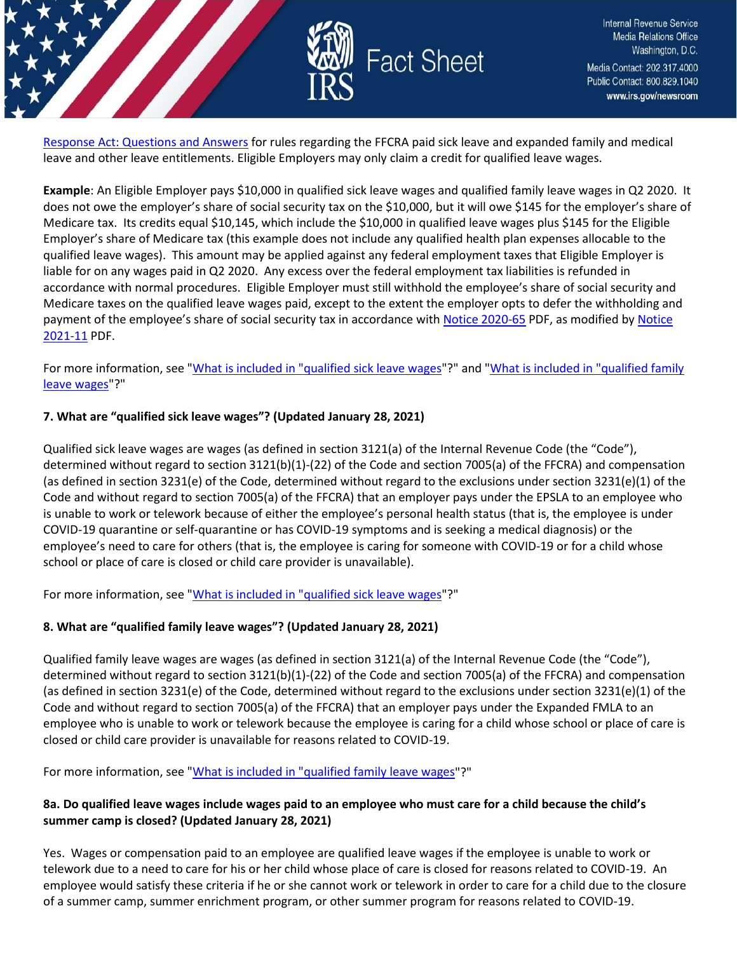

[Response Act: Questions and Answers](https://www.dol.gov/agencies/whd/pandemic/ffcra-questions) for rules regarding the FFCRA paid sick leave and expanded family and medical leave and other leave entitlements. Eligible Employers may only claim a credit for qualified leave wages.

**Example**: An Eligible Employer pays \$10,000 in qualified sick leave wages and qualified family leave wages in Q2 2020. It does not owe the employer's share of social security tax on the \$10,000, but it will owe \$145 for the employer's share of Medicare tax. Its credits equal \$10,145, which include the \$10,000 in qualified leave wages plus \$145 for the Eligible Employer's share of Medicare tax (this example does not include any qualified health plan expenses allocable to the qualified leave wages). This amount may be applied against any federal employment taxes that Eligible Employer is liable for on any wages paid in Q2 2020. Any excess over the federal employment tax liabilities is refunded in accordance with normal procedures. Eligible Employer must still withhold the employee's share of social security and Medicare taxes on the qualified leave wages paid, except to the extent the employer opts to defer the withholding and payment of the employee's share of social security tax in accordance with [Notice 2020-65](https://www.irs.gov/pub/irs-drop/n-20-65.pdf) PDF, as modified by [Notice](https://www.irs.gov/pub/irs-drop/n-21-11.pdf)  [2021-11](https://www.irs.gov/pub/irs-drop/n-21-11.pdf) PDF.

For more information, see ["What is included in "qualified sick leave wages"](https://www.irs.gov/node/77996#what-included-in-qualified-sick-leave-wages)?" and "What is included in "qualified family [leave wages"](https://www.irs.gov/newsroom/determining-the-amount-of-the-tax-credit-for-qualified-family-leave-wages#what-included-in-qualified-family-leave-wages)?"

### **7. What are "qualified sick leave wages"? (Updated January 28, 2021)**

Qualified sick leave wages are wages (as defined in section 3121(a) of the Internal Revenue Code (the "Code"), determined without regard to section 3121(b)(1)-(22) of the Code and section 7005(a) of the FFCRA) and compensation (as defined in section 3231(e) of the Code, determined without regard to the exclusions under section 3231(e)(1) of the Code and without regard to section 7005(a) of the FFCRA) that an employer pays under the EPSLA to an employee who is unable to work or telework because of either the employee's personal health status (that is, the employee is under COVID-19 quarantine or self-quarantine or has COVID-19 symptoms and is seeking a medical diagnosis) or the employee's need to care for others (that is, the employee is caring for someone with COVID-19 or for a child whose school or place of care is closed or child care provider is unavailable).

For more information, see ["What is included in "qualified sick leave wages"](https://www.irs.gov/newsroom/determining-the-amount-of-the-tax-credit-for-qualified-family-leave-wages#what-included-in-qualified-sick-leave-wages)?"

### **8. What are "qualified family leave wages"? (Updated January 28, 2021)**

Qualified family leave wages are wages (as defined in section 3121(a) of the Internal Revenue Code (the "Code"), determined without regard to section 3121(b)(1)-(22) of the Code and section 7005(a) of the FFCRA) and compensation (as defined in section 3231(e) of the Code, determined without regard to the exclusions under section 3231(e)(1) of the Code and without regard to section 7005(a) of the FFCRA) that an employer pays under the Expanded FMLA to an employee who is unable to work or telework because the employee is caring for a child whose school or place of care is closed or child care provider is unavailable for reasons related to COVID-19.

For more information, see ["What is included in "qualified family leave wages"](https://www.irs.gov/newsroom/determining-the-amount-of-the-tax-credit-for-qualified-family-leave-wages#what-included-in-qualified-family-leave-wages)?"

# **8a. Do qualified leave wages include wages paid to an employee who must care for a child because the child's summer camp is closed? (Updated January 28, 2021)**

Yes. Wages or compensation paid to an employee are qualified leave wages if the employee is unable to work or telework due to a need to care for his or her child whose place of care is closed for reasons related to COVID-19. An employee would satisfy these criteria if he or she cannot work or telework in order to care for a child due to the closure of a summer camp, summer enrichment program, or other summer program for reasons related to COVID-19.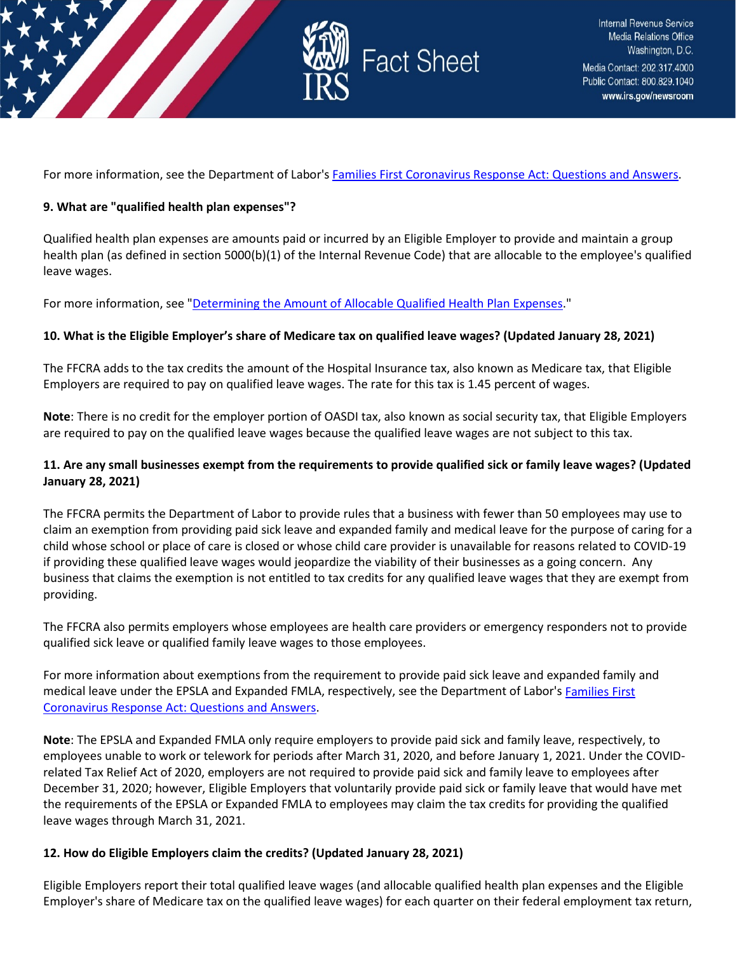

For more information, see the Department of Labor's [Families First Coronavirus Response Act: Questions and Answers.](https://www.dol.gov/agencies/whd/pandemic/ffcra-questions)

#### **9. What are "qualified health plan expenses"?**

Qualified health plan expenses are amounts paid or incurred by an Eligible Employer to provide and maintain a group health plan (as defined in section 5000(b)(1) of the Internal Revenue Code) that are allocable to the employee's qualified leave wages.

For more information, see ["Determining the Amount of Allocable Qualified Health Plan Expenses.](https://www.irs.gov/newsroom/covid-19-related-employee-retention-credits-amount-of-allocable-qualified-health-plan-expenses-faqs#determining-amount-allocable-qualified-health-plan-expenses)"

#### **10. What is the Eligible Employer's share of Medicare tax on qualified leave wages? (Updated January 28, 2021)**

The FFCRA adds to the tax credits the amount of the Hospital Insurance tax, also known as Medicare tax, that Eligible Employers are required to pay on qualified leave wages. The rate for this tax is 1.45 percent of wages.

**Note**: There is no credit for the employer portion of OASDI tax, also known as social security tax, that Eligible Employers are required to pay on the qualified leave wages because the qualified leave wages are not subject to this tax.

### **11. Are any small businesses exempt from the requirements to provide qualified sick or family leave wages? (Updated January 28, 2021)**

The FFCRA permits the Department of Labor to provide rules that a business with fewer than 50 employees may use to claim an exemption from providing paid sick leave and expanded family and medical leave for the purpose of caring for a child whose school or place of care is closed or whose child care provider is unavailable for reasons related to COVID-19 if providing these qualified leave wages would jeopardize the viability of their businesses as a going concern. Any business that claims the exemption is not entitled to tax credits for any qualified leave wages that they are exempt from providing.

The FFCRA also permits employers whose employees are health care providers or emergency responders not to provide qualified sick leave or qualified family leave wages to those employees.

For more information about exemptions from the requirement to provide paid sick leave and expanded family and medical leave under the EPSLA and Expanded FMLA, respectively, see the Department of Labor'[s Families First](https://www.dol.gov/agencies/whd/pandemic/ffcra-questions)  [Coronavirus Response Act: Questions and Answers.](https://www.dol.gov/agencies/whd/pandemic/ffcra-questions)

**Note**: The EPSLA and Expanded FMLA only require employers to provide paid sick and family leave, respectively, to employees unable to work or telework for periods after March 31, 2020, and before January 1, 2021. Under the COVIDrelated Tax Relief Act of 2020, employers are not required to provide paid sick and family leave to employees after December 31, 2020; however, Eligible Employers that voluntarily provide paid sick or family leave that would have met the requirements of the EPSLA or Expanded FMLA to employees may claim the tax credits for providing the qualified leave wages through March 31, 2021.

### **12. How do Eligible Employers claim the credits? (Updated January 28, 2021)**

Eligible Employers report their total qualified leave wages (and allocable qualified health plan expenses and the Eligible Employer's share of Medicare tax on the qualified leave wages) for each quarter on their federal employment tax return,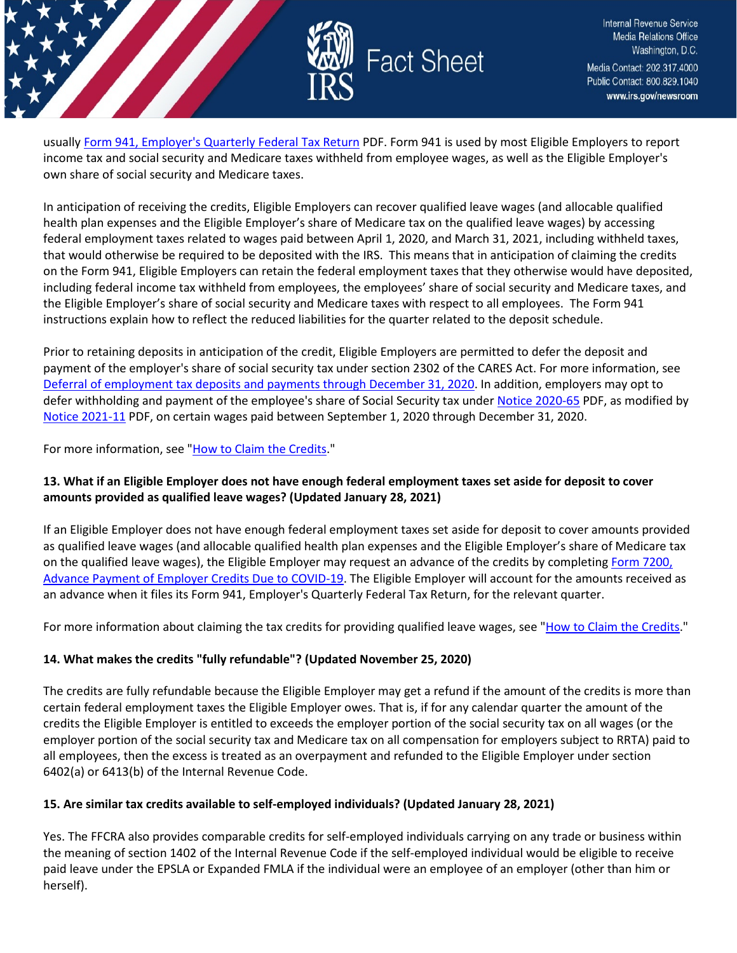

usuall[y Form 941, Employer's Quarterly Federal Tax Return](https://www.irs.gov/pub/irs-pdf/f941.pdf) PDF. Form 941 is used by most Eligible Employers to report income tax and social security and Medicare taxes withheld from employee wages, as well as the Eligible Employer's own share of social security and Medicare taxes.

In anticipation of receiving the credits, Eligible Employers can recover qualified leave wages (and allocable qualified health plan expenses and the Eligible Employer's share of Medicare tax on the qualified leave wages) by accessing federal employment taxes related to wages paid between April 1, 2020, and March 31, 2021, including withheld taxes, that would otherwise be required to be deposited with the IRS. This means that in anticipation of claiming the credits on the Form 941, Eligible Employers can retain the federal employment taxes that they otherwise would have deposited, including federal income tax withheld from employees, the employees' share of social security and Medicare taxes, and the Eligible Employer's share of social security and Medicare taxes with respect to all employees. The Form 941 instructions explain how to reflect the reduced liabilities for the quarter related to the deposit schedule.

Prior to retaining deposits in anticipation of the credit, Eligible Employers are permitted to defer the deposit and payment of the employer's share of social security tax under section 2302 of the CARES Act. For more information, see [Deferral of employment tax deposits and payments through December 31, 2020.](https://www.irs.gov/newsroom/deferral-of-employment-tax-deposits-and-payments-through-december-31-2020) In addition, employers may opt to defer withholding and payment of the employee's share of Social Security tax under [Notice 2020-65](https://www.irs.gov/pub/irs-drop/n-20-65.pdf) PDF, as modified by [Notice 2021-11](https://www.irs.gov/pub/irs-drop/n-21-11.pdf) PDF, on certain wages paid between September 1, 2020 through December 31, 2020.

For more information, see ["How to Claim the Credits.](https://www.irs.gov/newsroom/how-to-claim-the-credits)"

# **13. What if an Eligible Employer does not have enough federal employment taxes set aside for deposit to cover amounts provided as qualified leave wages? (Updated January 28, 2021)**

If an Eligible Employer does not have enough federal employment taxes set aside for deposit to cover amounts provided as qualified leave wages (and allocable qualified health plan expenses and the Eligible Employer's share of Medicare tax on the qualified leave wages), the Eligible Employer may request an advance of the credits by completing Form 7200, [Advance Payment of Employer Credits Due to COVID-19.](https://www.irs.gov/forms-pubs/about-form-7200) The Eligible Employer will account for the amounts received as an advance when it files its Form 941, Employer's Quarterly Federal Tax Return, for the relevant quarter.

For more information about claiming the tax credits for providing qualified leave wages, see ["How to Claim the Credits.](https://www.irs.gov/newsroom/how-to-claim-the-credits)"

### **14. What makes the credits "fully refundable"? (Updated November 25, 2020)**

The credits are fully refundable because the Eligible Employer may get a refund if the amount of the credits is more than certain federal employment taxes the Eligible Employer owes. That is, if for any calendar quarter the amount of the credits the Eligible Employer is entitled to exceeds the employer portion of the social security tax on all wages (or the employer portion of the social security tax and Medicare tax on all compensation for employers subject to RRTA) paid to all employees, then the excess is treated as an overpayment and refunded to the Eligible Employer under section 6402(a) or 6413(b) of the Internal Revenue Code.

### **15. Are similar tax credits available to self-employed individuals? (Updated January 28, 2021)**

Yes. The FFCRA also provides comparable credits for self-employed individuals carrying on any trade or business within the meaning of section 1402 of the Internal Revenue Code if the self-employed individual would be eligible to receive paid leave under the EPSLA or Expanded FMLA if the individual were an employee of an employer (other than him or herself).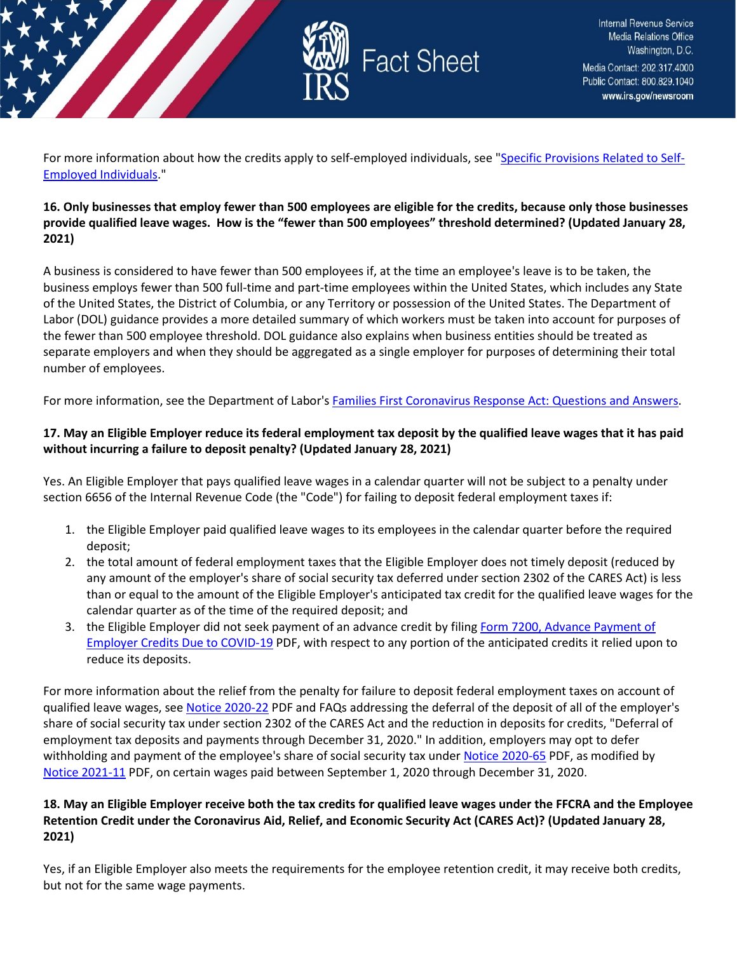

For more information about how the credits apply to self-employed individuals, see ["Specific Provisions Related to Self-](https://www.irs.gov/newsroom/special-issues-for-employees#specific-provisions-related-self-employed-individuals)[Employed Individuals.](https://www.irs.gov/newsroom/special-issues-for-employees#specific-provisions-related-self-employed-individuals)"

# **16. Only businesses that employ fewer than 500 employees are eligible for the credits, because only those businesses provide qualified leave wages. How is the "fewer than 500 employees" threshold determined? (Updated January 28, 2021)**

A business is considered to have fewer than 500 employees if, at the time an employee's leave is to be taken, the business employs fewer than 500 full-time and part-time employees within the United States, which includes any State of the United States, the District of Columbia, or any Territory or possession of the United States. The Department of Labor (DOL) guidance provides a more detailed summary of which workers must be taken into account for purposes of the fewer than 500 employee threshold. DOL guidance also explains when business entities should be treated as separate employers and when they should be aggregated as a single employer for purposes of determining their total number of employees.

For more information, see the Department of Labor's **Families First Coronavirus Response Act: Questions and Answers.** 

# **17. May an Eligible Employer reduce its federal employment tax deposit by the qualified leave wages that it has paid without incurring a failure to deposit penalty? (Updated January 28, 2021)**

Yes. An Eligible Employer that pays qualified leave wages in a calendar quarter will not be subject to a penalty under section 6656 of the Internal Revenue Code (the "Code") for failing to deposit federal employment taxes if:

- 1. the Eligible Employer paid qualified leave wages to its employees in the calendar quarter before the required deposit;
- 2. the total amount of federal employment taxes that the Eligible Employer does not timely deposit (reduced by any amount of the employer's share of social security tax deferred under section 2302 of the CARES Act) is less than or equal to the amount of the Eligible Employer's anticipated tax credit for the qualified leave wages for the calendar quarter as of the time of the required deposit; and
- 3. the Eligible Employer did not seek payment of an advance credit by filing [Form 7200, Advance Payment of](https://www.irs.gov/pub/irs-pdf/f7200.pdf)  [Employer Credits Due to COVID-19](https://www.irs.gov/pub/irs-pdf/f7200.pdf) PDF, with respect to any portion of the anticipated credits it relied upon to reduce its deposits.

For more information about the relief from the penalty for failure to deposit federal employment taxes on account of qualified leave wages, se[e Notice 2020-22](https://www.irs.gov/pub/irs-drop/n-20-22.pdf) PDF and FAQs addressing the deferral of the deposit of all of the employer's share of social security tax under section 2302 of the CARES Act and the reduction in deposits for credits, "Deferral of employment tax deposits and payments through December 31, 2020." In addition, employers may opt to defer withholding and payment of the employee's share of social security tax under [Notice 2020-65](https://www.irs.gov/pub/irs-drop/n-20-65.pdf) PDF, as modified by [Notice 2021-11](https://www.irs.gov/pub/irs-drop/n-21-11.pdf) PDF, on certain wages paid between September 1, 2020 through December 31, 2020.

# **18. May an Eligible Employer receive both the tax credits for qualified leave wages under the FFCRA and the Employee Retention Credit under the Coronavirus Aid, Relief, and Economic Security Act (CARES Act)? (Updated January 28, 2021)**

Yes, if an Eligible Employer also meets the requirements for the employee retention credit, it may receive both credits, but not for the same wage payments.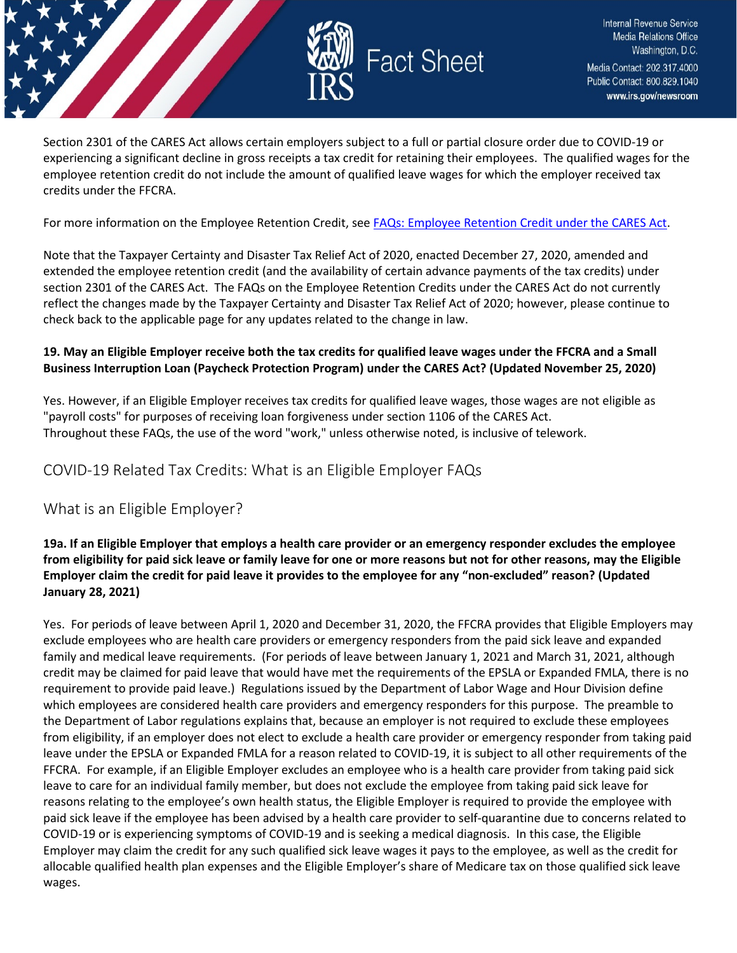

Section 2301 of the CARES Act allows certain employers subject to a full or partial closure order due to COVID-19 or experiencing a significant decline in gross receipts a tax credit for retaining their employees. The qualified wages for the employee retention credit do not include the amount of qualified leave wages for which the employer received tax credits under the FFCRA.

For more information on the Employee Retention Credit, see [FAQs: Employee Retention Credit under the CARES Act.](https://www.irs.gov/newsroom/faqs-employee-retention-credit-under-the-cares-act)

Note that the Taxpayer Certainty and Disaster Tax Relief Act of 2020, enacted December 27, 2020, amended and extended the employee retention credit (and the availability of certain advance payments of the tax credits) under section 2301 of the CARES Act. The FAQs on the Employee Retention Credits under the CARES Act do not currently reflect the changes made by the Taxpayer Certainty and Disaster Tax Relief Act of 2020; however, please continue to check back to the applicable page for any updates related to the change in law.

### **19. May an Eligible Employer receive both the tax credits for qualified leave wages under the FFCRA and a Small Business Interruption Loan (Paycheck Protection Program) under the CARES Act? (Updated November 25, 2020)**

Yes. However, if an Eligible Employer receives tax credits for qualified leave wages, those wages are not eligible as "payroll costs" for purposes of receiving loan forgiveness under section 1106 of the CARES Act. Throughout these FAQs, the use of the word "work," unless otherwise noted, is inclusive of telework.

# <span id="page-7-0"></span>COVID-19 Related Tax Credits: What is an Eligible Employer FAQs

# What is an Eligible Employer?

# **19a. If an Eligible Employer that employs a health care provider or an emergency responder excludes the employee from eligibility for paid sick leave or family leave for one or more reasons but not for other reasons, may the Eligible Employer claim the credit for paid leave it provides to the employee for any "non-excluded" reason? (Updated January 28, 2021)**

Yes. For periods of leave between April 1, 2020 and December 31, 2020, the FFCRA provides that Eligible Employers may exclude employees who are health care providers or emergency responders from the paid sick leave and expanded family and medical leave requirements. (For periods of leave between January 1, 2021 and March 31, 2021, although credit may be claimed for paid leave that would have met the requirements of the EPSLA or Expanded FMLA, there is no requirement to provide paid leave.) Regulations issued by the Department of Labor Wage and Hour Division define which employees are considered health care providers and emergency responders for this purpose. The preamble to the Department of Labor regulations explains that, because an employer is not required to exclude these employees from eligibility, if an employer does not elect to exclude a health care provider or emergency responder from taking paid leave under the EPSLA or Expanded FMLA for a reason related to COVID-19, it is subject to all other requirements of the FFCRA. For example, if an Eligible Employer excludes an employee who is a health care provider from taking paid sick leave to care for an individual family member, but does not exclude the employee from taking paid sick leave for reasons relating to the employee's own health status, the Eligible Employer is required to provide the employee with paid sick leave if the employee has been advised by a health care provider to self-quarantine due to concerns related to COVID-19 or is experiencing symptoms of COVID-19 and is seeking a medical diagnosis. In this case, the Eligible Employer may claim the credit for any such qualified sick leave wages it pays to the employee, as well as the credit for allocable qualified health plan expenses and the Eligible Employer's share of Medicare tax on those qualified sick leave wages.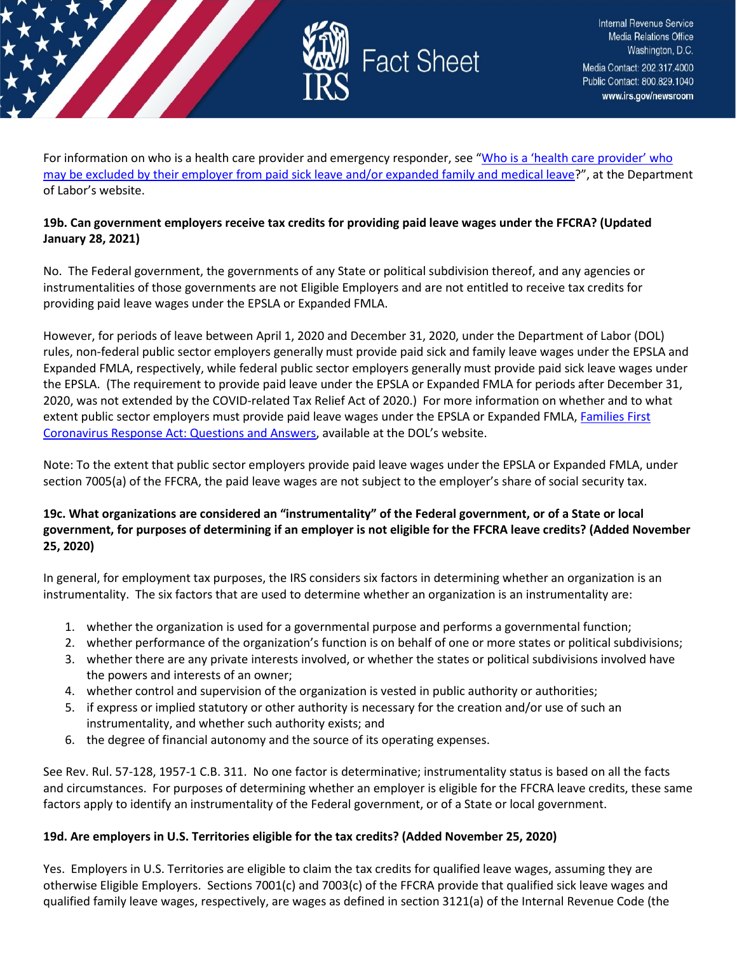

For information on who is a health care provider and emergency responder, see "Who is a 'health care provider' who [may be excluded by their employer from paid sick leave and/or expanded family and medical leave?](https://www.dol.gov/agencies/whd/pandemic/ffcra-questions)", at the Department of Labor's website.

# **19b. Can government employers receive tax credits for providing paid leave wages under the FFCRA? (Updated January 28, 2021)**

No. The Federal government, the governments of any State or political subdivision thereof, and any agencies or instrumentalities of those governments are not Eligible Employers and are not entitled to receive tax credits for providing paid leave wages under the EPSLA or Expanded FMLA.

However, for periods of leave between April 1, 2020 and December 31, 2020, under the Department of Labor (DOL) rules, non-federal public sector employers generally must provide paid sick and family leave wages under the EPSLA and Expanded FMLA, respectively, while federal public sector employers generally must provide paid sick leave wages under the EPSLA. (The requirement to provide paid leave under the EPSLA or Expanded FMLA for periods after December 31, 2020, was not extended by the COVID-related Tax Relief Act of 2020.) For more information on whether and to what extent public sector employers must provide paid leave wages under the EPSLA or Expanded FMLA, Families First [Coronavirus Response Act: Questions and Answers,](https://www.dol.gov/agencies/whd/pandemic/ffcra-questions) available at the DOL's website.

Note: To the extent that public sector employers provide paid leave wages under the EPSLA or Expanded FMLA, under section 7005(a) of the FFCRA, the paid leave wages are not subject to the employer's share of social security tax.

# **19c. What organizations are considered an "instrumentality" of the Federal government, or of a State or local government, for purposes of determining if an employer is not eligible for the FFCRA leave credits? (Added November 25, 2020)**

In general, for employment tax purposes, the IRS considers six factors in determining whether an organization is an instrumentality. The six factors that are used to determine whether an organization is an instrumentality are:

- 1. whether the organization is used for a governmental purpose and performs a governmental function;
- 2. whether performance of the organization's function is on behalf of one or more states or political subdivisions;
- 3. whether there are any private interests involved, or whether the states or political subdivisions involved have the powers and interests of an owner;
- 4. whether control and supervision of the organization is vested in public authority or authorities;
- 5. if express or implied statutory or other authority is necessary for the creation and/or use of such an instrumentality, and whether such authority exists; and
- 6. the degree of financial autonomy and the source of its operating expenses.

See Rev. Rul. 57-128, 1957-1 C.B. 311. No one factor is determinative; instrumentality status is based on all the facts and circumstances. For purposes of determining whether an employer is eligible for the FFCRA leave credits, these same factors apply to identify an instrumentality of the Federal government, or of a State or local government.

### **19d. Are employers in U.S. Territories eligible for the tax credits? (Added November 25, 2020)**

Yes. Employers in U.S. Territories are eligible to claim the tax credits for qualified leave wages, assuming they are otherwise Eligible Employers. Sections 7001(c) and 7003(c) of the FFCRA provide that qualified sick leave wages and qualified family leave wages, respectively, are wages as defined in section 3121(a) of the Internal Revenue Code (the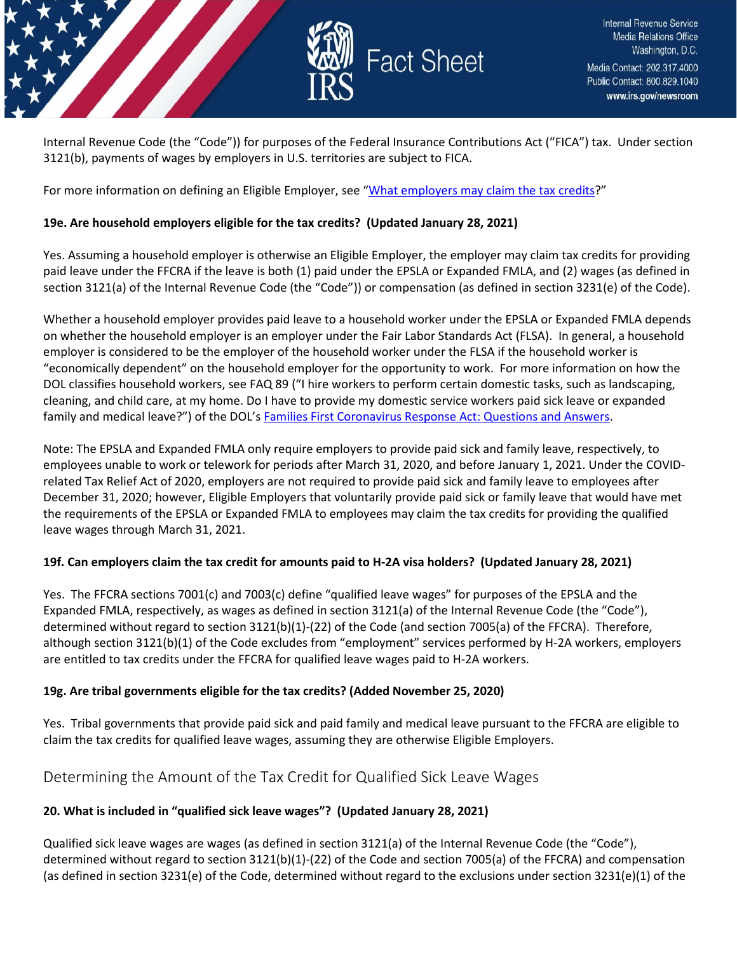

Internal Revenue Code (the "Code")) for purposes of the Federal Insurance Contributions Act ("FICA") tax. Under section 3121(b), payments of wages by employers in U.S. territories are subject to FICA.

For more information on defining an Eligible Employer, see ["What employers may claim the tax credits?](https://www.irs.gov/newsroom/covid-19-related-tax-credits-basic-faqs#what-employers-may-claim-tax-credits)"

### **19e. Are household employers eligible for the tax credits? (Updated January 28, 2021)**

Yes. Assuming a household employer is otherwise an Eligible Employer, the employer may claim tax credits for providing paid leave under the FFCRA if the leave is both (1) paid under the EPSLA or Expanded FMLA, and (2) wages (as defined in section 3121(a) of the Internal Revenue Code (the "Code")) or compensation (as defined in section 3231(e) of the Code).

Whether a household employer provides paid leave to a household worker under the EPSLA or Expanded FMLA depends on whether the household employer is an employer under the Fair Labor Standards Act (FLSA). In general, a household employer is considered to be the employer of the household worker under the FLSA if the household worker is "economically dependent" on the household employer for the opportunity to work. For more information on how the DOL classifies household workers, see FAQ 89 ("I hire workers to perform certain domestic tasks, such as landscaping, cleaning, and child care, at my home. Do I have to provide my domestic service workers paid sick leave or expanded family and medical leave?") of the DOL's [Families First Coronavirus Response Act: Questions and Answers.](https://www.dol.gov/agencies/whd/pandemic/ffcra-questions)

Note: The EPSLA and Expanded FMLA only require employers to provide paid sick and family leave, respectively, to employees unable to work or telework for periods after March 31, 2020, and before January 1, 2021. Under the COVIDrelated Tax Relief Act of 2020, employers are not required to provide paid sick and family leave to employees after December 31, 2020; however, Eligible Employers that voluntarily provide paid sick or family leave that would have met the requirements of the EPSLA or Expanded FMLA to employees may claim the tax credits for providing the qualified leave wages through March 31, 2021.

### **19f. Can employers claim the tax credit for amounts paid to H-2A visa holders? (Updated January 28, 2021)**

Yes. The FFCRA sections 7001(c) and 7003(c) define "qualified leave wages" for purposes of the EPSLA and the Expanded FMLA, respectively, as wages as defined in section 3121(a) of the Internal Revenue Code (the "Code"), determined without regard to section 3121(b)(1)-(22) of the Code (and section 7005(a) of the FFCRA). Therefore, although section 3121(b)(1) of the Code excludes from "employment" services performed by H-2A workers, employers are entitled to tax credits under the FFCRA for qualified leave wages paid to H-2A workers.

### **19g. Are tribal governments eligible for the tax credits? (Added November 25, 2020)**

Yes. Tribal governments that provide paid sick and paid family and medical leave pursuant to the FFCRA are eligible to claim the tax credits for qualified leave wages, assuming they are otherwise Eligible Employers.

# <span id="page-9-0"></span>Determining the Amount of the Tax Credit for Qualified Sick Leave Wages

### **20. What is included in "qualified sick leave wages"? (Updated January 28, 2021)**

Qualified sick leave wages are wages (as defined in section 3121(a) of the Internal Revenue Code (the "Code"), determined without regard to section 3121(b)(1)-(22) of the Code and section 7005(a) of the FFCRA) and compensation (as defined in section 3231(e) of the Code, determined without regard to the exclusions under section 3231(e)(1) of the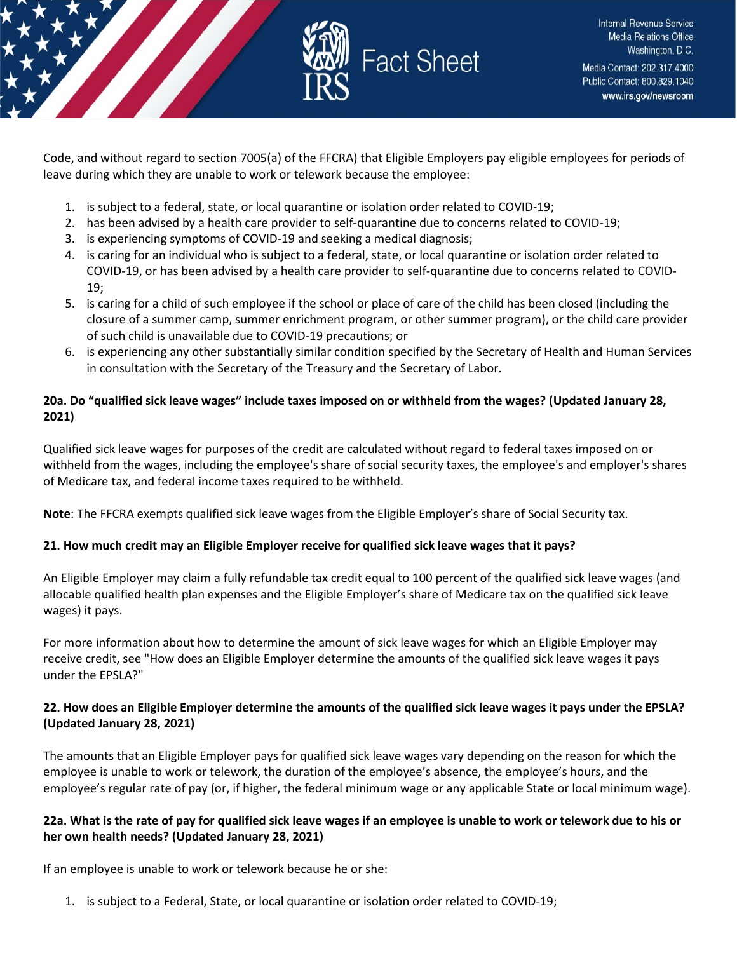

Code, and without regard to section 7005(a) of the FFCRA) that Eligible Employers pay eligible employees for periods of leave during which they are unable to work or telework because the employee:

- 1. is subject to a federal, state, or local quarantine or isolation order related to COVID-19;
- 2. has been advised by a health care provider to self-quarantine due to concerns related to COVID-19;
- 3. is experiencing symptoms of COVID-19 and seeking a medical diagnosis;
- 4. is caring for an individual who is subject to a federal, state, or local quarantine or isolation order related to COVID-19, or has been advised by a health care provider to self-quarantine due to concerns related to COVID-19;
- 5. is caring for a child of such employee if the school or place of care of the child has been closed (including the closure of a summer camp, summer enrichment program, or other summer program), or the child care provider of such child is unavailable due to COVID-19 precautions; or
- 6. is experiencing any other substantially similar condition specified by the Secretary of Health and Human Services in consultation with the Secretary of the Treasury and the Secretary of Labor.

# **20a. Do "qualified sick leave wages" include taxes imposed on or withheld from the wages? (Updated January 28, 2021)**

Qualified sick leave wages for purposes of the credit are calculated without regard to federal taxes imposed on or withheld from the wages, including the employee's share of social security taxes, the employee's and employer's shares of Medicare tax, and federal income taxes required to be withheld.

**Note**: The FFCRA exempts qualified sick leave wages from the Eligible Employer's share of Social Security tax.

# **21. How much credit may an Eligible Employer receive for qualified sick leave wages that it pays?**

An Eligible Employer may claim a fully refundable tax credit equal to 100 percent of the qualified sick leave wages (and allocable qualified health plan expenses and the Eligible Employer's share of Medicare tax on the qualified sick leave wages) it pays.

For more information about how to determine the amount of sick leave wages for which an Eligible Employer may receive credit, see "How does an Eligible Employer determine the amounts of the qualified sick leave wages it pays under the EPSLA?"

# **22. How does an Eligible Employer determine the amounts of the qualified sick leave wages it pays under the EPSLA? (Updated January 28, 2021)**

The amounts that an Eligible Employer pays for qualified sick leave wages vary depending on the reason for which the employee is unable to work or telework, the duration of the employee's absence, the employee's hours, and the employee's regular rate of pay (or, if higher, the federal minimum wage or any applicable State or local minimum wage).

# **22a. What is the rate of pay for qualified sick leave wages if an employee is unable to work or telework due to his or her own health needs? (Updated January 28, 2021)**

If an employee is unable to work or telework because he or she:

1. is subject to a Federal, State, or local quarantine or isolation order related to COVID-19;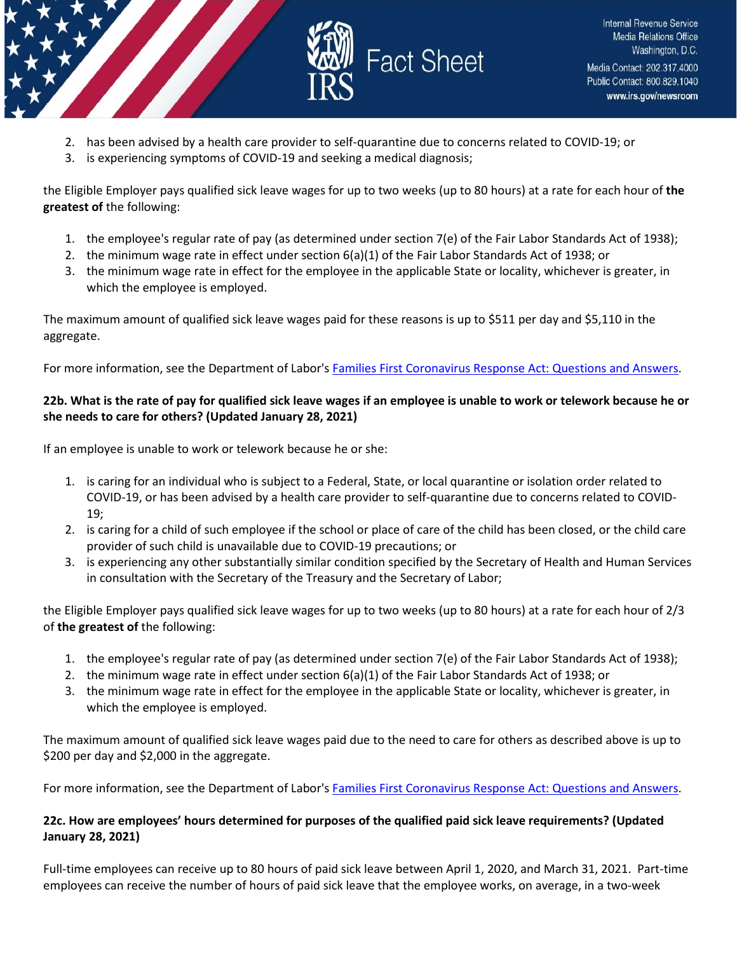

- 2. has been advised by a health care provider to self-quarantine due to concerns related to COVID-19; or
- 3. is experiencing symptoms of COVID-19 and seeking a medical diagnosis;

the Eligible Employer pays qualified sick leave wages for up to two weeks (up to 80 hours) at a rate for each hour of **the greatest of** the following:

- 1. the employee's regular rate of pay (as determined under section 7(e) of the Fair Labor Standards Act of 1938);
- 2. the minimum wage rate in effect under section 6(a)(1) of the Fair Labor Standards Act of 1938; or
- 3. the minimum wage rate in effect for the employee in the applicable State or locality, whichever is greater, in which the employee is employed.

The maximum amount of qualified sick leave wages paid for these reasons is up to \$511 per day and \$5,110 in the aggregate.

For more information, see the Department of Labor's [Families First Coronavirus Response Act: Questions and Answers.](https://www.dol.gov/agencies/whd/pandemic/ffcra-questions)

# **22b. What is the rate of pay for qualified sick leave wages if an employee is unable to work or telework because he or she needs to care for others? (Updated January 28, 2021)**

If an employee is unable to work or telework because he or she:

- 1. is caring for an individual who is subject to a Federal, State, or local quarantine or isolation order related to COVID-19, or has been advised by a health care provider to self-quarantine due to concerns related to COVID-19;
- 2. is caring for a child of such employee if the school or place of care of the child has been closed, or the child care provider of such child is unavailable due to COVID-19 precautions; or
- 3. is experiencing any other substantially similar condition specified by the Secretary of Health and Human Services in consultation with the Secretary of the Treasury and the Secretary of Labor;

the Eligible Employer pays qualified sick leave wages for up to two weeks (up to 80 hours) at a rate for each hour of 2/3 of **the greatest of** the following:

- 1. the employee's regular rate of pay (as determined under section 7(e) of the Fair Labor Standards Act of 1938);
- 2. the minimum wage rate in effect under section 6(a)(1) of the Fair Labor Standards Act of 1938; or
- 3. the minimum wage rate in effect for the employee in the applicable State or locality, whichever is greater, in which the employee is employed.

The maximum amount of qualified sick leave wages paid due to the need to care for others as described above is up to \$200 per day and \$2,000 in the aggregate.

For more information, see the Department of Labor's [Families First Coronavirus Response Act: Questions and Answers.](https://www.dol.gov/agencies/whd/pandemic/ffcra-questions)

# **22c. How are employees' hours determined for purposes of the qualified paid sick leave requirements? (Updated January 28, 2021)**

Full-time employees can receive up to 80 hours of paid sick leave between April 1, 2020, and March 31, 2021. Part-time employees can receive the number of hours of paid sick leave that the employee works, on average, in a two-week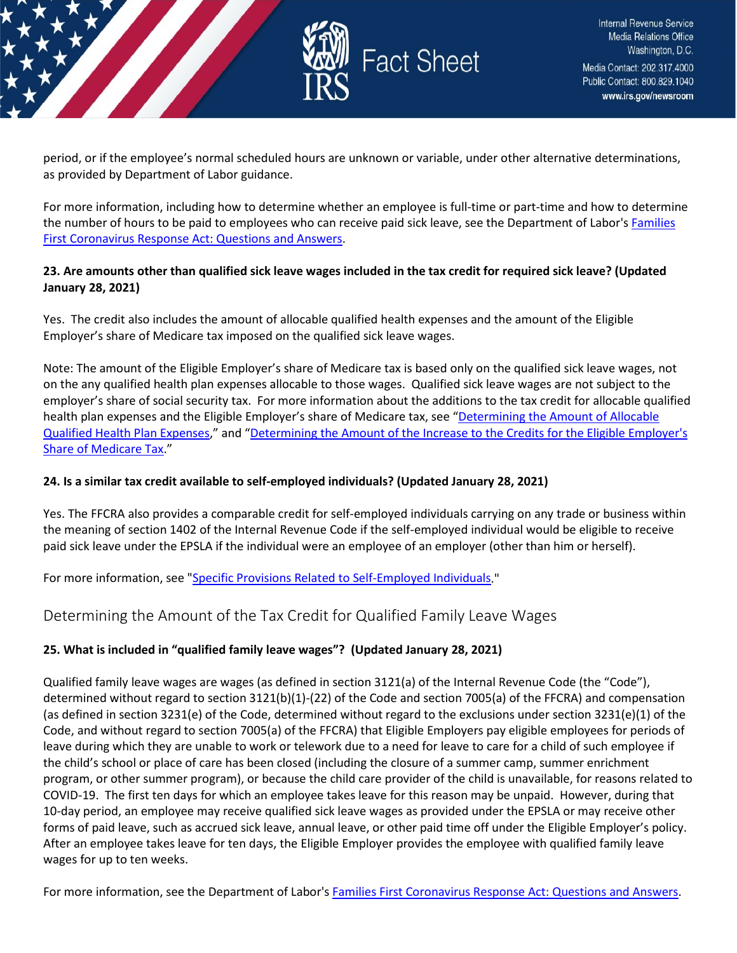

period, or if the employee's normal scheduled hours are unknown or variable, under other alternative determinations, as provided by Department of Labor guidance.

For more information, including how to determine whether an employee is full-time or part-time and how to determine the number of hours to be paid to employees who can receive paid sick leave, see the Department of Labor's Families [First Coronavirus Response Act: Questions and Answers.](https://www.dol.gov/agencies/whd/pandemic/ffcra-questions)

### **23. Are amounts other than qualified sick leave wages included in the tax credit for required sick leave? (Updated January 28, 2021)**

Yes. The credit also includes the amount of allocable qualified health expenses and the amount of the Eligible Employer's share of Medicare tax imposed on the qualified sick leave wages.

Note: The amount of the Eligible Employer's share of Medicare tax is based only on the qualified sick leave wages, not on the any qualified health plan expenses allocable to those wages. Qualified sick leave wages are not subject to the employer's share of social security tax. For more information about the additions to the tax credit for allocable qualified health plan expenses and the Eligible Employer's share of Medicare tax, see "Determining the Amount of Allocable [Qualified Health Plan Expenses,](https://www.irs.gov/newsroom/covid-19-related-employee-retention-credits-amount-of-allocable-qualified-health-plan-expenses-faqs#determining-amount-allocable-qualified-health-plan-expenses)" and ["Determining the Amount of the Increase to](https://www.irs.gov/newsroom/special-issues-for-employers-taxation-and-deductibility-of-tax-credits#what-amount-does-eligible-employer-receiving-tax-credits-qualified-leave-wages) the Credits for the Eligible Employer's [Share of Medicare Tax.](https://www.irs.gov/newsroom/special-issues-for-employers-taxation-and-deductibility-of-tax-credits#what-amount-does-eligible-employer-receiving-tax-credits-qualified-leave-wages)"

### **24. Is a similar tax credit available to self-employed individuals? (Updated January 28, 2021)**

Yes. The FFCRA also provides a comparable credit for self-employed individuals carrying on any trade or business within the meaning of section 1402 of the Internal Revenue Code if the self-employed individual would be eligible to receive paid sick leave under the EPSLA if the individual were an employee of an employer (other than him or herself).

For more information, see ["Specific Provisions Related to Self-Employed Individuals.](https://www.irs.gov/newsroom/special-issues-for-employees#specific-provisions-related-self-employed-individuals)"

# <span id="page-12-0"></span>Determining the Amount of the Tax Credit for Qualified Family Leave Wages

### **25. What is included in "qualified family leave wages"? (Updated January 28, 2021)**

Qualified family leave wages are wages (as defined in section 3121(a) of the Internal Revenue Code (the "Code"), determined without regard to section 3121(b)(1)-(22) of the Code and section 7005(a) of the FFCRA) and compensation (as defined in section 3231(e) of the Code, determined without regard to the exclusions under section 3231(e)(1) of the Code, and without regard to section 7005(a) of the FFCRA) that Eligible Employers pay eligible employees for periods of leave during which they are unable to work or telework due to a need for leave to care for a child of such employee if the child's school or place of care has been closed (including the closure of a summer camp, summer enrichment program, or other summer program), or because the child care provider of the child is unavailable, for reasons related to COVID-19. The first ten days for which an employee takes leave for this reason may be unpaid. However, during that 10-day period, an employee may receive qualified sick leave wages as provided under the EPSLA or may receive other forms of paid leave, such as accrued sick leave, annual leave, or other paid time off under the Eligible Employer's policy. After an employee takes leave for ten days, the Eligible Employer provides the employee with qualified family leave wages for up to ten weeks.

For more information, see the Department of Labor's [Families First Coronavirus Response Act: Questions and Answers.](https://www.dol.gov/agencies/whd/pandemic/ffcra-questions)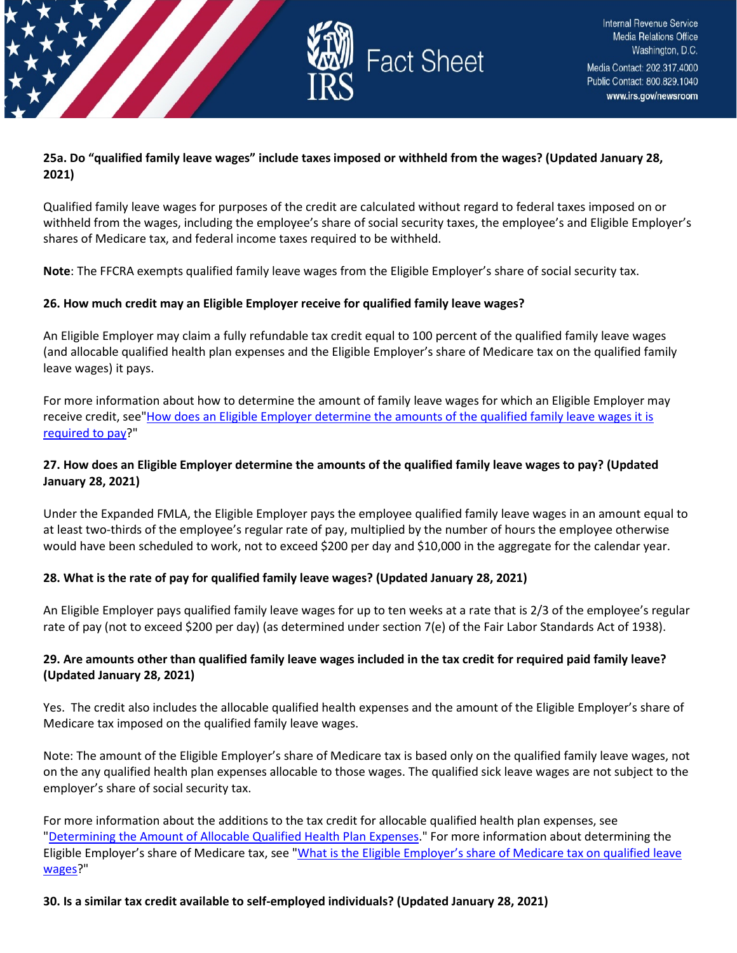

### **25a. Do "qualified family leave wages" include taxes imposed or withheld from the wages? (Updated January 28, 2021)**

Qualified family leave wages for purposes of the credit are calculated without regard to federal taxes imposed on or withheld from the wages, including the employee's share of social security taxes, the employee's and Eligible Employer's shares of Medicare tax, and federal income taxes required to be withheld.

**Note**: The FFCRA exempts qualified family leave wages from the Eligible Employer's share of social security tax.

### **26. How much credit may an Eligible Employer receive for qualified family leave wages?**

An Eligible Employer may claim a fully refundable tax credit equal to 100 percent of the qualified family leave wages (and allocable qualified health plan expenses and the Eligible Employer's share of Medicare tax on the qualified family leave wages) it pays.

For more information about how to determine the amount of family leave wages for which an Eligible Employer may receive credit, see"How does an Eligible Employer determine the amounts of the qualified family leave wages it is [required to pay?](https://www.irs.gov/newsroom/determining-the-amount-of-the-tax-credit-for-qualified-family-leave-wages#how-does-eligible-employer-determine-amounts-qualified-family-leave-wages-it-required-pay)"

### **27. How does an Eligible Employer determine the amounts of the qualified family leave wages to pay? (Updated January 28, 2021)**

Under the Expanded FMLA, the Eligible Employer pays the employee qualified family leave wages in an amount equal to at least two-thirds of the employee's regular rate of pay, multiplied by the number of hours the employee otherwise would have been scheduled to work, not to exceed \$200 per day and \$10,000 in the aggregate for the calendar year.

### **28. What is the rate of pay for qualified family leave wages? (Updated January 28, 2021)**

An Eligible Employer pays qualified family leave wages for up to ten weeks at a rate that is 2/3 of the employee's regular rate of pay (not to exceed \$200 per day) (as determined under section 7(e) of the Fair Labor Standards Act of 1938).

### **29. Are amounts other than qualified family leave wages included in the tax credit for required paid family leave? (Updated January 28, 2021)**

Yes. The credit also includes the allocable qualified health expenses and the amount of the Eligible Employer's share of Medicare tax imposed on the qualified family leave wages.

Note: The amount of the Eligible Employer's share of Medicare tax is based only on the qualified family leave wages, not on the any qualified health plan expenses allocable to those wages. The qualified sick leave wages are not subject to the employer's share of social security tax.

For more information about the additions to the tax credit for allocable qualified health plan expenses, see ["Determining the Amount of Allocable Qualified Health Plan Expenses.](https://www.irs.gov/newsroom/determining-the-amount-of-allocable-qualified-health-plan-expenses)" For more information about determining the Eligible Employer's share of Medicare tax, see "What is the Eligible Employer's share of Medicare tax on qualified leave [wages?](https://www.irs.gov/newsroom/covid-19-related-tax-credits-basic-faqs#what-eligible-employers-share-medicare-tax-qualified-leave-wages)"

**30. Is a similar tax credit available to self-employed individuals? (Updated January 28, 2021)**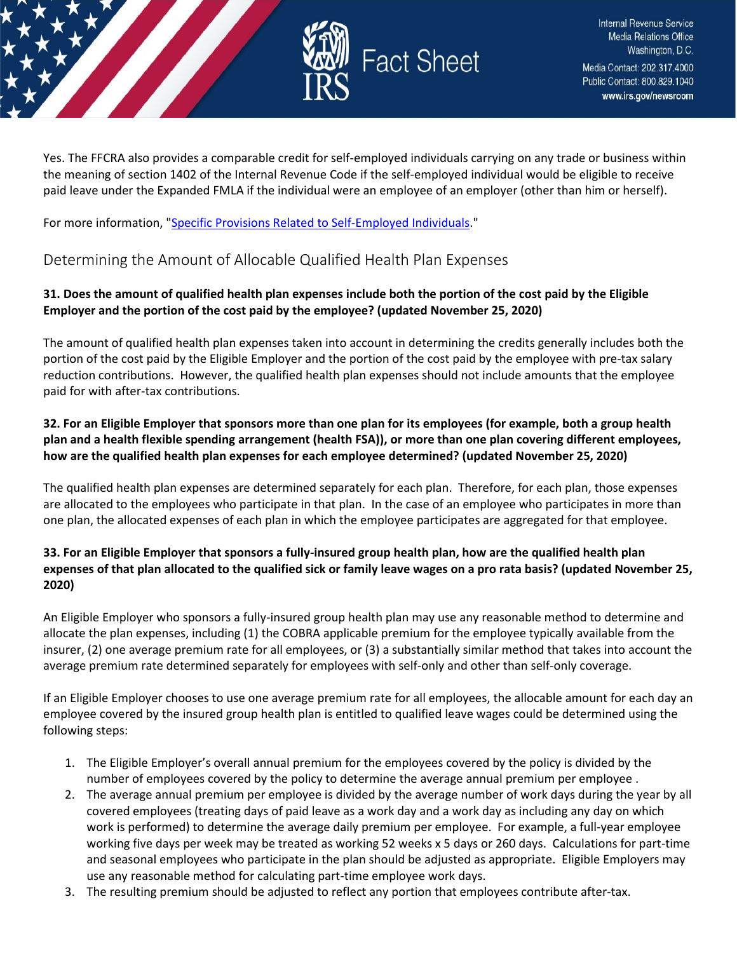

Yes. The FFCRA also provides a comparable credit for self-employed individuals carrying on any trade or business within the meaning of section 1402 of the Internal Revenue Code if the self-employed individual would be eligible to receive paid leave under the Expanded FMLA if the individual were an employee of an employer (other than him or herself).

For more information, ["Specific Provisions Related to Self-Employed Individuals.](https://www.irs.gov/newsroom/special-issues-for-employees#specific-provisions-related-self-employed-individuals)"

# <span id="page-14-0"></span>Determining the Amount of Allocable Qualified Health Plan Expenses

# **31. Does the amount of qualified health plan expenses include both the portion of the cost paid by the Eligible Employer and the portion of the cost paid by the employee? (updated November 25, 2020)**

The amount of qualified health plan expenses taken into account in determining the credits generally includes both the portion of the cost paid by the Eligible Employer and the portion of the cost paid by the employee with pre-tax salary reduction contributions. However, the qualified health plan expenses should not include amounts that the employee paid for with after-tax contributions.

# **32. For an Eligible Employer that sponsors more than one plan for its employees (for example, both a group health plan and a health flexible spending arrangement (health FSA)), or more than one plan covering different employees, how are the qualified health plan expenses for each employee determined? (updated November 25, 2020)**

The qualified health plan expenses are determined separately for each plan. Therefore, for each plan, those expenses are allocated to the employees who participate in that plan. In the case of an employee who participates in more than one plan, the allocated expenses of each plan in which the employee participates are aggregated for that employee.

# **33. For an Eligible Employer that sponsors a fully-insured group health plan, how are the qualified health plan expenses of that plan allocated to the qualified sick or family leave wages on a pro rata basis? (updated November 25, 2020)**

An Eligible Employer who sponsors a fully-insured group health plan may use any reasonable method to determine and allocate the plan expenses, including (1) the COBRA applicable premium for the employee typically available from the insurer, (2) one average premium rate for all employees, or (3) a substantially similar method that takes into account the average premium rate determined separately for employees with self-only and other than self-only coverage.

If an Eligible Employer chooses to use one average premium rate for all employees, the allocable amount for each day an employee covered by the insured group health plan is entitled to qualified leave wages could be determined using the following steps:

- 1. The Eligible Employer's overall annual premium for the employees covered by the policy is divided by the number of employees covered by the policy to determine the average annual premium per employee .
- 2. The average annual premium per employee is divided by the average number of work days during the year by all covered employees (treating days of paid leave as a work day and a work day as including any day on which work is performed) to determine the average daily premium per employee. For example, a full-year employee working five days per week may be treated as working 52 weeks x 5 days or 260 days. Calculations for part-time and seasonal employees who participate in the plan should be adjusted as appropriate. Eligible Employers may use any reasonable method for calculating part-time employee work days.
- 3. The resulting premium should be adjusted to reflect any portion that employees contribute after-tax.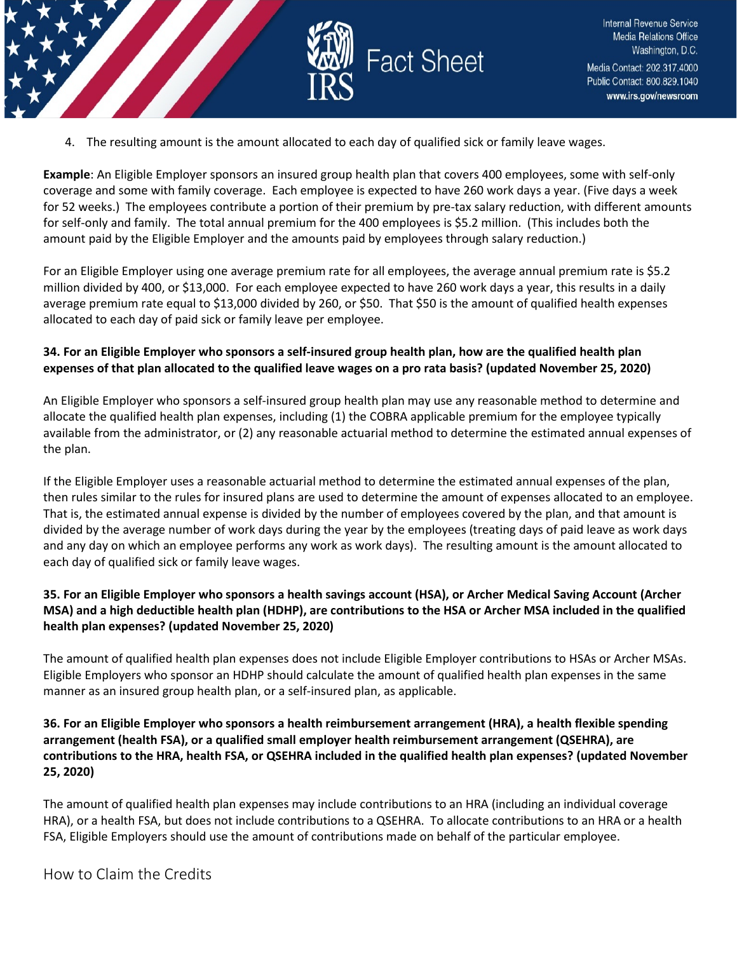

4. The resulting amount is the amount allocated to each day of qualified sick or family leave wages.

**Example**: An Eligible Employer sponsors an insured group health plan that covers 400 employees, some with self-only coverage and some with family coverage. Each employee is expected to have 260 work days a year. (Five days a week for 52 weeks.) The employees contribute a portion of their premium by pre-tax salary reduction, with different amounts for self-only and family. The total annual premium for the 400 employees is \$5.2 million. (This includes both the amount paid by the Eligible Employer and the amounts paid by employees through salary reduction.)

For an Eligible Employer using one average premium rate for all employees, the average annual premium rate is \$5.2 million divided by 400, or \$13,000. For each employee expected to have 260 work days a year, this results in a daily average premium rate equal to \$13,000 divided by 260, or \$50. That \$50 is the amount of qualified health expenses allocated to each day of paid sick or family leave per employee.

### **34. For an Eligible Employer who sponsors a self-insured group health plan, how are the qualified health plan expenses of that plan allocated to the qualified leave wages on a pro rata basis? (updated November 25, 2020)**

An Eligible Employer who sponsors a self-insured group health plan may use any reasonable method to determine and allocate the qualified health plan expenses, including (1) the COBRA applicable premium for the employee typically available from the administrator, or (2) any reasonable actuarial method to determine the estimated annual expenses of the plan.

If the Eligible Employer uses a reasonable actuarial method to determine the estimated annual expenses of the plan, then rules similar to the rules for insured plans are used to determine the amount of expenses allocated to an employee. That is, the estimated annual expense is divided by the number of employees covered by the plan, and that amount is divided by the average number of work days during the year by the employees (treating days of paid leave as work days and any day on which an employee performs any work as work days). The resulting amount is the amount allocated to each day of qualified sick or family leave wages.

### **35. For an Eligible Employer who sponsors a health savings account (HSA), or Archer Medical Saving Account (Archer MSA) and a high deductible health plan (HDHP), are contributions to the HSA or Archer MSA included in the qualified health plan expenses? (updated November 25, 2020)**

The amount of qualified health plan expenses does not include Eligible Employer contributions to HSAs or Archer MSAs. Eligible Employers who sponsor an HDHP should calculate the amount of qualified health plan expenses in the same manner as an insured group health plan, or a self-insured plan, as applicable.

### **36. For an Eligible Employer who sponsors a health reimbursement arrangement (HRA), a health flexible spending arrangement (health FSA), or a qualified small employer health reimbursement arrangement (QSEHRA), are contributions to the HRA, health FSA, or QSEHRA included in the qualified health plan expenses? (updated November 25, 2020)**

The amount of qualified health plan expenses may include contributions to an HRA (including an individual coverage HRA), or a health FSA, but does not include contributions to a QSEHRA. To allocate contributions to an HRA or a health FSA, Eligible Employers should use the amount of contributions made on behalf of the particular employee.

<span id="page-15-0"></span>How to Claim the Credits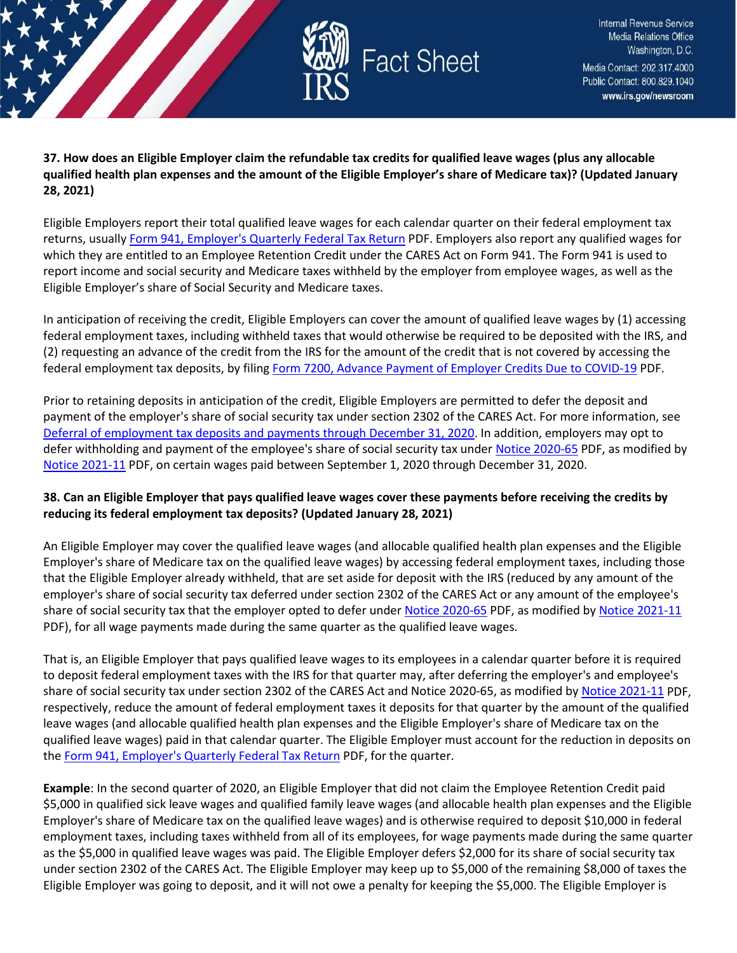

**37. How does an Eligible Employer claim the refundable tax credits for qualified leave wages (plus any allocable qualified health plan expenses and the amount of the Eligible Employer's share of Medicare tax)? (Updated January 28, 2021)**

Eligible Employers report their total qualified leave wages for each calendar quarter on their federal employment tax returns, usuall[y Form 941, Employer's Quarterly Federal Tax Return](https://www.irs.gov/pub/irs-pdf/f941.pdf) PDF. Employers also report any qualified wages for which they are entitled to an Employee Retention Credit under the CARES Act on Form 941. The Form 941 is used to report income and social security and Medicare taxes withheld by the employer from employee wages, as well as the Eligible Employer's share of Social Security and Medicare taxes.

In anticipation of receiving the credit, Eligible Employers can cover the amount of qualified leave wages by (1) accessing federal employment taxes, including withheld taxes that would otherwise be required to be deposited with the IRS, and (2) requesting an advance of the credit from the IRS for the amount of the credit that is not covered by accessing the federal employment tax deposits, by filin[g Form 7200, Advance Payment of Employer Credits Due to COVID-19](https://www.irs.gov/pub/irs-pdf/f7200.pdf) PDF.

Prior to retaining deposits in anticipation of the credit, Eligible Employers are permitted to defer the deposit and payment of the employer's share of social security tax under section 2302 of the CARES Act. For more information, see [Deferral of employment tax deposits and payments through December 31, 2020.](https://www.irs.gov/newsroom/deferral-of-employment-tax-deposits-and-payments-through-december-31-2020) In addition, employers may opt to defer withholding and payment of the employee's share of social security tax unde[r Notice 2020-65](https://www.irs.gov/pub/irs-drop/n-20-65.pdf) PDF, as modified by [Notice 2021-11](https://www.irs.gov/pub/irs-drop/n-21-11.pdf) PDF, on certain wages paid between September 1, 2020 through December 31, 2020.

# **38. Can an Eligible Employer that pays qualified leave wages cover these payments before receiving the credits by reducing its federal employment tax deposits? (Updated January 28, 2021)**

An Eligible Employer may cover the qualified leave wages (and allocable qualified health plan expenses and the Eligible Employer's share of Medicare tax on the qualified leave wages) by accessing federal employment taxes, including those that the Eligible Employer already withheld, that are set aside for deposit with the IRS (reduced by any amount of the employer's share of social security tax deferred under section 2302 of the CARES Act or any amount of the employee's share of social security tax that the employer opted to defer under [Notice 2020-65](https://www.irs.gov/pub/irs-drop/n-20-65.pdf) PDF, as modified by [Notice 2021-11](https://www.irs.gov/pub/irs-drop/n-21-11.pdf) PDF), for all wage payments made during the same quarter as the qualified leave wages.

That is, an Eligible Employer that pays qualified leave wages to its employees in a calendar quarter before it is required to deposit federal employment taxes with the IRS for that quarter may, after deferring the employer's and employee's share of social security tax under section 2302 of the CARES Act and Notice 2020-65, as modified by [Notice 2021-11](https://www.irs.gov/pub/irs-drop/n-21-11.pdf) PDF, respectively, reduce the amount of federal employment taxes it deposits for that quarter by the amount of the qualified leave wages (and allocable qualified health plan expenses and the Eligible Employer's share of Medicare tax on the qualified leave wages) paid in that calendar quarter. The Eligible Employer must account for the reduction in deposits on the [Form 941, Employer's Quarterly Federal Tax Return](https://www.irs.gov/pub/irs-pdf/f941.pdf) PDF, for the quarter.

**Example**: In the second quarter of 2020, an Eligible Employer that did not claim the Employee Retention Credit paid \$5,000 in qualified sick leave wages and qualified family leave wages (and allocable health plan expenses and the Eligible Employer's share of Medicare tax on the qualified leave wages) and is otherwise required to deposit \$10,000 in federal employment taxes, including taxes withheld from all of its employees, for wage payments made during the same quarter as the \$5,000 in qualified leave wages was paid. The Eligible Employer defers \$2,000 for its share of social security tax under section 2302 of the CARES Act. The Eligible Employer may keep up to \$5,000 of the remaining \$8,000 of taxes the Eligible Employer was going to deposit, and it will not owe a penalty for keeping the \$5,000. The Eligible Employer is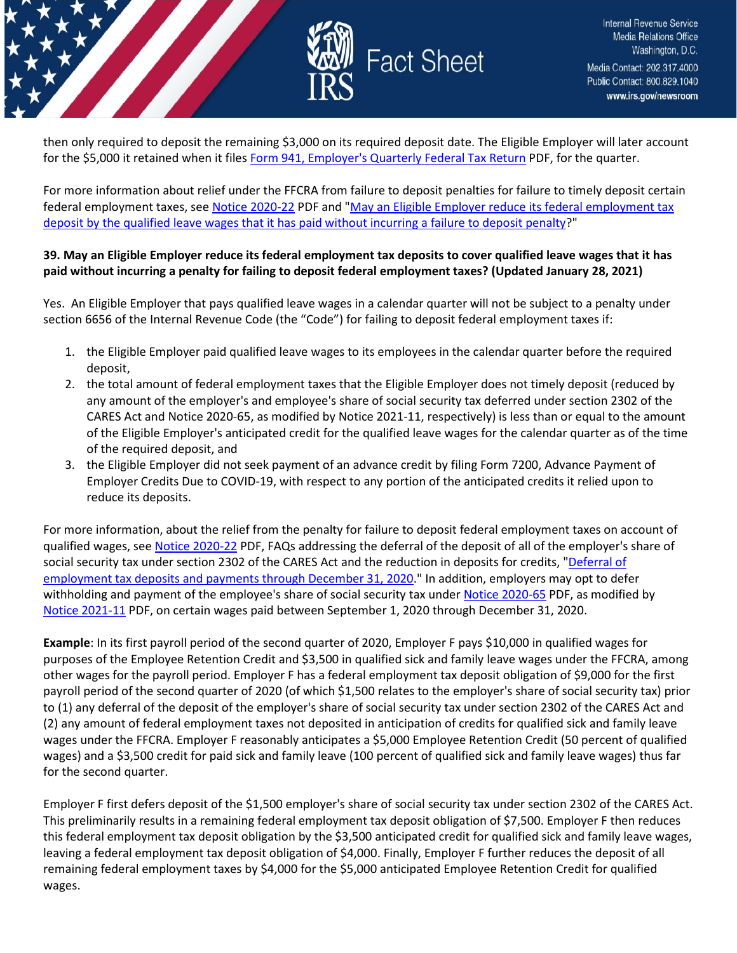

then only required to deposit the remaining \$3,000 on its required deposit date. The Eligible Employer will later account for the \$5,000 it retained when it files [Form 941, Employer's Quarterly Federal Tax Return](https://www.irs.gov/pub/irs-pdf/f941.pdf) PDF, for the quarter.

For more information about relief under the FFCRA from failure to deposit penalties for failure to timely deposit certain federal employment taxes, see [Notice 2020-22](https://www.irs.gov/pub/irs-drop/n-20-22.pdf) PDF and ["May an Eligible Employer reduce its federal employment tax](https://www.irs.gov/newsroom/covid-19-related-tax-credits-basic-faqs#may-eligible-employer-reduce-its-federal-employment-tax-deposit-by-qualified-leave-wages-that-it-has)  [deposit by the qualified leave wages that it has paid without incurring a failure to deposit penalty?](https://www.irs.gov/newsroom/covid-19-related-tax-credits-basic-faqs#may-eligible-employer-reduce-its-federal-employment-tax-deposit-by-qualified-leave-wages-that-it-has)"

#### **39. May an Eligible Employer reduce its federal employment tax deposits to cover qualified leave wages that it has paid without incurring a penalty for failing to deposit federal employment taxes? (Updated January 28, 2021)**

Yes. An Eligible Employer that pays qualified leave wages in a calendar quarter will not be subject to a penalty under section 6656 of the Internal Revenue Code (the "Code") for failing to deposit federal employment taxes if:

- 1. the Eligible Employer paid qualified leave wages to its employees in the calendar quarter before the required deposit,
- 2. the total amount of federal employment taxes that the Eligible Employer does not timely deposit (reduced by any amount of the employer's and employee's share of social security tax deferred under section 2302 of the CARES Act and Notice 2020-65, as modified by Notice 2021-11, respectively) is less than or equal to the amount of the Eligible Employer's anticipated credit for the qualified leave wages for the calendar quarter as of the time of the required deposit, and
- 3. the Eligible Employer did not seek payment of an advance credit by filing Form 7200, Advance Payment of Employer Credits Due to COVID-19, with respect to any portion of the anticipated credits it relied upon to reduce its deposits.

For more information, about the relief from the penalty for failure to deposit federal employment taxes on account of qualified wages, se[e Notice 2020-22](https://www.irs.gov/pub/irs-drop/n-20-22.pdf) PDF, FAQs addressing the deferral of the deposit of all of the employer's share of social security tax under section 2302 of the CARES Act and the reduction in deposits for credits, "Deferral of [employment tax deposits and payments through December 31, 2020.](https://www.irs.gov/newsroom/deferral-of-employment-tax-deposits-and-payments-through-december-31-2020)" In addition, employers may opt to defer withholding and payment of the employee's share of social security tax under [Notice 2020-65](https://www.irs.gov/pub/irs-drop/n-20-65.pdf) PDF, as modified by [Notice 2021-11](https://www.irs.gov/pub/irs-drop/n-21-11.pdf) PDF, on certain wages paid between September 1, 2020 through December 31, 2020.

**Example**: In its first payroll period of the second quarter of 2020, Employer F pays \$10,000 in qualified wages for purposes of the Employee Retention Credit and \$3,500 in qualified sick and family leave wages under the FFCRA, among other wages for the payroll period. Employer F has a federal employment tax deposit obligation of \$9,000 for the first payroll period of the second quarter of 2020 (of which \$1,500 relates to the employer's share of social security tax) prior to (1) any deferral of the deposit of the employer's share of social security tax under section 2302 of the CARES Act and (2) any amount of federal employment taxes not deposited in anticipation of credits for qualified sick and family leave wages under the FFCRA. Employer F reasonably anticipates a \$5,000 Employee Retention Credit (50 percent of qualified wages) and a \$3,500 credit for paid sick and family leave (100 percent of qualified sick and family leave wages) thus far for the second quarter.

Employer F first defers deposit of the \$1,500 employer's share of social security tax under section 2302 of the CARES Act. This preliminarily results in a remaining federal employment tax deposit obligation of \$7,500. Employer F then reduces this federal employment tax deposit obligation by the \$3,500 anticipated credit for qualified sick and family leave wages, leaving a federal employment tax deposit obligation of \$4,000. Finally, Employer F further reduces the deposit of all remaining federal employment taxes by \$4,000 for the \$5,000 anticipated Employee Retention Credit for qualified wages.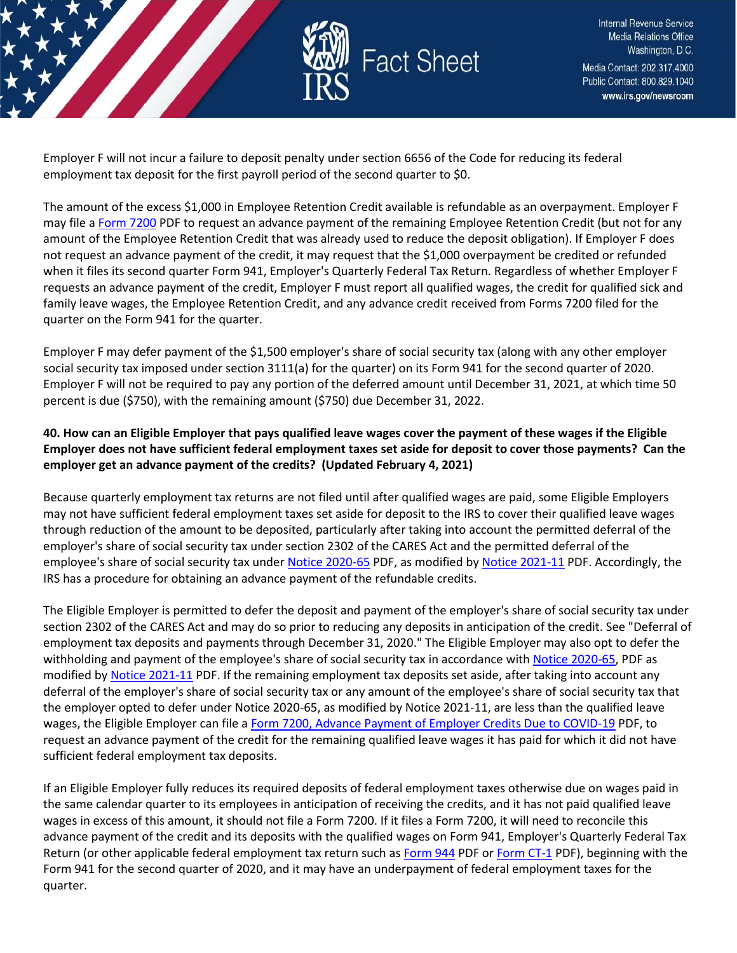

Employer F will not incur a failure to deposit penalty under section 6656 of the Code for reducing its federal employment tax deposit for the first payroll period of the second quarter to \$0.

The amount of the excess \$1,000 in Employee Retention Credit available is refundable as an overpayment. Employer F may file [a Form 7200](https://www.irs.gov/pub/irs-pdf/f7200.pdf) PDF to request an advance payment of the remaining Employee Retention Credit (but not for any amount of the Employee Retention Credit that was already used to reduce the deposit obligation). If Employer F does not request an advance payment of the credit, it may request that the \$1,000 overpayment be credited or refunded when it files its second quarter Form 941, Employer's Quarterly Federal Tax Return. Regardless of whether Employer F requests an advance payment of the credit, Employer F must report all qualified wages, the credit for qualified sick and family leave wages, the Employee Retention Credit, and any advance credit received from Forms 7200 filed for the quarter on the Form 941 for the quarter.

Employer F may defer payment of the \$1,500 employer's share of social security tax (along with any other employer social security tax imposed under section 3111(a) for the quarter) on its Form 941 for the second quarter of 2020. Employer F will not be required to pay any portion of the deferred amount until December 31, 2021, at which time 50 percent is due (\$750), with the remaining amount (\$750) due December 31, 2022.

# **40. How can an Eligible Employer that pays qualified leave wages cover the payment of these wages if the Eligible Employer does not have sufficient federal employment taxes set aside for deposit to cover those payments? Can the employer get an advance payment of the credits? (Updated February 4, 2021)**

Because quarterly employment tax returns are not filed until after qualified wages are paid, some Eligible Employers may not have sufficient federal employment taxes set aside for deposit to the IRS to cover their qualified leave wages through reduction of the amount to be deposited, particularly after taking into account the permitted deferral of the employer's share of social security tax under section 2302 of the CARES Act and the permitted deferral of the employee's share of social security tax under [Notice 2020-65](https://www.irs.gov/pub/irs-drop/n-20-65.pdf) PDF, as modified b[y Notice 2021-11](https://www.irs.gov/pub/irs-drop/n-21-11.pdf) PDF. Accordingly, the IRS has a procedure for obtaining an advance payment of the refundable credits.

The Eligible Employer is permitted to defer the deposit and payment of the employer's share of social security tax under section 2302 of the CARES Act and may do so prior to reducing any deposits in anticipation of the credit. See "Deferral of employment tax deposits and payments through December 31, 2020." The Eligible Employer may also opt to defer the withholding and payment of the employee's share of social security tax in accordance with [Notice 2020-65,](https://www.irs.gov/pub/irs-drop/n-20-65.pdf) PDF as modified by [Notice 2021-11](https://www.irs.gov/pub/irs-drop/n-21-11.pdf) PDF. If the remaining employment tax deposits set aside, after taking into account any deferral of the employer's share of social security tax or any amount of the employee's share of social security tax that the employer opted to defer under Notice 2020-65, as modified by Notice 2021-11, are less than the qualified leave wages, the Eligible Employer can file [a Form 7200, Advance Payment of Employer Credits Due to COVID-19](https://www.irs.gov/pub/irs-pdf/f7200.pdf) PDF, to request an advance payment of the credit for the remaining qualified leave wages it has paid for which it did not have sufficient federal employment tax deposits.

If an Eligible Employer fully reduces its required deposits of federal employment taxes otherwise due on wages paid in the same calendar quarter to its employees in anticipation of receiving the credits, and it has not paid qualified leave wages in excess of this amount, it should not file a Form 7200. If it files a Form 7200, it will need to reconcile this advance payment of the credit and its deposits with the qualified wages on Form 941, Employer's Quarterly Federal Tax Return (or other applicable federal employment tax return such a[s Form 944](https://www.irs.gov/pub/irs-pdf/f944.pdf) PDF or [Form CT-1](https://www.irs.gov/pub/irs-pdf/fct1.pdf) PDF), beginning with the Form 941 for the second quarter of 2020, and it may have an underpayment of federal employment taxes for the quarter.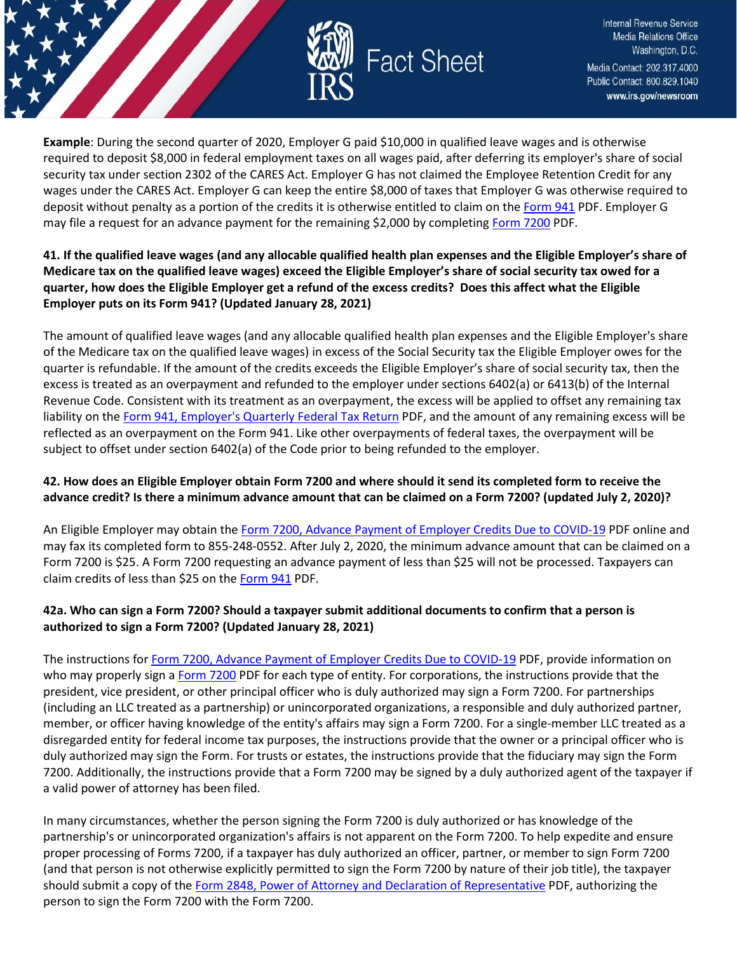

**Example**: During the second quarter of 2020, Employer G paid \$10,000 in qualified leave wages and is otherwise required to deposit \$8,000 in federal employment taxes on all wages paid, after deferring its employer's share of social security tax under section 2302 of the CARES Act. Employer G has not claimed the Employee Retention Credit for any wages under the CARES Act. Employer G can keep the entire \$8,000 of taxes that Employer G was otherwise required to deposit without penalty as a portion of the credits it is otherwise entitled to claim on the [Form 941](https://www.irs.gov/pub/irs-pdf/f941.pdf) PDF. Employer G may file a request for an advance payment for the remaining \$2,000 by completing [Form 7200](https://www.irs.gov/pub/irs-pdf/f7200.pdf) PDF.

### **41. If the qualified leave wages (and any allocable qualified health plan expenses and the Eligible Employer's share of Medicare tax on the qualified leave wages) exceed the Eligible Employer's share of social security tax owed for a quarter, how does the Eligible Employer get a refund of the excess credits? Does this affect what the Eligible Employer puts on its Form 941? (Updated January 28, 2021)**

The amount of qualified leave wages (and any allocable qualified health plan expenses and the Eligible Employer's share of the Medicare tax on the qualified leave wages) in excess of the Social Security tax the Eligible Employer owes for the quarter is refundable. If the amount of the credits exceeds the Eligible Employer's share of social security tax, then the excess is treated as an overpayment and refunded to the employer under sections 6402(a) or 6413(b) of the Internal Revenue Code. Consistent with its treatment as an overpayment, the excess will be applied to offset any remaining tax liability on the [Form 941, Employer's Quarterly Federal Tax Return](https://www.irs.gov/pub/irs-pdf/f941.pdf) PDF, and the amount of any remaining excess will be reflected as an overpayment on the Form 941. Like other overpayments of federal taxes, the overpayment will be subject to offset under section 6402(a) of the Code prior to being refunded to the employer.

# **42. How does an Eligible Employer obtain Form 7200 and where should it send its completed form to receive the advance credit? Is there a minimum advance amount that can be claimed on a Form 7200? (updated July 2, 2020)?**

An Eligible Employer may obtain the [Form 7200, Advance Payment of Employer Credits Due to COVID-19](https://www.irs.gov/pub/irs-pdf/f7200.pdf) PDF online and may fax its completed form to 855-248-0552. After July 2, 2020, the minimum advance amount that can be claimed on a Form 7200 is \$25. A Form 7200 requesting an advance payment of less than \$25 will not be processed. Taxpayers can claim credits of less than \$25 on the [Form 941](https://www.irs.gov/pub/irs-pdf/f941.pdf) PDF.

# **42a. Who can sign a Form 7200? Should a taxpayer submit additional documents to confirm that a person is authorized to sign a Form 7200? (Updated January 28, 2021)**

The instructions fo[r Form 7200, Advance Payment of Employer Credits Due to COVID-19](https://www.irs.gov/pub/irs-pdf/i7200.pdf) PDF, provide information on who may properly sign a [Form 7200](https://www.irs.gov/pub/irs-pdf/f7200.pdf) PDF for each type of entity. For corporations, the instructions provide that the president, vice president, or other principal officer who is duly authorized may sign a Form 7200. For partnerships (including an LLC treated as a partnership) or unincorporated organizations, a responsible and duly authorized partner, member, or officer having knowledge of the entity's affairs may sign a Form 7200. For a single-member LLC treated as a disregarded entity for federal income tax purposes, the instructions provide that the owner or a principal officer who is duly authorized may sign the Form. For trusts or estates, the instructions provide that the fiduciary may sign the Form 7200. Additionally, the instructions provide that a Form 7200 may be signed by a duly authorized agent of the taxpayer if a valid power of attorney has been filed.

In many circumstances, whether the person signing the Form 7200 is duly authorized or has knowledge of the partnership's or unincorporated organization's affairs is not apparent on the Form 7200. To help expedite and ensure proper processing of Forms 7200, if a taxpayer has duly authorized an officer, partner, or member to sign Form 7200 (and that person is not otherwise explicitly permitted to sign the Form 7200 by nature of their job title), the taxpayer should submit a copy of the [Form 2848, Power of Attorney and Declaration of Representative](https://www.irs.gov/pub/irs-pdf/f2848.pdf) PDF, authorizing the person to sign the Form 7200 with the Form 7200.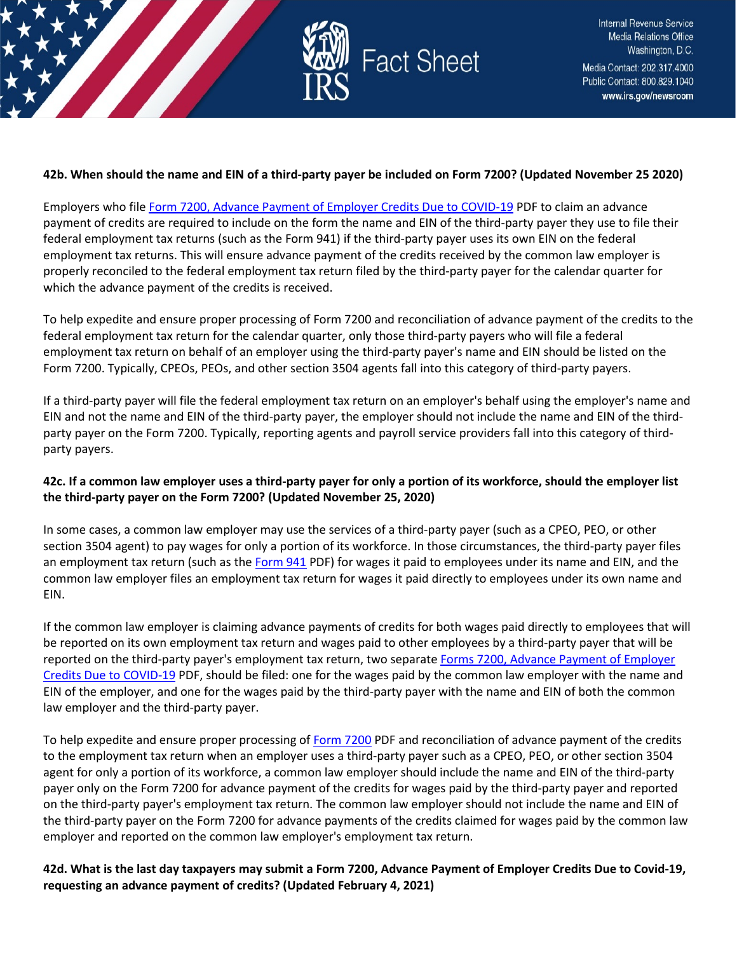

#### **42b. When should the name and EIN of a third-party payer be included on Form 7200? (Updated November 25 2020)**

Employers who fil[e Form 7200, Advance Payment of Employer Credits Due to COVID-19](https://www.irs.gov/pub/irs-pdf/f7200.pdf) PDF to claim an advance payment of credits are required to include on the form the name and EIN of the third-party payer they use to file their federal employment tax returns (such as the Form 941) if the third-party payer uses its own EIN on the federal employment tax returns. This will ensure advance payment of the credits received by the common law employer is properly reconciled to the federal employment tax return filed by the third-party payer for the calendar quarter for which the advance payment of the credits is received.

To help expedite and ensure proper processing of Form 7200 and reconciliation of advance payment of the credits to the federal employment tax return for the calendar quarter, only those third-party payers who will file a federal employment tax return on behalf of an employer using the third-party payer's name and EIN should be listed on the Form 7200. Typically, CPEOs, PEOs, and other section 3504 agents fall into this category of third-party payers.

If a third-party payer will file the federal employment tax return on an employer's behalf using the employer's name and EIN and not the name and EIN of the third-party payer, the employer should not include the name and EIN of the thirdparty payer on the Form 7200. Typically, reporting agents and payroll service providers fall into this category of thirdparty payers.

# **42c. If a common law employer uses a third-party payer for only a portion of its workforce, should the employer list the third-party payer on the Form 7200? (Updated November 25, 2020)**

In some cases, a common law employer may use the services of a third-party payer (such as a CPEO, PEO, or other section 3504 agent) to pay wages for only a portion of its workforce. In those circumstances, the third-party payer files an employment tax return (such as the [Form 941](https://www.irs.gov/pub/irs-pdf/f941.pdf) PDF) for wages it paid to employees under its name and EIN, and the common law employer files an employment tax return for wages it paid directly to employees under its own name and EIN.

If the common law employer is claiming advance payments of credits for both wages paid directly to employees that will be reported on its own employment tax return and wages paid to other employees by a third-party payer that will be reported on the third-party payer's employment tax return, two separate [Forms 7200, Advance Payment of Employer](https://www.irs.gov/pub/irs-pdf/f7200.pdf)  [Credits Due to COVID-19](https://www.irs.gov/pub/irs-pdf/f7200.pdf) PDF, should be filed: one for the wages paid by the common law employer with the name and EIN of the employer, and one for the wages paid by the third-party payer with the name and EIN of both the common law employer and the third-party payer.

To help expedite and ensure proper processing of [Form 7200](https://www.irs.gov/pub/irs-pdf/f7200.pdf) PDF and reconciliation of advance payment of the credits to the employment tax return when an employer uses a third-party payer such as a CPEO, PEO, or other section 3504 agent for only a portion of its workforce, a common law employer should include the name and EIN of the third-party payer only on the Form 7200 for advance payment of the credits for wages paid by the third-party payer and reported on the third-party payer's employment tax return. The common law employer should not include the name and EIN of the third-party payer on the Form 7200 for advance payments of the credits claimed for wages paid by the common law employer and reported on the common law employer's employment tax return.

**42d. What is the last day taxpayers may submit a Form 7200, Advance Payment of Employer Credits Due to Covid-19, requesting an advance payment of credits? (Updated February 4, 2021)**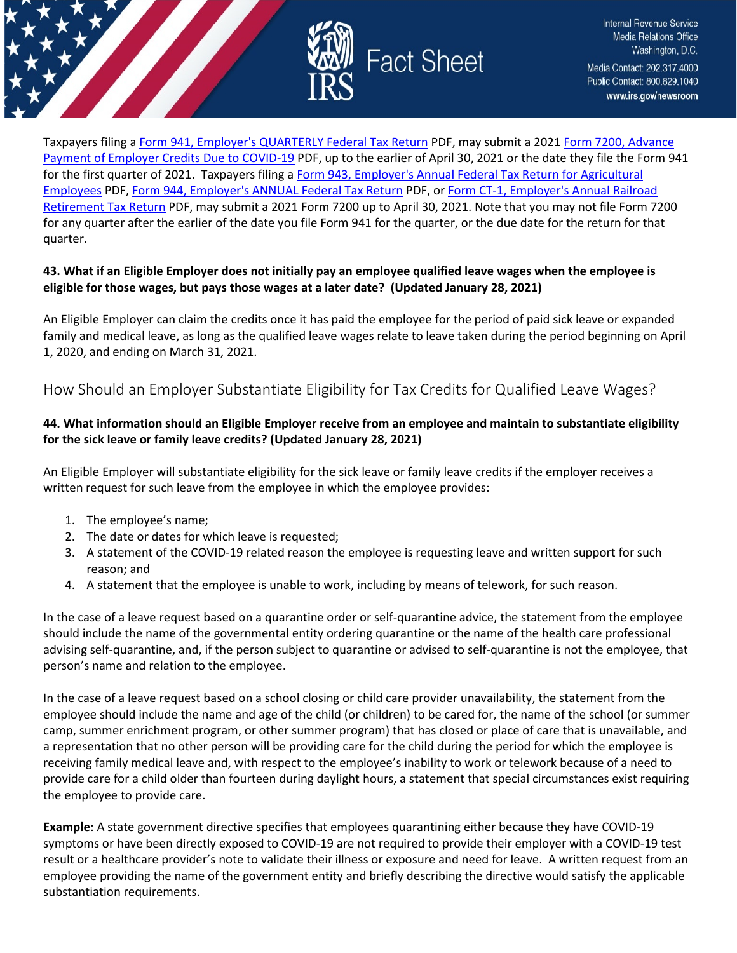

Taxpayers filing a Form [941, Employer's QUARTERLY Federal Tax Return](https://www.irs.gov/pub/irs-pdf/f941.pdf) PDF, may submit a 202[1 Form 7200, Advance](https://www.irs.gov/pub/irs-pdf/f7200.pdf)  [Payment of Employer Credits Due to COVID-19](https://www.irs.gov/pub/irs-pdf/f7200.pdf) PDF, up to the earlier of April 30, 2021 or the date they file the Form 941 for the first quarter of 2021. Taxpayers filing a Form 943, Employer's Annual Federal Tax Return for Agricultural [Employees](https://www.irs.gov/pub/irs-pdf/f943.pdf) PDF[, Form 944, Employer's ANNUAL Federal Tax Return](https://www.irs.gov/pub/irs-pdf/f944.pdf) PDF, or [Form CT-1, Employer's Annual Railroad](https://www.irs.gov/pub/irs-pdf/fct1.pdf)  [Retirement Tax Return](https://www.irs.gov/pub/irs-pdf/fct1.pdf) PDF, may submit a 2021 Form 7200 up to April 30, 2021. Note that you may not file Form 7200 for any quarter after the earlier of the date you file Form 941 for the quarter, or the due date for the return for that quarter.

### **43. What if an Eligible Employer does not initially pay an employee qualified leave wages when the employee is eligible for those wages, but pays those wages at a later date? (Updated January 28, 2021)**

An Eligible Employer can claim the credits once it has paid the employee for the period of paid sick leave or expanded family and medical leave, as long as the qualified leave wages relate to leave taken during the period beginning on April 1, 2020, and ending on March 31, 2021.

# <span id="page-21-0"></span>How Should an Employer Substantiate Eligibility for Tax Credits for Qualified Leave Wages?

# **44. What information should an Eligible Employer receive from an employee and maintain to substantiate eligibility for the sick leave or family leave credits? (Updated January 28, 2021)**

An Eligible Employer will substantiate eligibility for the sick leave or family leave credits if the employer receives a written request for such leave from the employee in which the employee provides:

- 1. The employee's name;
- 2. The date or dates for which leave is requested;
- 3. A statement of the COVID-19 related reason the employee is requesting leave and written support for such reason; and
- 4. A statement that the employee is unable to work, including by means of telework, for such reason.

In the case of a leave request based on a quarantine order or self-quarantine advice, the statement from the employee should include the name of the governmental entity ordering quarantine or the name of the health care professional advising self-quarantine, and, if the person subject to quarantine or advised to self-quarantine is not the employee, that person's name and relation to the employee.

In the case of a leave request based on a school closing or child care provider unavailability, the statement from the employee should include the name and age of the child (or children) to be cared for, the name of the school (or summer camp, summer enrichment program, or other summer program) that has closed or place of care that is unavailable, and a representation that no other person will be providing care for the child during the period for which the employee is receiving family medical leave and, with respect to the employee's inability to work or telework because of a need to provide care for a child older than fourteen during daylight hours, a statement that special circumstances exist requiring the employee to provide care.

**Example**: A state government directive specifies that employees quarantining either because they have COVID-19 symptoms or have been directly exposed to COVID-19 are not required to provide their employer with a COVID-19 test result or a healthcare provider's note to validate their illness or exposure and need for leave. A written request from an employee providing the name of the government entity and briefly describing the directive would satisfy the applicable substantiation requirements.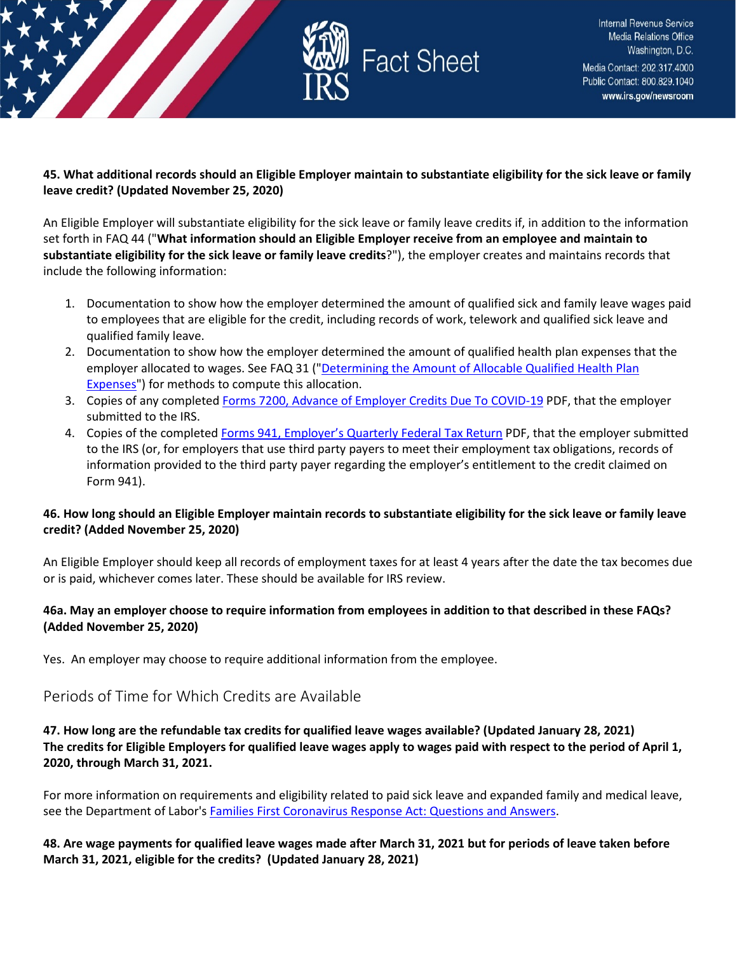

### **45. What additional records should an Eligible Employer maintain to substantiate eligibility for the sick leave or family leave credit? (Updated November 25, 2020)**

An Eligible Employer will substantiate eligibility for the sick leave or family leave credits if, in addition to the information set forth in FAQ 44 ("**What information should an Eligible Employer receive from an employee and maintain to substantiate eligibility for the sick leave or family leave credits**?"), the employer creates and maintains records that include the following information:

- 1. Documentation to show how the employer determined the amount of qualified sick and family leave wages paid to employees that are eligible for the credit, including records of work, telework and qualified sick leave and qualified family leave.
- 2. Documentation to show how the employer determined the amount of qualified health plan expenses that the employer allocated to wages. See FAQ 31 ("Determining the Amount of Allocable Qualified Health Plan [Expenses"](https://www.irs.gov/newsroom/determining-the-amount-of-allocable-qualified-health-plan-expenses#does-amount-qualified-health-plan-expenses-include-both-portion-cost-paid-by-eligible-employer-and-portion)) for methods to compute this allocation.
- 3. Copies of any completed [Forms 7200, Advance of Employer Credits Due To COVID-19](https://www.irs.gov/pub/irs-pdf/f7200.pdf) PDF, that the employer submitted to the IRS.
- 4. Copies of the complete[d Forms 941, Employer's Quarterly Federal Tax Return](https://www.irs.gov/pub/irs-pdf/f941.pdf) PDF, that the employer submitted to the IRS (or, for employers that use third party payers to meet their employment tax obligations, records of information provided to the third party payer regarding the employer's entitlement to the credit claimed on Form 941).

### **46. How long should an Eligible Employer maintain records to substantiate eligibility for the sick leave or family leave credit? (Added November 25, 2020)**

An Eligible Employer should keep all records of employment taxes for at least 4 years after the date the tax becomes due or is paid, whichever comes later. These should be available for IRS review.

### **46a. May an employer choose to require information from employees in addition to that described in these FAQs? (Added November 25, 2020)**

Yes. An employer may choose to require additional information from the employee.

# <span id="page-22-0"></span>Periods of Time for Which Credits are Available

**47. How long are the refundable tax credits for qualified leave wages available? (Updated January 28, 2021) The credits for Eligible Employers for qualified leave wages apply to wages paid with respect to the period of April 1, 2020, through March 31, 2021.**

For more information on requirements and eligibility related to paid sick leave and expanded family and medical leave, see the Department of Labor's [Families First Coronavirus Response Act: Questions and Answers.](https://www.dol.gov/agencies/whd/pandemic/ffcra-questions)

### **48. Are wage payments for qualified leave wages made after March 31, 2021 but for periods of leave taken before March 31, 2021, eligible for the credits? (Updated January 28, 2021)**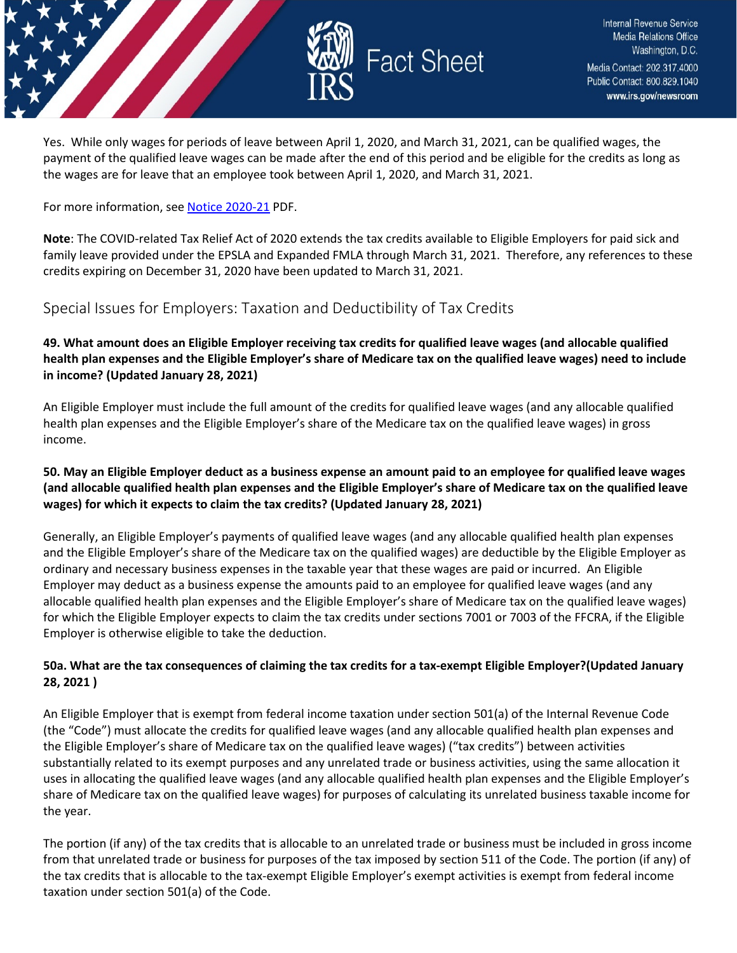

Yes. While only wages for periods of leave between April 1, 2020, and March 31, 2021, can be qualified wages, the payment of the qualified leave wages can be made after the end of this period and be eligible for the credits as long as the wages are for leave that an employee took between April 1, 2020, and March 31, 2021.

For more information, se[e Notice 2020-21](https://www.irs.gov/pub/irs-drop/n-20-21.pdf) PDF.

**Note**: The COVID-related Tax Relief Act of 2020 extends the tax credits available to Eligible Employers for paid sick and family leave provided under the EPSLA and Expanded FMLA through March 31, 2021. Therefore, any references to these credits expiring on December 31, 2020 have been updated to March 31, 2021.

# <span id="page-23-0"></span>Special Issues for Employers: Taxation and Deductibility of Tax Credits

**49. What amount does an Eligible Employer receiving tax credits for qualified leave wages (and allocable qualified health plan expenses and the Eligible Employer's share of Medicare tax on the qualified leave wages) need to include in income? (Updated January 28, 2021)**

An Eligible Employer must include the full amount of the credits for qualified leave wages (and any allocable qualified health plan expenses and the Eligible Employer's share of the Medicare tax on the qualified leave wages) in gross income.

### **50. May an Eligible Employer deduct as a business expense an amount paid to an employee for qualified leave wages (and allocable qualified health plan expenses and the Eligible Employer's share of Medicare tax on the qualified leave wages) for which it expects to claim the tax credits? (Updated January 28, 2021)**

Generally, an Eligible Employer's payments of qualified leave wages (and any allocable qualified health plan expenses and the Eligible Employer's share of the Medicare tax on the qualified wages) are deductible by the Eligible Employer as ordinary and necessary business expenses in the taxable year that these wages are paid or incurred. An Eligible Employer may deduct as a business expense the amounts paid to an employee for qualified leave wages (and any allocable qualified health plan expenses and the Eligible Employer's share of Medicare tax on the qualified leave wages) for which the Eligible Employer expects to claim the tax credits under sections 7001 or 7003 of the FFCRA, if the Eligible Employer is otherwise eligible to take the deduction.

# **50a. What are the tax consequences of claiming the tax credits for a tax-exempt Eligible Employer?(Updated January 28, 2021 )**

An Eligible Employer that is exempt from federal income taxation under section 501(a) of the Internal Revenue Code (the "Code") must allocate the credits for qualified leave wages (and any allocable qualified health plan expenses and the Eligible Employer's share of Medicare tax on the qualified leave wages) ("tax credits") between activities substantially related to its exempt purposes and any unrelated trade or business activities, using the same allocation it uses in allocating the qualified leave wages (and any allocable qualified health plan expenses and the Eligible Employer's share of Medicare tax on the qualified leave wages) for purposes of calculating its unrelated business taxable income for the year.

The portion (if any) of the tax credits that is allocable to an unrelated trade or business must be included in gross income from that unrelated trade or business for purposes of the tax imposed by section 511 of the Code. The portion (if any) of the tax credits that is allocable to the tax-exempt Eligible Employer's exempt activities is exempt from federal income taxation under section 501(a) of the Code.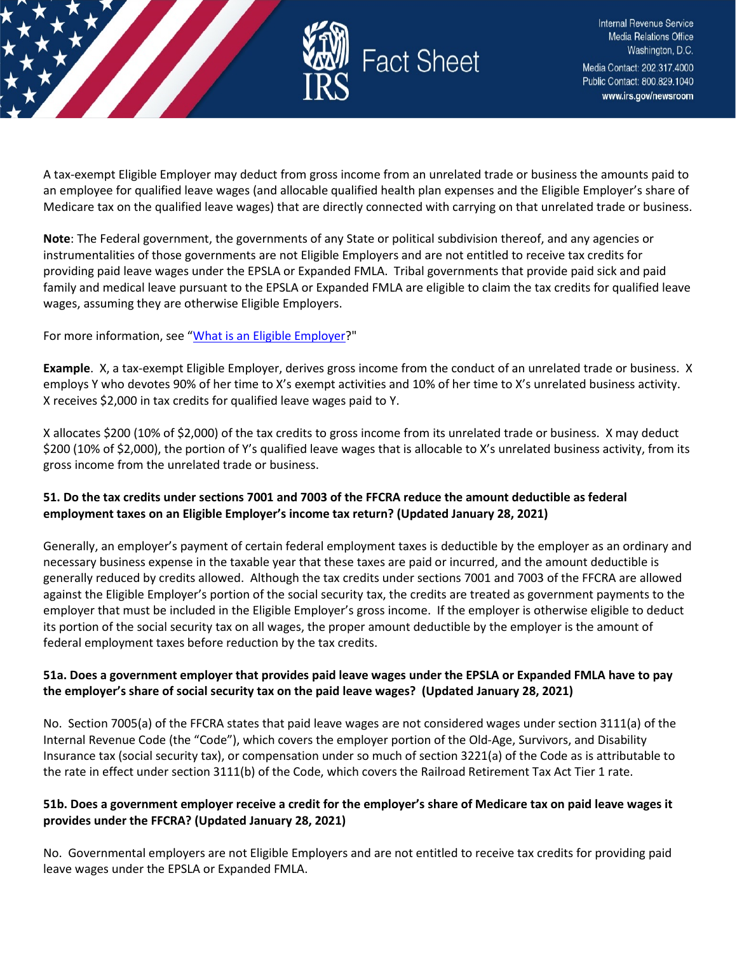

A tax-exempt Eligible Employer may deduct from gross income from an unrelated trade or business the amounts paid to an employee for qualified leave wages (and allocable qualified health plan expenses and the Eligible Employer's share of Medicare tax on the qualified leave wages) that are directly connected with carrying on that unrelated trade or business.

**Note**: The Federal government, the governments of any State or political subdivision thereof, and any agencies or instrumentalities of those governments are not Eligible Employers and are not entitled to receive tax credits for providing paid leave wages under the EPSLA or Expanded FMLA. Tribal governments that provide paid sick and paid family and medical leave pursuant to the EPSLA or Expanded FMLA are eligible to claim the tax credits for qualified leave wages, assuming they are otherwise Eligible Employers.

For more information, see ["What is an Eligible Employer?](https://www.irs.gov/newsroom/covid-19-related-tax-credits-what-is-an-eligible-employer-faqs#what-eligible-employer)"

**Example**. X, a tax-exempt Eligible Employer, derives gross income from the conduct of an unrelated trade or business. X employs Y who devotes 90% of her time to X's exempt activities and 10% of her time to X's unrelated business activity. X receives \$2,000 in tax credits for qualified leave wages paid to Y.

X allocates \$200 (10% of \$2,000) of the tax credits to gross income from its unrelated trade or business. X may deduct \$200 (10% of \$2,000), the portion of Y's qualified leave wages that is allocable to X's unrelated business activity, from its gross income from the unrelated trade or business.

# **51. Do the tax credits under sections 7001 and 7003 of the FFCRA reduce the amount deductible as federal employment taxes on an Eligible Employer's income tax return? (Updated January 28, 2021)**

Generally, an employer's payment of certain federal employment taxes is deductible by the employer as an ordinary and necessary business expense in the taxable year that these taxes are paid or incurred, and the amount deductible is generally reduced by credits allowed. Although the tax credits under sections 7001 and 7003 of the FFCRA are allowed against the Eligible Employer's portion of the social security tax, the credits are treated as government payments to the employer that must be included in the Eligible Employer's gross income. If the employer is otherwise eligible to deduct its portion of the social security tax on all wages, the proper amount deductible by the employer is the amount of federal employment taxes before reduction by the tax credits.

# **51a. Does a government employer that provides paid leave wages under the EPSLA or Expanded FMLA have to pay the employer's share of social security tax on the paid leave wages? (Updated January 28, 2021)**

No. Section 7005(a) of the FFCRA states that paid leave wages are not considered wages under section 3111(a) of the Internal Revenue Code (the "Code"), which covers the employer portion of the Old-Age, Survivors, and Disability Insurance tax (social security tax), or compensation under so much of section 3221(a) of the Code as is attributable to the rate in effect under section 3111(b) of the Code, which covers the Railroad Retirement Tax Act Tier 1 rate.

# **51b. Does a government employer receive a credit for the employer's share of Medicare tax on paid leave wages it provides under the FFCRA? (Updated January 28, 2021)**

No. Governmental employers are not Eligible Employers and are not entitled to receive tax credits for providing paid leave wages under the EPSLA or Expanded FMLA.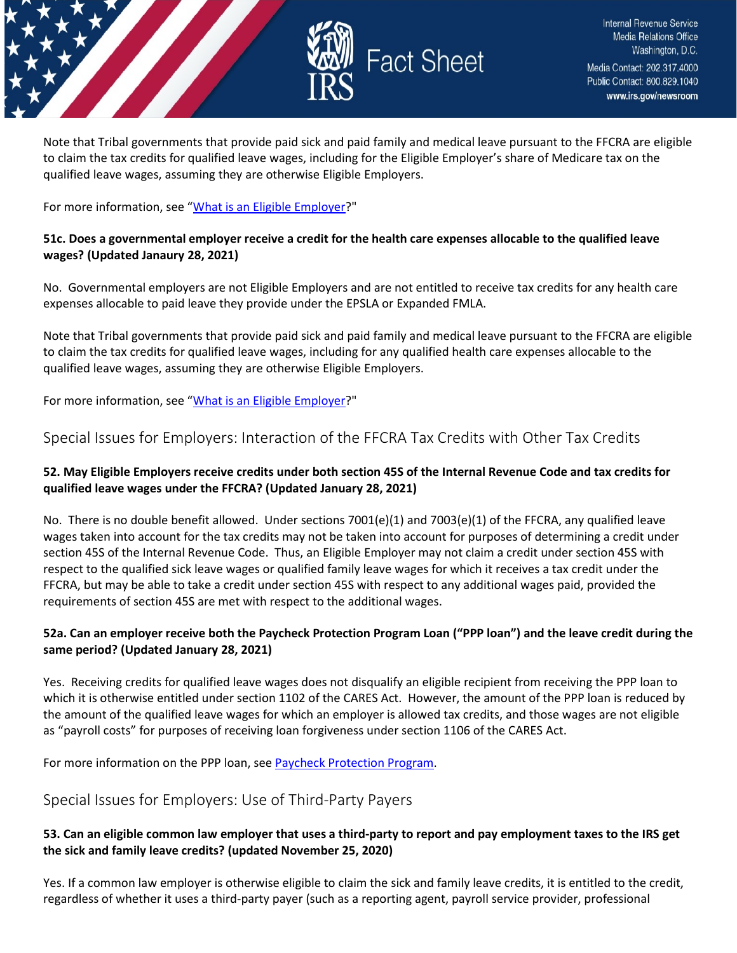

Note that Tribal governments that provide paid sick and paid family and medical leave pursuant to the FFCRA are eligible to claim the tax credits for qualified leave wages, including for the Eligible Employer's share of Medicare tax on the qualified leave wages, assuming they are otherwise Eligible Employers.

For more information, see ["What is an Eligible Employer?](https://www.irs.gov/newsroom/covid-19-related-tax-credits-what-is-an-eligible-employer-faqs#what-eligible-employer)"

#### **51c. Does a governmental employer receive a credit for the health care expenses allocable to the qualified leave wages? (Updated Janaury 28, 2021)**

No. Governmental employers are not Eligible Employers and are not entitled to receive tax credits for any health care expenses allocable to paid leave they provide under the EPSLA or Expanded FMLA.

Note that Tribal governments that provide paid sick and paid family and medical leave pursuant to the FFCRA are eligible to claim the tax credits for qualified leave wages, including for any qualified health care expenses allocable to the qualified leave wages, assuming they are otherwise Eligible Employers.

For more information, see ["What is an Eligible Employer?](https://www.irs.gov/newsroom/covid-19-related-tax-credits-what-is-an-eligible-employer-faqs#what-eligible-employer)"

# <span id="page-25-0"></span>Special Issues for Employers: Interaction of the FFCRA Tax Credits with Other Tax Credits

### **52. May Eligible Employers receive credits under both section 45S of the Internal Revenue Code and tax credits for qualified leave wages under the FFCRA? (Updated January 28, 2021)**

No. There is no double benefit allowed. Under sections 7001(e)(1) and 7003(e)(1) of the FFCRA, any qualified leave wages taken into account for the tax credits may not be taken into account for purposes of determining a credit under section 45S of the Internal Revenue Code. Thus, an Eligible Employer may not claim a credit under section 45S with respect to the qualified sick leave wages or qualified family leave wages for which it receives a tax credit under the FFCRA, but may be able to take a credit under section 45S with respect to any additional wages paid, provided the requirements of section 45S are met with respect to the additional wages.

### **52a. Can an employer receive both the Paycheck Protection Program Loan ("PPP loan") and the leave credit during the same period? (Updated January 28, 2021)**

Yes. Receiving credits for qualified leave wages does not disqualify an eligible recipient from receiving the PPP loan to which it is otherwise entitled under section 1102 of the CARES Act. However, the amount of the PPP loan is reduced by the amount of the qualified leave wages for which an employer is allowed tax credits, and those wages are not eligible as "payroll costs" for purposes of receiving loan forgiveness under section 1106 of the CARES Act.

For more information on the PPP loan, se[e Paycheck Protection Program.](https://www.sba.gov/funding-programs/loans/coronavirus-relief-options/paycheck-protection-program)

# <span id="page-25-1"></span>Special Issues for Employers: Use of Third-Party Payers

# **53. Can an eligible common law employer that uses a third-party to report and pay employment taxes to the IRS get the sick and family leave credits? (updated November 25, 2020)**

Yes. If a common law employer is otherwise eligible to claim the sick and family leave credits, it is entitled to the credit, regardless of whether it uses a third-party payer (such as a reporting agent, payroll service provider, professional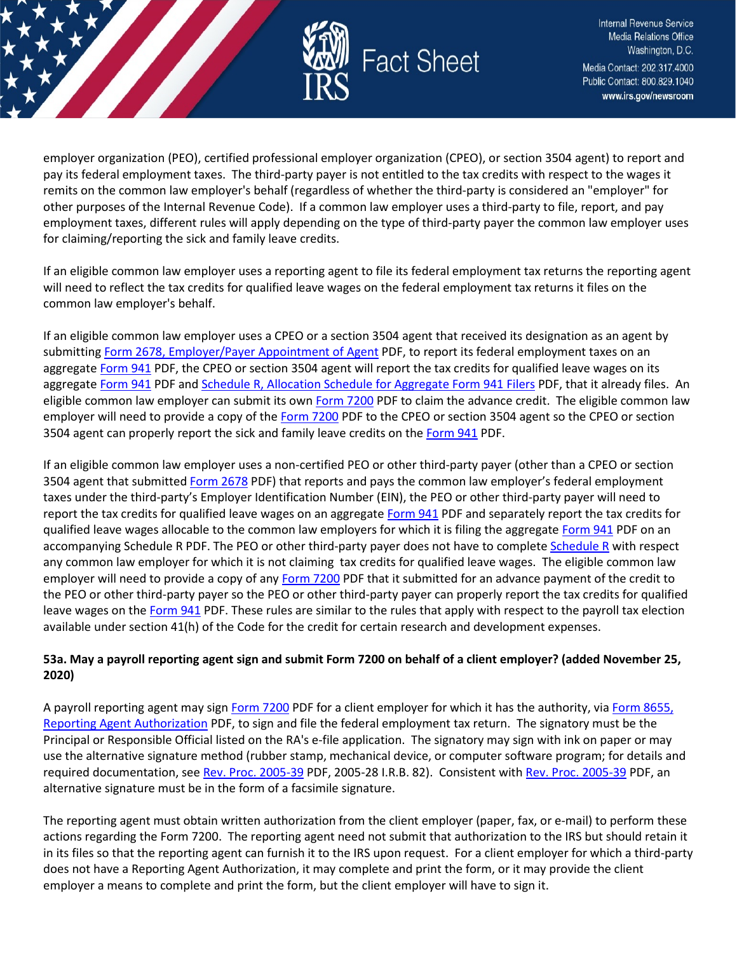

employer organization (PEO), certified professional employer organization (CPEO), or section 3504 agent) to report and pay its federal employment taxes. The third-party payer is not entitled to the tax credits with respect to the wages it remits on the common law employer's behalf (regardless of whether the third-party is considered an "employer" for other purposes of the Internal Revenue Code). If a common law employer uses a third-party to file, report, and pay employment taxes, different rules will apply depending on the type of third-party payer the common law employer uses for claiming/reporting the sick and family leave credits.

If an eligible common law employer uses a reporting agent to file its federal employment tax returns the reporting agent will need to reflect the tax credits for qualified leave wages on the federal employment tax returns it files on the common law employer's behalf.

If an eligible common law employer uses a CPEO or a section 3504 agent that received its designation as an agent by submittin[g Form 2678, Employer/Payer Appointment of Agent](https://www.irs.gov/pub/irs-pdf/f2678.pdf) PDF, to report its federal employment taxes on an aggregate [Form 941](https://www.irs.gov/pub/irs-pdf/f941.pdf) PDF, the CPEO or section 3504 agent will report the tax credits for qualified leave wages on its aggregate [Form 941](https://www.irs.gov/pub/irs-pdf/f941.pdf) PDF an[d Schedule R, Allocation Schedule for Aggregate Form 941 Filers](https://www.irs.gov/pub/irs-pdf/f941sr.pdf) PDF, that it already files. An eligible common law employer can submit its own [Form 7200](https://www.irs.gov/pub/irs-pdf/f7200.pdf) PDF to claim the advance credit. The eligible common law employer will need to provide a copy of the [Form 7200](https://www.irs.gov/pub/irs-pdf/f7200.pdf) PDF to the CPEO or section 3504 agent so the CPEO or section 3504 agent can properly report the sick and family leave credits on the [Form 941](https://www.irs.gov/pub/irs-pdf/f941.pdf) PDF.

If an eligible common law employer uses a non-certified PEO or other third-party payer (other than a CPEO or section 3504 agent that submitted [Form 2678](https://www.irs.gov/pub/irs-pdf/f2678.pdf) PDF) that reports and pays the common law employer's federal employment taxes under the third-party's Employer Identification Number (EIN), the PEO or other third-party payer will need to report the tax credits for qualified leave wages on an aggregat[e Form 941](https://www.irs.gov/pub/irs-pdf/f941.pdf) PDF and separately report the tax credits for qualified leave wages allocable to the common law employers for which it is filing the aggregate [Form 941](https://www.irs.gov/pub/irs-pdf/f941.pdf) PDF on an accompanying Schedule R PDF. The PEO or other third-party payer does not have to complete [Schedule R](https://www.irs.gov/pub/irs-pdf/f941sr.pdf) with respect any common law employer for which it is not claiming tax credits for qualified leave wages. The eligible common law employer will need to provide a copy of any [Form 7200](https://www.irs.gov/pub/irs-pdf/f7200.pdf) PDF that it submitted for an advance payment of the credit to the PEO or other third-party payer so the PEO or other third-party payer can properly report the tax credits for qualified leave wages on the [Form 941](https://www.irs.gov/pub/irs-pdf/f941.pdf) PDF. These rules are similar to the rules that apply with respect to the payroll tax election available under section 41(h) of the Code for the credit for certain research and development expenses.

# **53a. May a payroll reporting agent sign and submit Form 7200 on behalf of a client employer? (added November 25, 2020)**

A payroll reporting agent may sign [Form 7200](https://www.irs.gov/pub/irs-pdf/f7200.pdf) PDF for a client employer for which it has the authority, via Form 8655, [Reporting Agent Authorization](https://www.irs.gov/pub/irs-pdf/f8655.pdf) PDF, to sign and file the federal employment tax return. The signatory must be the Principal or Responsible Official listed on the RA's e-file application. The signatory may sign with ink on paper or may use the alternative signature method (rubber stamp, mechanical device, or computer software program; for details and required documentation, se[e Rev. Proc. 2005-39](https://www.irs.gov/pub/irs-irbs/irb05-39.pdf) PDF, 2005-28 I.R.B. 82). Consistent with [Rev. Proc. 2005-39](https://www.irs.gov/pub/irs-irbs/irb05-39.pdf) PDF, an alternative signature must be in the form of a facsimile signature.

The reporting agent must obtain written authorization from the client employer (paper, fax, or e-mail) to perform these actions regarding the Form 7200. The reporting agent need not submit that authorization to the IRS but should retain it in its files so that the reporting agent can furnish it to the IRS upon request. For a client employer for which a third-party does not have a Reporting Agent Authorization, it may complete and print the form, or it may provide the client employer a means to complete and print the form, but the client employer will have to sign it.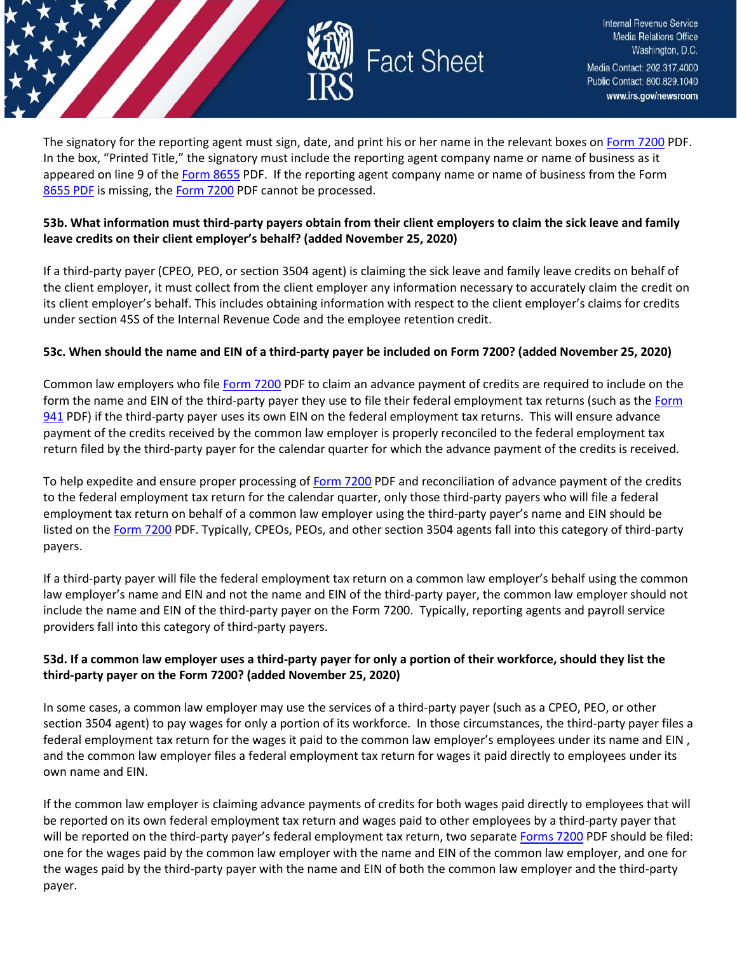

The signatory for the reporting agent must sign, date, and print his or her name in the relevant boxes on [Form 7200](https://www.irs.gov/pub/irs-pdf/f7200.pdf) PDF. In the box, "Printed Title," the signatory must include the reporting agent company name or name of business as it appeared on line 9 of the [Form 8655](https://www.irs.gov/pub/irs-pdf/f8655.pdf) PDF. If the reporting agent company name or name of business from the Form [8655 PDF](https://www.irs.gov/pub/irs-pdf/f8655.pdf) is missing, the [Form 7200](https://www.irs.gov/pub/irs-pdf/f7200.pdf) PDF cannot be processed.

### **53b. What information must third-party payers obtain from their client employers to claim the sick leave and family leave credits on their client employer's behalf? (added November 25, 2020)**

If a third-party payer (CPEO, PEO, or section 3504 agent) is claiming the sick leave and family leave credits on behalf of the client employer, it must collect from the client employer any information necessary to accurately claim the credit on its client employer's behalf. This includes obtaining information with respect to the client employer's claims for credits under section 45S of the Internal Revenue Code and the employee retention credit.

### **53c. When should the name and EIN of a third-party payer be included on Form 7200? (added November 25, 2020)**

Common law employers who file [Form 7200](https://www.irs.gov/pub/irs-pdf/f7200.pdf) PDF to claim an advance payment of credits are required to include on the form the name and EIN of the third-party payer they use to file their federal employment tax returns (such as the Form [941](https://www.irs.gov/pub/irs-pdf/f941.pdf) PDF) if the third-party payer uses its own EIN on the federal employment tax returns. This will ensure advance payment of the credits received by the common law employer is properly reconciled to the federal employment tax return filed by the third-party payer for the calendar quarter for which the advance payment of the credits is received.

To help expedite and ensure proper processing of [Form 7200](https://www.irs.gov/pub/irs-pdf/f7200.pdf) PDF and reconciliation of advance payment of the credits to the federal employment tax return for the calendar quarter, only those third-party payers who will file a federal employment tax return on behalf of a common law employer using the third-party payer's name and EIN should be listed on the [Form 7200](https://www.irs.gov/pub/irs-pdf/f7200.pdf) PDF. Typically, CPEOs, PEOs, and other section 3504 agents fall into this category of third-party payers.

If a third-party payer will file the federal employment tax return on a common law employer's behalf using the common law employer's name and EIN and not the name and EIN of the third-party payer, the common law employer should not include the name and EIN of the third-party payer on the Form 7200. Typically, reporting agents and payroll service providers fall into this category of third-party payers.

# **53d. If a common law employer uses a third-party payer for only a portion of their workforce, should they list the third-party payer on the Form 7200? (added November 25, 2020)**

In some cases, a common law employer may use the services of a third-party payer (such as a CPEO, PEO, or other section 3504 agent) to pay wages for only a portion of its workforce. In those circumstances, the third-party payer files a federal employment tax return for the wages it paid to the common law employer's employees under its name and EIN , and the common law employer files a federal employment tax return for wages it paid directly to employees under its own name and EIN.

If the common law employer is claiming advance payments of credits for both wages paid directly to employees that will be reported on its own federal employment tax return and wages paid to other employees by a third-party payer that will be reported on the third-party payer's federal employment tax return, two separate [Forms 7200](https://www.irs.gov/pub/irs-pdf/f7200.pdf) PDF should be filed: one for the wages paid by the common law employer with the name and EIN of the common law employer, and one for the wages paid by the third-party payer with the name and EIN of both the common law employer and the third-party payer.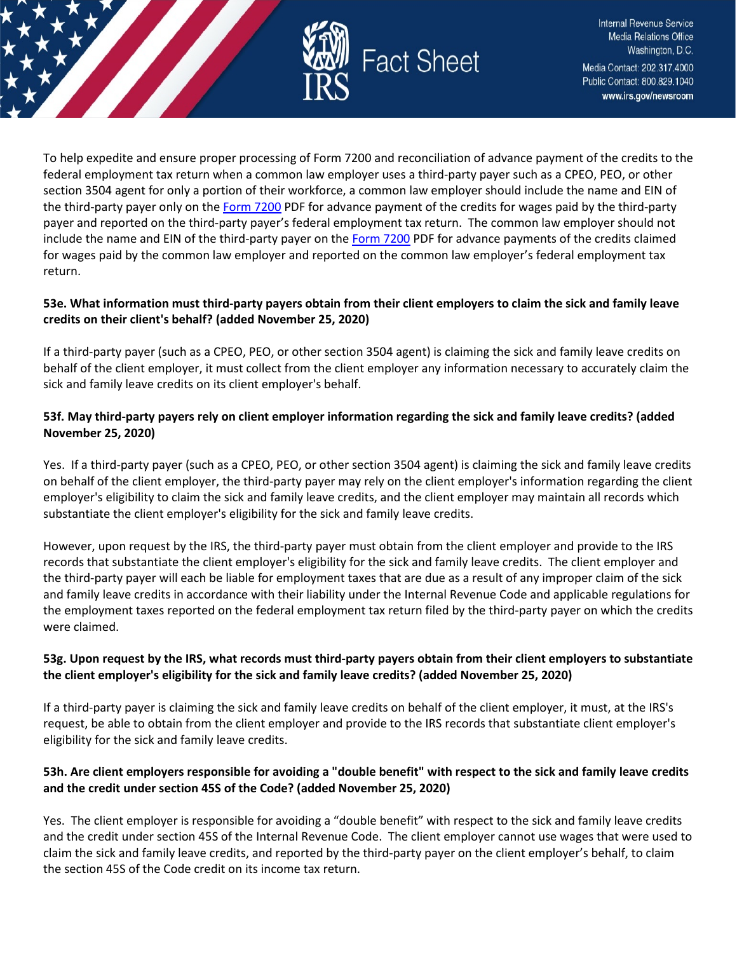

To help expedite and ensure proper processing of Form 7200 and reconciliation of advance payment of the credits to the federal employment tax return when a common law employer uses a third-party payer such as a CPEO, PEO, or other section 3504 agent for only a portion of their workforce, a common law employer should include the name and EIN of the third-party payer only on the [Form 7200](https://www.irs.gov/pub/irs-pdf/f7200.pdf) PDF for advance payment of the credits for wages paid by the third-party payer and reported on the third-party payer's federal employment tax return. The common law employer should not include the name and EIN of the third-party payer on th[e Form 7200](https://www.irs.gov/pub/irs-pdf/f7200.pdf) PDF for advance payments of the credits claimed for wages paid by the common law employer and reported on the common law employer's federal employment tax return.

### **53e. What information must third-party payers obtain from their client employers to claim the sick and family leave credits on their client's behalf? (added November 25, 2020)**

If a third-party payer (such as a CPEO, PEO, or other section 3504 agent) is claiming the sick and family leave credits on behalf of the client employer, it must collect from the client employer any information necessary to accurately claim the sick and family leave credits on its client employer's behalf.

# **53f. May third-party payers rely on client employer information regarding the sick and family leave credits? (added November 25, 2020)**

Yes. If a third-party payer (such as a CPEO, PEO, or other section 3504 agent) is claiming the sick and family leave credits on behalf of the client employer, the third-party payer may rely on the client employer's information regarding the client employer's eligibility to claim the sick and family leave credits, and the client employer may maintain all records which substantiate the client employer's eligibility for the sick and family leave credits.

However, upon request by the IRS, the third-party payer must obtain from the client employer and provide to the IRS records that substantiate the client employer's eligibility for the sick and family leave credits. The client employer and the third-party payer will each be liable for employment taxes that are due as a result of any improper claim of the sick and family leave credits in accordance with their liability under the Internal Revenue Code and applicable regulations for the employment taxes reported on the federal employment tax return filed by the third-party payer on which the credits were claimed.

# **53g. Upon request by the IRS, what records must third-party payers obtain from their client employers to substantiate the client employer's eligibility for the sick and family leave credits? (added November 25, 2020)**

If a third-party payer is claiming the sick and family leave credits on behalf of the client employer, it must, at the IRS's request, be able to obtain from the client employer and provide to the IRS records that substantiate client employer's eligibility for the sick and family leave credits.

# **53h. Are client employers responsible for avoiding a "double benefit" with respect to the sick and family leave credits and the credit under section 45S of the Code? (added November 25, 2020)**

Yes. The client employer is responsible for avoiding a "double benefit" with respect to the sick and family leave credits and the credit under section 45S of the Internal Revenue Code. The client employer cannot use wages that were used to claim the sick and family leave credits, and reported by the third-party payer on the client employer's behalf, to claim the section 45S of the Code credit on its income tax return.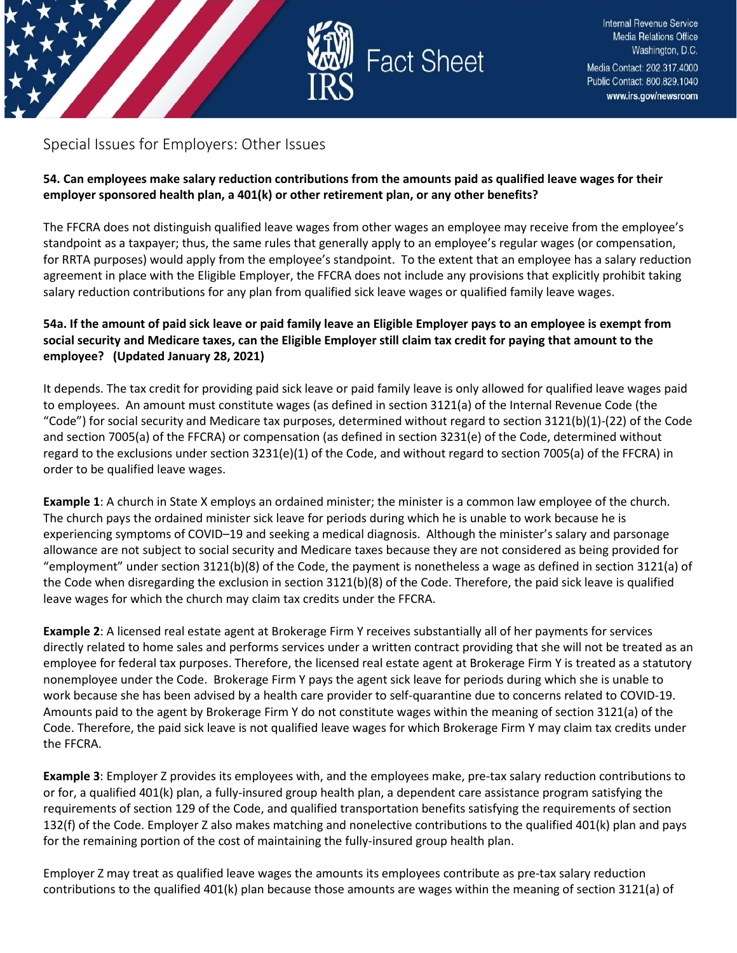

# <span id="page-29-0"></span>Special Issues for Employers: Other Issues

### **54. Can employees make salary reduction contributions from the amounts paid as qualified leave wages for their employer sponsored health plan, a 401(k) or other retirement plan, or any other benefits?**

The FFCRA does not distinguish qualified leave wages from other wages an employee may receive from the employee's standpoint as a taxpayer; thus, the same rules that generally apply to an employee's regular wages (or compensation, for RRTA purposes) would apply from the employee's standpoint. To the extent that an employee has a salary reduction agreement in place with the Eligible Employer, the FFCRA does not include any provisions that explicitly prohibit taking salary reduction contributions for any plan from qualified sick leave wages or qualified family leave wages.

# **54a. If the amount of paid sick leave or paid family leave an Eligible Employer pays to an employee is exempt from social security and Medicare taxes, can the Eligible Employer still claim tax credit for paying that amount to the employee? (Updated January 28, 2021)**

It depends. The tax credit for providing paid sick leave or paid family leave is only allowed for qualified leave wages paid to employees. An amount must constitute wages (as defined in section 3121(a) of the Internal Revenue Code (the "Code") for social security and Medicare tax purposes, determined without regard to section 3121(b)(1)-(22) of the Code and section 7005(a) of the FFCRA) or compensation (as defined in section 3231(e) of the Code, determined without regard to the exclusions under section 3231(e)(1) of the Code, and without regard to section 7005(a) of the FFCRA) in order to be qualified leave wages.

**Example 1**: A church in State X employs an ordained minister; the minister is a common law employee of the church. The church pays the ordained minister sick leave for periods during which he is unable to work because he is experiencing symptoms of COVID–19 and seeking a medical diagnosis. Although the minister's salary and parsonage allowance are not subject to social security and Medicare taxes because they are not considered as being provided for "employment" under section 3121(b)(8) of the Code, the payment is nonetheless a wage as defined in section 3121(a) of the Code when disregarding the exclusion in section 3121(b)(8) of the Code. Therefore, the paid sick leave is qualified leave wages for which the church may claim tax credits under the FFCRA.

**Example 2**: A licensed real estate agent at Brokerage Firm Y receives substantially all of her payments for services directly related to home sales and performs services under a written contract providing that she will not be treated as an employee for federal tax purposes. Therefore, the licensed real estate agent at Brokerage Firm Y is treated as a statutory nonemployee under the Code. Brokerage Firm Y pays the agent sick leave for periods during which she is unable to work because she has been advised by a health care provider to self-quarantine due to concerns related to COVID-19. Amounts paid to the agent by Brokerage Firm Y do not constitute wages within the meaning of section 3121(a) of the Code. Therefore, the paid sick leave is not qualified leave wages for which Brokerage Firm Y may claim tax credits under the FFCRA.

**Example 3**: Employer Z provides its employees with, and the employees make, pre-tax salary reduction contributions to or for, a qualified 401(k) plan, a fully-insured group health plan, a dependent care assistance program satisfying the requirements of section 129 of the Code, and qualified transportation benefits satisfying the requirements of section 132(f) of the Code. Employer Z also makes matching and nonelective contributions to the qualified 401(k) plan and pays for the remaining portion of the cost of maintaining the fully-insured group health plan.

Employer Z may treat as qualified leave wages the amounts its employees contribute as pre-tax salary reduction contributions to the qualified 401(k) plan because those amounts are wages within the meaning of section 3121(a) of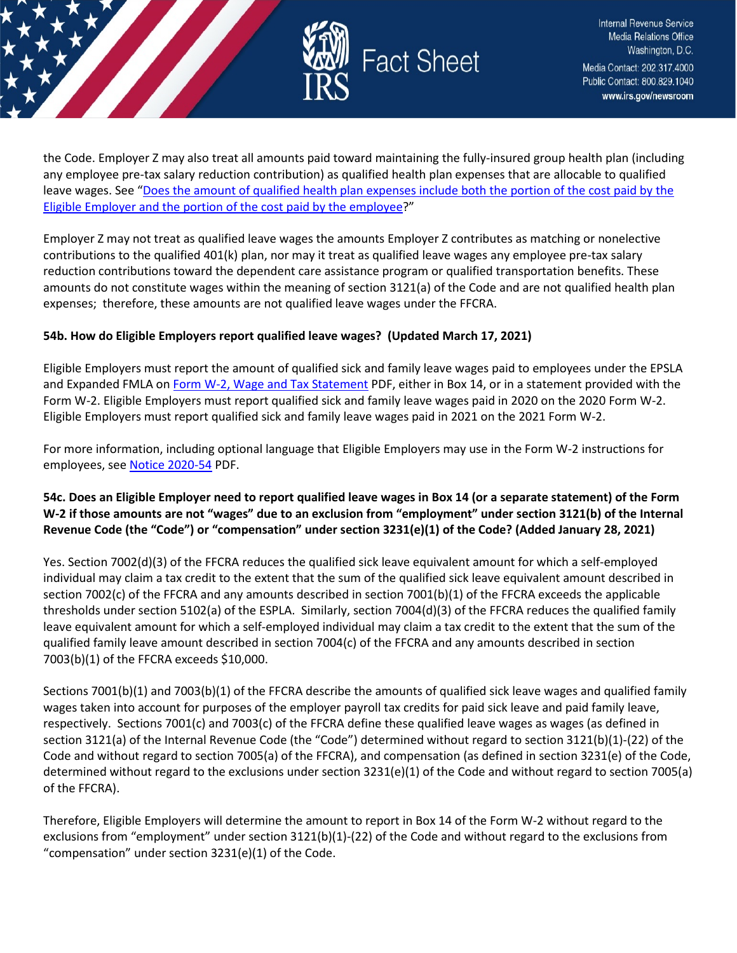

the Code. Employer Z may also treat all amounts paid toward maintaining the fully-insured group health plan (including any employee pre-tax salary reduction contribution) as qualified health plan expenses that are allocable to qualified leave wages. See "Does the amount of qualified health plan expenses include both the portion of the cost paid by the [Eligible Employer and the portion of the cost paid by the employee?](https://www.irs.gov/newsroom/determining-the-amount-of-allocable-qualified-health-plan-expenses#does-amount-qualified-health-plan-expenses-include-both-portion-cost-paid-by-eligible-employer-and-portion)"

Employer Z may not treat as qualified leave wages the amounts Employer Z contributes as matching or nonelective contributions to the qualified 401(k) plan, nor may it treat as qualified leave wages any employee pre-tax salary reduction contributions toward the dependent care assistance program or qualified transportation benefits. These amounts do not constitute wages within the meaning of section 3121(a) of the Code and are not qualified health plan expenses; therefore, these amounts are not qualified leave wages under the FFCRA.

### **54b. How do Eligible Employers report qualified leave wages? (Updated March 17, 2021)**

Eligible Employers must report the amount of qualified sick and family leave wages paid to employees under the EPSLA and Expanded FMLA on [Form W-2, Wage and Tax Statement](https://www.irs.gov/pub/irs-pdf/fw2.pdf) PDF, either in Box 14, or in a statement provided with the Form W-2. Eligible Employers must report qualified sick and family leave wages paid in 2020 on the 2020 Form W-2. Eligible Employers must report qualified sick and family leave wages paid in 2021 on the 2021 Form W-2.

For more information, including optional language that Eligible Employers may use in the Form W-2 instructions for employees, se[e Notice 2020-54](https://www.irs.gov/pub/irs-drop/n-20-54.pdf) PDF.

# **54c. Does an Eligible Employer need to report qualified leave wages in Box 14 (or a separate statement) of the Form W-2 if those amounts are not "wages" due to an exclusion from "employment" under section 3121(b) of the Internal Revenue Code (the "Code") or "compensation" under section 3231(e)(1) of the Code? (Added January 28, 2021)**

Yes. Section 7002(d)(3) of the FFCRA reduces the qualified sick leave equivalent amount for which a self-employed individual may claim a tax credit to the extent that the sum of the qualified sick leave equivalent amount described in section 7002(c) of the FFCRA and any amounts described in section 7001(b)(1) of the FFCRA exceeds the applicable thresholds under section 5102(a) of the ESPLA. Similarly, section 7004(d)(3) of the FFCRA reduces the qualified family leave equivalent amount for which a self-employed individual may claim a tax credit to the extent that the sum of the qualified family leave amount described in section 7004(c) of the FFCRA and any amounts described in section 7003(b)(1) of the FFCRA exceeds \$10,000.

Sections 7001(b)(1) and 7003(b)(1) of the FFCRA describe the amounts of qualified sick leave wages and qualified family wages taken into account for purposes of the employer payroll tax credits for paid sick leave and paid family leave, respectively. Sections 7001(c) and 7003(c) of the FFCRA define these qualified leave wages as wages (as defined in section 3121(a) of the Internal Revenue Code (the "Code") determined without regard to section 3121(b)(1)-(22) of the Code and without regard to section 7005(a) of the FFCRA), and compensation (as defined in section 3231(e) of the Code, determined without regard to the exclusions under section 3231(e)(1) of the Code and without regard to section 7005(a) of the FFCRA).

Therefore, Eligible Employers will determine the amount to report in Box 14 of the Form W-2 without regard to the exclusions from "employment" under section 3121(b)(1)-(22) of the Code and without regard to the exclusions from "compensation" under section 3231(e)(1) of the Code.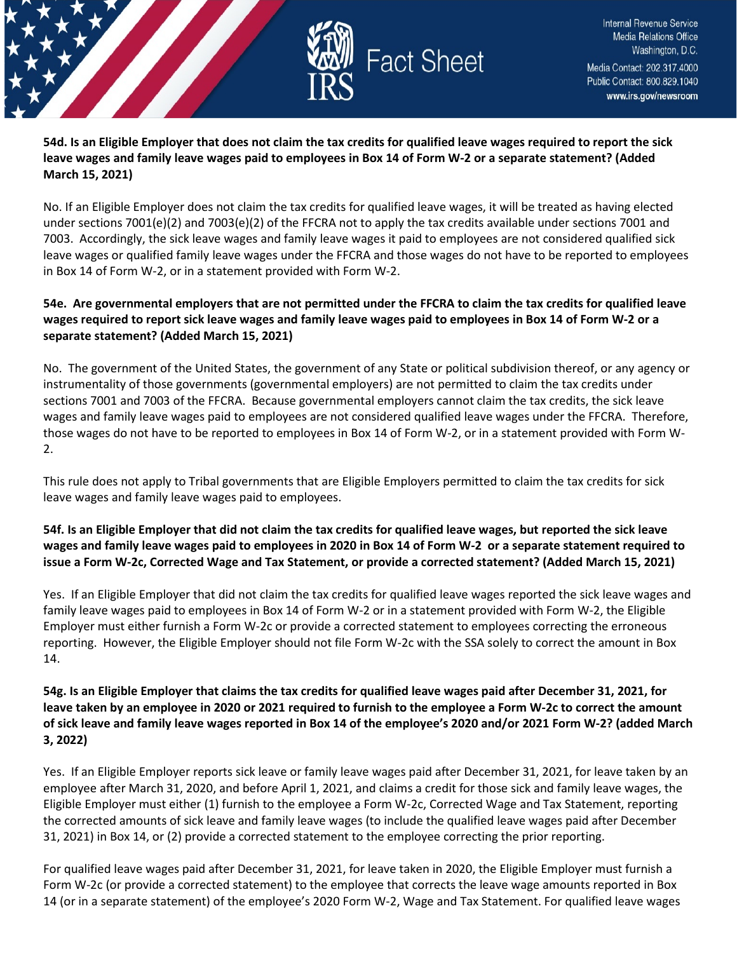

**54d. Is an Eligible Employer that does not claim the tax credits for qualified leave wages required to report the sick leave wages and family leave wages paid to employees in Box 14 of Form W-2 or a separate statement? (Added March 15, 2021)**

No. If an Eligible Employer does not claim the tax credits for qualified leave wages, it will be treated as having elected under sections 7001(e)(2) and 7003(e)(2) of the FFCRA not to apply the tax credits available under sections 7001 and 7003. Accordingly, the sick leave wages and family leave wages it paid to employees are not considered qualified sick leave wages or qualified family leave wages under the FFCRA and those wages do not have to be reported to employees in Box 14 of Form W-2, or in a statement provided with Form W-2.

### **54e. Are governmental employers that are not permitted under the FFCRA to claim the tax credits for qualified leave wages required to report sick leave wages and family leave wages paid to employees in Box 14 of Form W-2 or a separate statement? (Added March 15, 2021)**

No. The government of the United States, the government of any State or political subdivision thereof, or any agency or instrumentality of those governments (governmental employers) are not permitted to claim the tax credits under sections 7001 and 7003 of the FFCRA. Because governmental employers cannot claim the tax credits, the sick leave wages and family leave wages paid to employees are not considered qualified leave wages under the FFCRA. Therefore, those wages do not have to be reported to employees in Box 14 of Form W-2, or in a statement provided with Form W-2.

This rule does not apply to Tribal governments that are Eligible Employers permitted to claim the tax credits for sick leave wages and family leave wages paid to employees.

# **54f. Is an Eligible Employer that did not claim the tax credits for qualified leave wages, but reported the sick leave wages and family leave wages paid to employees in 2020 in Box 14 of Form W-2 or a separate statement required to issue a Form W-2c, Corrected Wage and Tax Statement, or provide a corrected statement? (Added March 15, 2021)**

Yes. If an Eligible Employer that did not claim the tax credits for qualified leave wages reported the sick leave wages and family leave wages paid to employees in Box 14 of Form W-2 or in a statement provided with Form W-2, the Eligible Employer must either furnish a Form W-2c or provide a corrected statement to employees correcting the erroneous reporting. However, the Eligible Employer should not file Form W-2c with the SSA solely to correct the amount in Box 14.

### **54g. Is an Eligible Employer that claims the tax credits for qualified leave wages paid after December 31, 2021, for leave taken by an employee in 2020 or 2021 required to furnish to the employee a Form W-2c to correct the amount of sick leave and family leave wages reported in Box 14 of the employee's 2020 and/or 2021 Form W-2? (added March 3, 2022)**

Yes. If an Eligible Employer reports sick leave or family leave wages paid after December 31, 2021, for leave taken by an employee after March 31, 2020, and before April 1, 2021, and claims a credit for those sick and family leave wages, the Eligible Employer must either (1) furnish to the employee a Form W-2c, Corrected Wage and Tax Statement, reporting the corrected amounts of sick leave and family leave wages (to include the qualified leave wages paid after December 31, 2021) in Box 14, or (2) provide a corrected statement to the employee correcting the prior reporting.

For qualified leave wages paid after December 31, 2021, for leave taken in 2020, the Eligible Employer must furnish a Form W-2c (or provide a corrected statement) to the employee that corrects the leave wage amounts reported in Box 14 (or in a separate statement) of the employee's 2020 Form W-2, Wage and Tax Statement. For qualified leave wages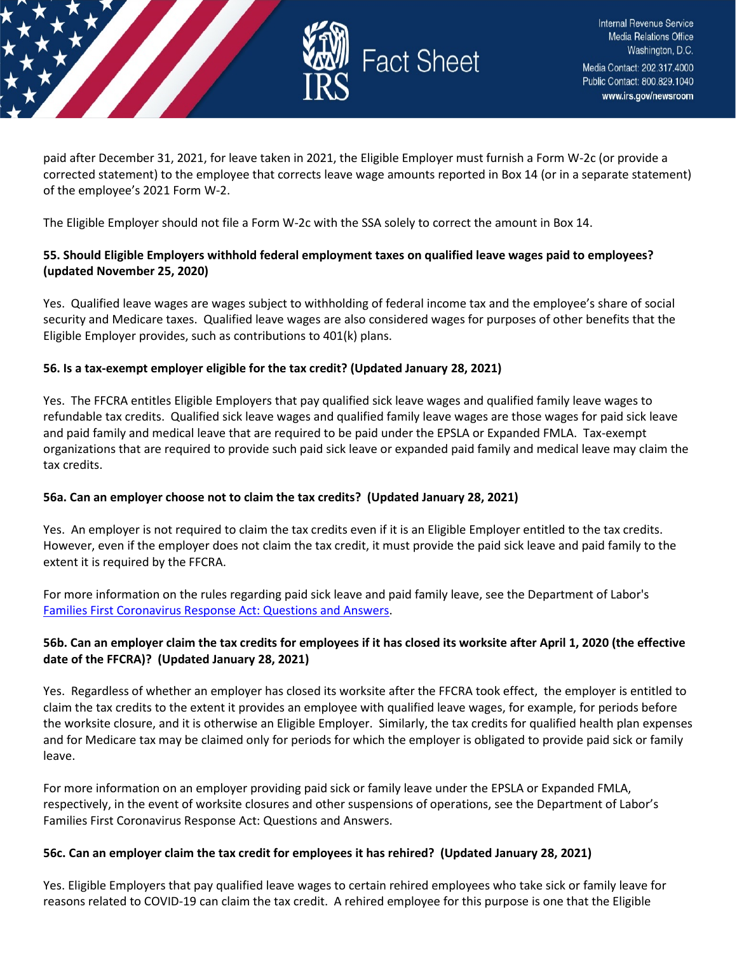

paid after December 31, 2021, for leave taken in 2021, the Eligible Employer must furnish a Form W-2c (or provide a corrected statement) to the employee that corrects leave wage amounts reported in Box 14 (or in a separate statement) of the employee's 2021 Form W-2.

The Eligible Employer should not file a Form W-2c with the SSA solely to correct the amount in Box 14.

### **55. Should Eligible Employers withhold federal employment taxes on qualified leave wages paid to employees? (updated November 25, 2020)**

Yes. Qualified leave wages are wages subject to withholding of federal income tax and the employee's share of social security and Medicare taxes. Qualified leave wages are also considered wages for purposes of other benefits that the Eligible Employer provides, such as contributions to 401(k) plans.

### **56. Is a tax-exempt employer eligible for the tax credit? (Updated January 28, 2021)**

Yes. The FFCRA entitles Eligible Employers that pay qualified sick leave wages and qualified family leave wages to refundable tax credits. Qualified sick leave wages and qualified family leave wages are those wages for paid sick leave and paid family and medical leave that are required to be paid under the EPSLA or Expanded FMLA. Tax-exempt organizations that are required to provide such paid sick leave or expanded paid family and medical leave may claim the tax credits.

### **56a. Can an employer choose not to claim the tax credits? (Updated January 28, 2021)**

Yes. An employer is not required to claim the tax credits even if it is an Eligible Employer entitled to the tax credits. However, even if the employer does not claim the tax credit, it must provide the paid sick leave and paid family to the extent it is required by the FFCRA.

For more information on the rules regarding paid sick leave and paid family leave, see the Department of Labor's [Families First Coronavirus Response Act: Questions and Answers.](https://www.dol.gov/agencies/whd/pandemic/ffcra-questions)

### **56b. Can an employer claim the tax credits for employees if it has closed its worksite after April 1, 2020 (the effective date of the FFCRA)? (Updated January 28, 2021)**

Yes. Regardless of whether an employer has closed its worksite after the FFCRA took effect, the employer is entitled to claim the tax credits to the extent it provides an employee with qualified leave wages, for example, for periods before the worksite closure, and it is otherwise an Eligible Employer. Similarly, the tax credits for qualified health plan expenses and for Medicare tax may be claimed only for periods for which the employer is obligated to provide paid sick or family leave.

For more information on an employer providing paid sick or family leave under the EPSLA or Expanded FMLA, respectively, in the event of worksite closures and other suspensions of operations, see the Department of Labor's Families First Coronavirus Response Act: Questions and Answers.

### **56c. Can an employer claim the tax credit for employees it has rehired? (Updated January 28, 2021)**

Yes. Eligible Employers that pay qualified leave wages to certain rehired employees who take sick or family leave for reasons related to COVID-19 can claim the tax credit. A rehired employee for this purpose is one that the Eligible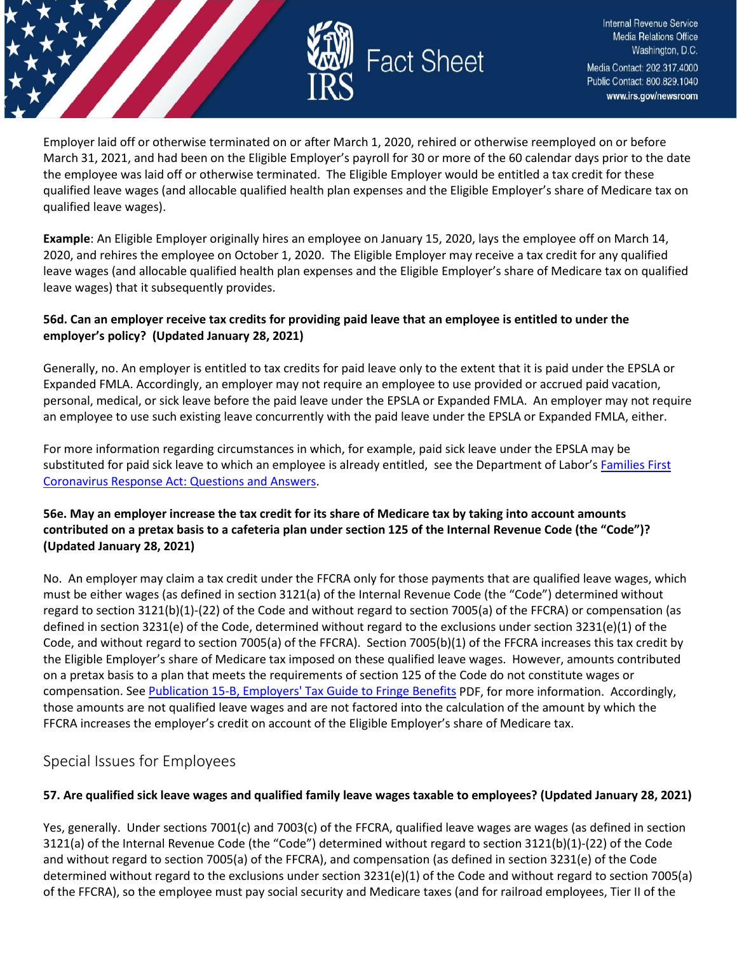

Employer laid off or otherwise terminated on or after March 1, 2020, rehired or otherwise reemployed on or before March 31, 2021, and had been on the Eligible Employer's payroll for 30 or more of the 60 calendar days prior to the date the employee was laid off or otherwise terminated. The Eligible Employer would be entitled a tax credit for these qualified leave wages (and allocable qualified health plan expenses and the Eligible Employer's share of Medicare tax on qualified leave wages).

**Example**: An Eligible Employer originally hires an employee on January 15, 2020, lays the employee off on March 14, 2020, and rehires the employee on October 1, 2020. The Eligible Employer may receive a tax credit for any qualified leave wages (and allocable qualified health plan expenses and the Eligible Employer's share of Medicare tax on qualified leave wages) that it subsequently provides.

### **56d. Can an employer receive tax credits for providing paid leave that an employee is entitled to under the employer's policy? (Updated January 28, 2021)**

Generally, no. An employer is entitled to tax credits for paid leave only to the extent that it is paid under the EPSLA or Expanded FMLA. Accordingly, an employer may not require an employee to use provided or accrued paid vacation, personal, medical, or sick leave before the paid leave under the EPSLA or Expanded FMLA. An employer may not require an employee to use such existing leave concurrently with the paid leave under the EPSLA or Expanded FMLA, either.

For more information regarding circumstances in which, for example, paid sick leave under the EPSLA may be substituted for paid sick leave to which an employee is already entitled, see the Department of Labor's [Families First](https://www.dol.gov/agencies/whd/pandemic/ffcra-questions)  [Coronavirus Response Act: Questions and Answers.](https://www.dol.gov/agencies/whd/pandemic/ffcra-questions)

# **56e. May an employer increase the tax credit for its share of Medicare tax by taking into account amounts contributed on a pretax basis to a cafeteria plan under section 125 of the Internal Revenue Code (the "Code")? (Updated January 28, 2021)**

No. An employer may claim a tax credit under the FFCRA only for those payments that are qualified leave wages, which must be either wages (as defined in section 3121(a) of the Internal Revenue Code (the "Code") determined without regard to section 3121(b)(1)-(22) of the Code and without regard to section 7005(a) of the FFCRA) or compensation (as defined in section 3231(e) of the Code, determined without regard to the exclusions under section 3231(e)(1) of the Code, and without regard to section 7005(a) of the FFCRA). Section 7005(b)(1) of the FFCRA increases this tax credit by the Eligible Employer's share of Medicare tax imposed on these qualified leave wages. However, amounts contributed on a pretax basis to a plan that meets the requirements of section 125 of the Code do not constitute wages or compensation. Se[e Publication 15-B, Employers' Tax Guide to Fringe Benefits](https://www.irs.gov/pub/irs-pdf/p15b.pdf) PDF, for more information. Accordingly, those amounts are not qualified leave wages and are not factored into the calculation of the amount by which the FFCRA increases the employer's credit on account of the Eligible Employer's share of Medicare tax.

# <span id="page-33-0"></span>Special Issues for Employees

# **57. Are qualified sick leave wages and qualified family leave wages taxable to employees? (Updated January 28, 2021)**

Yes, generally. Under sections 7001(c) and 7003(c) of the FFCRA, qualified leave wages are wages (as defined in section 3121(a) of the Internal Revenue Code (the "Code") determined without regard to section 3121(b)(1)-(22) of the Code and without regard to section 7005(a) of the FFCRA), and compensation (as defined in section 3231(e) of the Code determined without regard to the exclusions under section 3231(e)(1) of the Code and without regard to section 7005(a) of the FFCRA), so the employee must pay social security and Medicare taxes (and for railroad employees, Tier II of the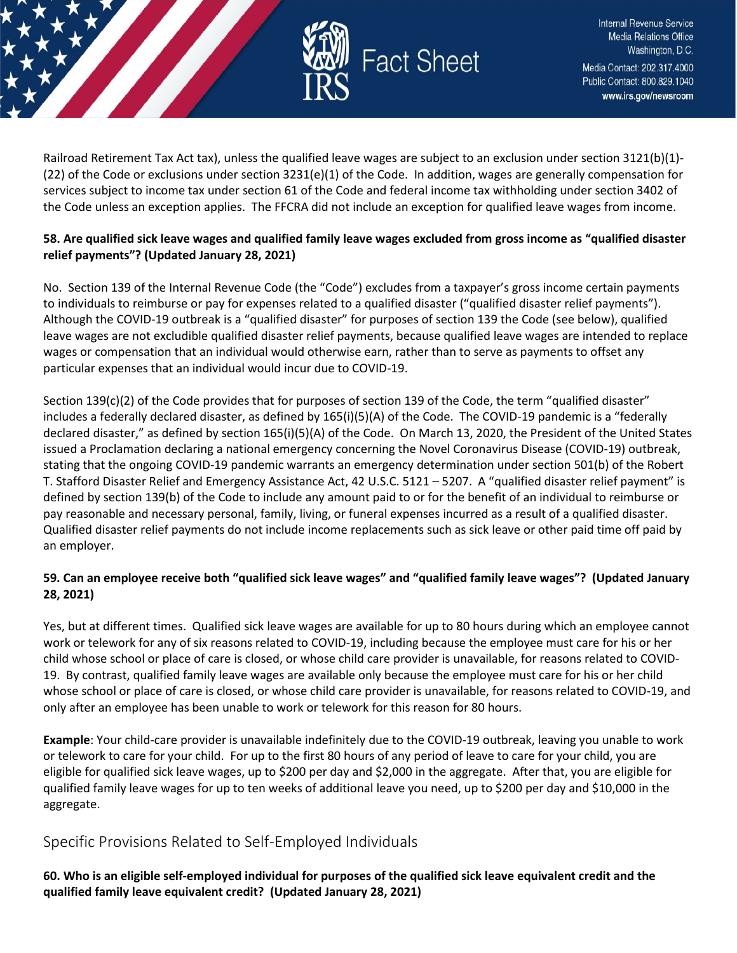

Railroad Retirement Tax Act tax), unless the qualified leave wages are subject to an exclusion under section 3121(b)(1)-  $(22)$  of the Code or exclusions under section 3231(e)(1) of the Code. In addition, wages are generally compensation for services subject to income tax under section 61 of the Code and federal income tax withholding under section 3402 of the Code unless an exception applies. The FFCRA did not include an exception for qualified leave wages from income.

### **58. Are qualified sick leave wages and qualified family leave wages excluded from gross income as "qualified disaster relief payments"? (Updated January 28, 2021)**

No. Section 139 of the Internal Revenue Code (the "Code") excludes from a taxpayer's gross income certain payments to individuals to reimburse or pay for expenses related to a qualified disaster ("qualified disaster relief payments"). Although the COVID-19 outbreak is a "qualified disaster" for purposes of section 139 the Code (see below), qualified leave wages are not excludible qualified disaster relief payments, because qualified leave wages are intended to replace wages or compensation that an individual would otherwise earn, rather than to serve as payments to offset any particular expenses that an individual would incur due to COVID-19.

Section 139(c)(2) of the Code provides that for purposes of section 139 of the Code, the term "qualified disaster" includes a federally declared disaster, as defined by 165(i)(5)(A) of the Code. The COVID-19 pandemic is a "federally declared disaster," as defined by section 165(i)(5)(A) of the Code. On March 13, 2020, the President of the United States issued a Proclamation declaring a national emergency concerning the Novel Coronavirus Disease (COVID-19) outbreak, stating that the ongoing COVID-19 pandemic warrants an emergency determination under section 501(b) of the Robert T. Stafford Disaster Relief and Emergency Assistance Act, 42 U.S.C. 5121 – 5207. A "qualified disaster relief payment" is defined by section 139(b) of the Code to include any amount paid to or for the benefit of an individual to reimburse or pay reasonable and necessary personal, family, living, or funeral expenses incurred as a result of a qualified disaster. Qualified disaster relief payments do not include income replacements such as sick leave or other paid time off paid by an employer.

# **59. Can an employee receive both "qualified sick leave wages" and "qualified family leave wages"? (Updated January 28, 2021)**

Yes, but at different times. Qualified sick leave wages are available for up to 80 hours during which an employee cannot work or telework for any of six reasons related to COVID-19, including because the employee must care for his or her child whose school or place of care is closed, or whose child care provider is unavailable, for reasons related to COVID-19. By contrast, qualified family leave wages are available only because the employee must care for his or her child whose school or place of care is closed, or whose child care provider is unavailable, for reasons related to COVID-19, and only after an employee has been unable to work or telework for this reason for 80 hours.

**Example**: Your child-care provider is unavailable indefinitely due to the COVID-19 outbreak, leaving you unable to work or telework to care for your child. For up to the first 80 hours of any period of leave to care for your child, you are eligible for qualified sick leave wages, up to \$200 per day and \$2,000 in the aggregate. After that, you are eligible for qualified family leave wages for up to ten weeks of additional leave you need, up to \$200 per day and \$10,000 in the aggregate.

# <span id="page-34-0"></span>Specific Provisions Related to Self-Employed Individuals

**60. Who is an eligible self-employed individual for purposes of the qualified sick leave equivalent credit and the qualified family leave equivalent credit? (Updated January 28, 2021)**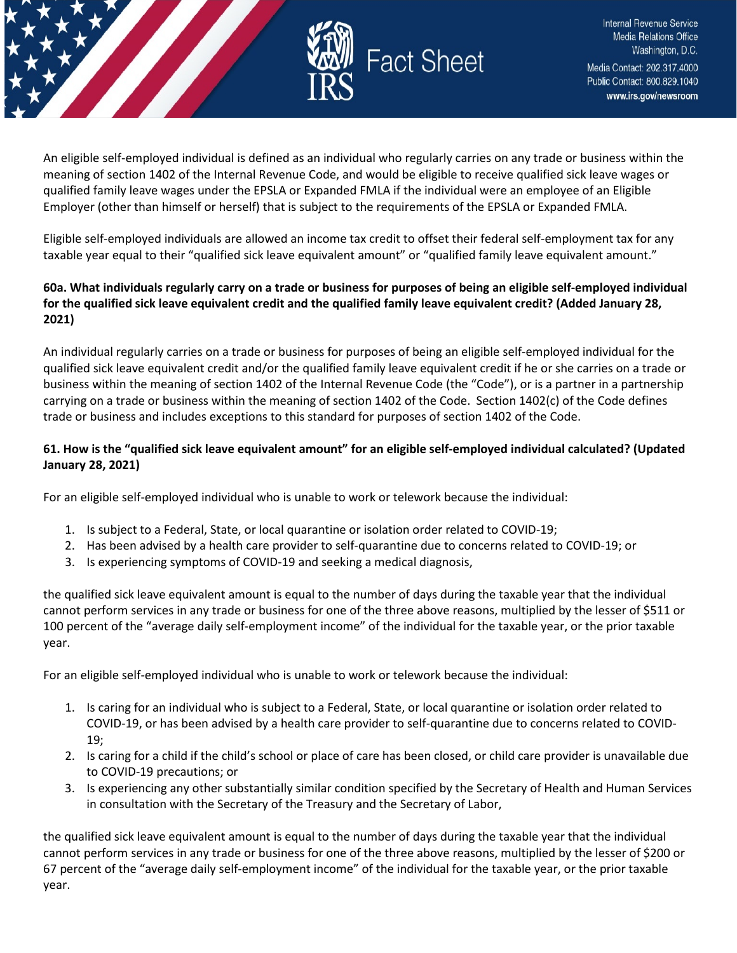

An eligible self-employed individual is defined as an individual who regularly carries on any trade or business within the meaning of section 1402 of the Internal Revenue Code, and would be eligible to receive qualified sick leave wages or qualified family leave wages under the EPSLA or Expanded FMLA if the individual were an employee of an Eligible Employer (other than himself or herself) that is subject to the requirements of the EPSLA or Expanded FMLA.

Eligible self-employed individuals are allowed an income tax credit to offset their federal self-employment tax for any taxable year equal to their "qualified sick leave equivalent amount" or "qualified family leave equivalent amount."

### **60a. What individuals regularly carry on a trade or business for purposes of being an eligible self-employed individual for the qualified sick leave equivalent credit and the qualified family leave equivalent credit? (Added January 28, 2021)**

An individual regularly carries on a trade or business for purposes of being an eligible self-employed individual for the qualified sick leave equivalent credit and/or the qualified family leave equivalent credit if he or she carries on a trade or business within the meaning of section 1402 of the Internal Revenue Code (the "Code"), or is a partner in a partnership carrying on a trade or business within the meaning of section 1402 of the Code. Section 1402(c) of the Code defines trade or business and includes exceptions to this standard for purposes of section 1402 of the Code.

# **61. How is the "qualified sick leave equivalent amount" for an eligible self-employed individual calculated? (Updated January 28, 2021)**

For an eligible self-employed individual who is unable to work or telework because the individual:

- 1. Is subject to a Federal, State, or local quarantine or isolation order related to COVID-19;
- 2. Has been advised by a health care provider to self-quarantine due to concerns related to COVID-19; or
- 3. Is experiencing symptoms of COVID-19 and seeking a medical diagnosis,

the qualified sick leave equivalent amount is equal to the number of days during the taxable year that the individual cannot perform services in any trade or business for one of the three above reasons, multiplied by the lesser of \$511 or 100 percent of the "average daily self-employment income" of the individual for the taxable year, or the prior taxable year.

For an eligible self-employed individual who is unable to work or telework because the individual:

- 1. Is caring for an individual who is subject to a Federal, State, or local quarantine or isolation order related to COVID-19, or has been advised by a health care provider to self-quarantine due to concerns related to COVID-19;
- 2. Is caring for a child if the child's school or place of care has been closed, or child care provider is unavailable due to COVID-19 precautions; or
- 3. Is experiencing any other substantially similar condition specified by the Secretary of Health and Human Services in consultation with the Secretary of the Treasury and the Secretary of Labor,

the qualified sick leave equivalent amount is equal to the number of days during the taxable year that the individual cannot perform services in any trade or business for one of the three above reasons, multiplied by the lesser of \$200 or 67 percent of the "average daily self-employment income" of the individual for the taxable year, or the prior taxable year.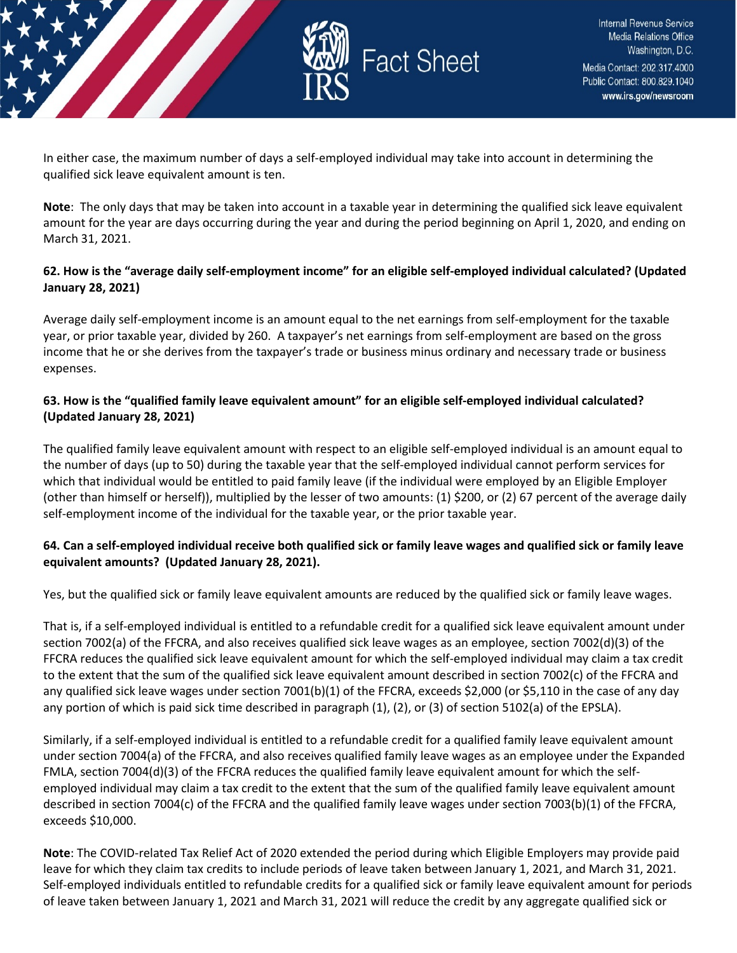

In either case, the maximum number of days a self-employed individual may take into account in determining the qualified sick leave equivalent amount is ten.

**Note**: The only days that may be taken into account in a taxable year in determining the qualified sick leave equivalent amount for the year are days occurring during the year and during the period beginning on April 1, 2020, and ending on March 31, 2021.

# **62. How is the "average daily self-employment income" for an eligible self-employed individual calculated? (Updated January 28, 2021)**

Average daily self-employment income is an amount equal to the net earnings from self-employment for the taxable year, or prior taxable year, divided by 260. A taxpayer's net earnings from self-employment are based on the gross income that he or she derives from the taxpayer's trade or business minus ordinary and necessary trade or business expenses.

# **63. How is the "qualified family leave equivalent amount" for an eligible self-employed individual calculated? (Updated January 28, 2021)**

The qualified family leave equivalent amount with respect to an eligible self-employed individual is an amount equal to the number of days (up to 50) during the taxable year that the self-employed individual cannot perform services for which that individual would be entitled to paid family leave (if the individual were employed by an Eligible Employer (other than himself or herself)), multiplied by the lesser of two amounts: (1) \$200, or (2) 67 percent of the average daily self-employment income of the individual for the taxable year, or the prior taxable year.

# **64. Can a self-employed individual receive both qualified sick or family leave wages and qualified sick or family leave equivalent amounts? (Updated January 28, 2021).**

Yes, but the qualified sick or family leave equivalent amounts are reduced by the qualified sick or family leave wages.

That is, if a self-employed individual is entitled to a refundable credit for a qualified sick leave equivalent amount under section 7002(a) of the FFCRA, and also receives qualified sick leave wages as an employee, section 7002(d)(3) of the FFCRA reduces the qualified sick leave equivalent amount for which the self-employed individual may claim a tax credit to the extent that the sum of the qualified sick leave equivalent amount described in section 7002(c) of the FFCRA and any qualified sick leave wages under section 7001(b)(1) of the FFCRA, exceeds \$2,000 (or \$5,110 in the case of any day any portion of which is paid sick time described in paragraph (1), (2), or (3) of section 5102(a) of the EPSLA).

Similarly, if a self-employed individual is entitled to a refundable credit for a qualified family leave equivalent amount under section 7004(a) of the FFCRA, and also receives qualified family leave wages as an employee under the Expanded FMLA, section 7004(d)(3) of the FFCRA reduces the qualified family leave equivalent amount for which the selfemployed individual may claim a tax credit to the extent that the sum of the qualified family leave equivalent amount described in section 7004(c) of the FFCRA and the qualified family leave wages under section 7003(b)(1) of the FFCRA, exceeds \$10,000.

**Note**: The COVID-related Tax Relief Act of 2020 extended the period during which Eligible Employers may provide paid leave for which they claim tax credits to include periods of leave taken between January 1, 2021, and March 31, 2021. Self-employed individuals entitled to refundable credits for a qualified sick or family leave equivalent amount for periods of leave taken between January 1, 2021 and March 31, 2021 will reduce the credit by any aggregate qualified sick or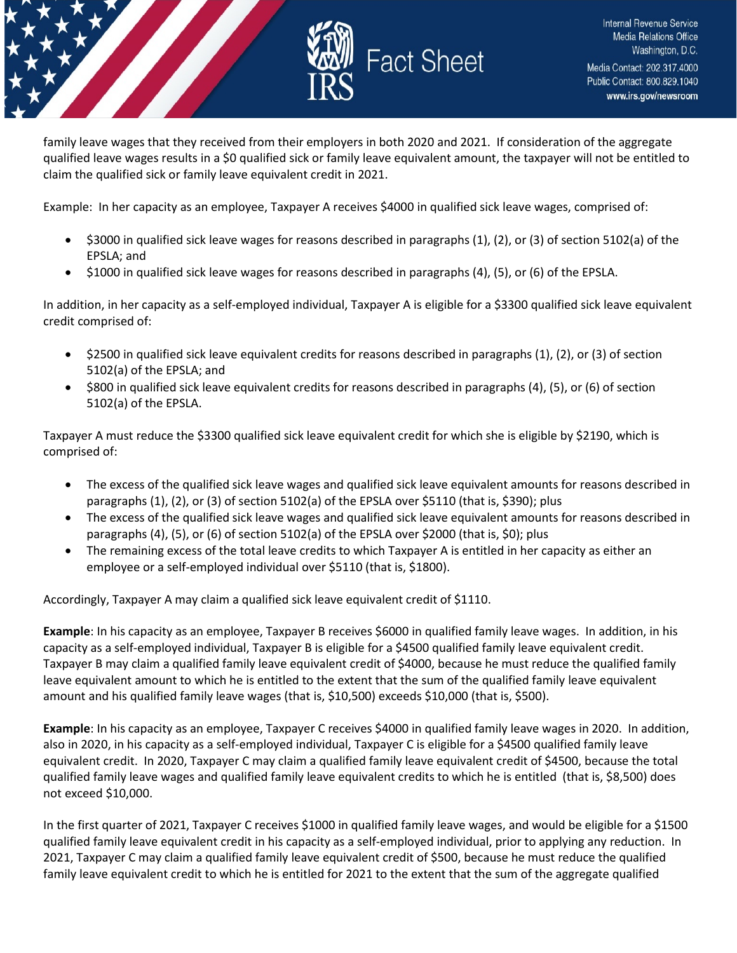

family leave wages that they received from their employers in both 2020 and 2021. If consideration of the aggregate qualified leave wages results in a \$0 qualified sick or family leave equivalent amount, the taxpayer will not be entitled to claim the qualified sick or family leave equivalent credit in 2021.

Example: In her capacity as an employee, Taxpayer A receives \$4000 in qualified sick leave wages, comprised of:

- \$3000 in qualified sick leave wages for reasons described in paragraphs (1), (2), or (3) of section 5102(a) of the EPSLA; and
- \$1000 in qualified sick leave wages for reasons described in paragraphs (4), (5), or (6) of the EPSLA.

In addition, in her capacity as a self-employed individual, Taxpayer A is eligible for a \$3300 qualified sick leave equivalent credit comprised of:

- \$2500 in qualified sick leave equivalent credits for reasons described in paragraphs (1), (2), or (3) of section 5102(a) of the EPSLA; and
- \$800 in qualified sick leave equivalent credits for reasons described in paragraphs (4), (5), or (6) of section 5102(a) of the EPSLA.

Taxpayer A must reduce the \$3300 qualified sick leave equivalent credit for which she is eligible by \$2190, which is comprised of:

- The excess of the qualified sick leave wages and qualified sick leave equivalent amounts for reasons described in paragraphs  $(1)$ ,  $(2)$ , or  $(3)$  of section 5102 $(a)$  of the EPSLA over \$5110 (that is, \$390); plus
- The excess of the qualified sick leave wages and qualified sick leave equivalent amounts for reasons described in paragraphs (4), (5), or (6) of section 5102(a) of the EPSLA over \$2000 (that is, \$0); plus
- The remaining excess of the total leave credits to which Taxpayer A is entitled in her capacity as either an employee or a self-employed individual over \$5110 (that is, \$1800).

Accordingly, Taxpayer A may claim a qualified sick leave equivalent credit of \$1110.

**Example**: In his capacity as an employee, Taxpayer B receives \$6000 in qualified family leave wages. In addition, in his capacity as a self-employed individual, Taxpayer B is eligible for a \$4500 qualified family leave equivalent credit. Taxpayer B may claim a qualified family leave equivalent credit of \$4000, because he must reduce the qualified family leave equivalent amount to which he is entitled to the extent that the sum of the qualified family leave equivalent amount and his qualified family leave wages (that is, \$10,500) exceeds \$10,000 (that is, \$500).

**Example**: In his capacity as an employee, Taxpayer C receives \$4000 in qualified family leave wages in 2020. In addition, also in 2020, in his capacity as a self-employed individual, Taxpayer C is eligible for a \$4500 qualified family leave equivalent credit. In 2020, Taxpayer C may claim a qualified family leave equivalent credit of \$4500, because the total qualified family leave wages and qualified family leave equivalent credits to which he is entitled (that is, \$8,500) does not exceed \$10,000.

In the first quarter of 2021, Taxpayer C receives \$1000 in qualified family leave wages, and would be eligible for a \$1500 qualified family leave equivalent credit in his capacity as a self-employed individual, prior to applying any reduction. In 2021, Taxpayer C may claim a qualified family leave equivalent credit of \$500, because he must reduce the qualified family leave equivalent credit to which he is entitled for 2021 to the extent that the sum of the aggregate qualified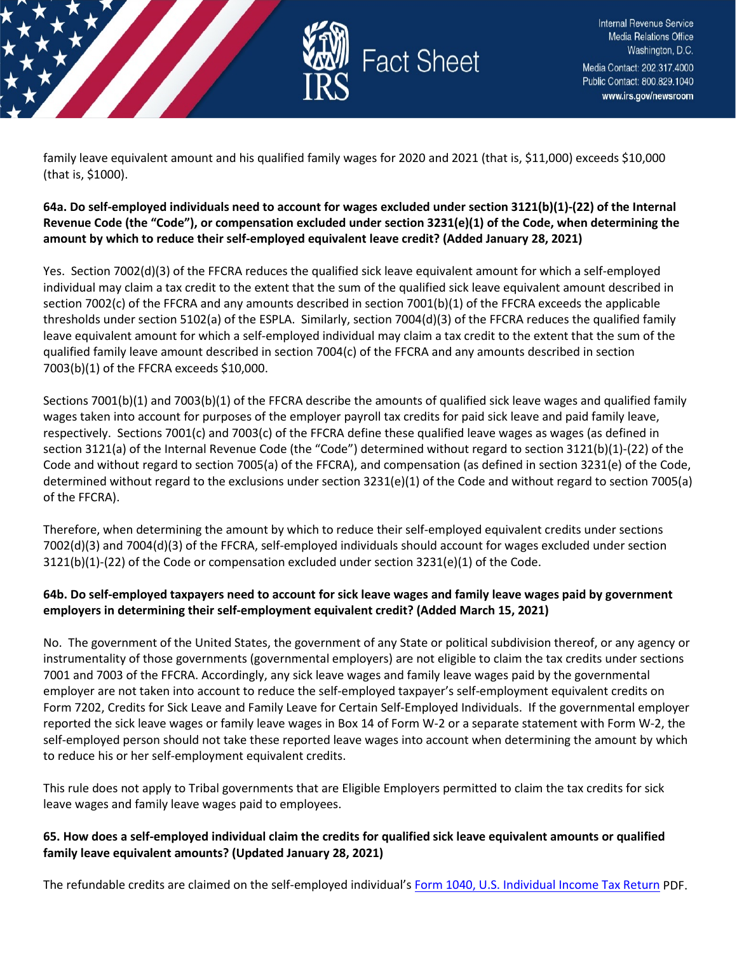

family leave equivalent amount and his qualified family wages for 2020 and 2021 (that is, \$11,000) exceeds \$10,000 (that is, \$1000).

# **64a. Do self-employed individuals need to account for wages excluded under section 3121(b)(1)-(22) of the Internal**  Revenue Code (the "Code"), or compensation excluded under section 3231(e)(1) of the Code, when determining the **amount by which to reduce their self-employed equivalent leave credit? (Added January 28, 2021)**

Yes. Section 7002(d)(3) of the FFCRA reduces the qualified sick leave equivalent amount for which a self-employed individual may claim a tax credit to the extent that the sum of the qualified sick leave equivalent amount described in section 7002(c) of the FFCRA and any amounts described in section 7001(b)(1) of the FFCRA exceeds the applicable thresholds under section 5102(a) of the ESPLA. Similarly, section 7004(d)(3) of the FFCRA reduces the qualified family leave equivalent amount for which a self-employed individual may claim a tax credit to the extent that the sum of the qualified family leave amount described in section 7004(c) of the FFCRA and any amounts described in section 7003(b)(1) of the FFCRA exceeds \$10,000.

Sections 7001(b)(1) and 7003(b)(1) of the FFCRA describe the amounts of qualified sick leave wages and qualified family wages taken into account for purposes of the employer payroll tax credits for paid sick leave and paid family leave, respectively. Sections 7001(c) and 7003(c) of the FFCRA define these qualified leave wages as wages (as defined in section 3121(a) of the Internal Revenue Code (the "Code") determined without regard to section 3121(b)(1)-(22) of the Code and without regard to section 7005(a) of the FFCRA), and compensation (as defined in section 3231(e) of the Code, determined without regard to the exclusions under section 3231(e)(1) of the Code and without regard to section 7005(a) of the FFCRA).

Therefore, when determining the amount by which to reduce their self-employed equivalent credits under sections 7002(d)(3) and 7004(d)(3) of the FFCRA, self-employed individuals should account for wages excluded under section 3121(b)(1)-(22) of the Code or compensation excluded under section 3231(e)(1) of the Code.

# **64b. Do self-employed taxpayers need to account for sick leave wages and family leave wages paid by government employers in determining their self-employment equivalent credit? (Added March 15, 2021)**

No. The government of the United States, the government of any State or political subdivision thereof, or any agency or instrumentality of those governments (governmental employers) are not eligible to claim the tax credits under sections 7001 and 7003 of the FFCRA. Accordingly, any sick leave wages and family leave wages paid by the governmental employer are not taken into account to reduce the self-employed taxpayer's self-employment equivalent credits on Form 7202, Credits for Sick Leave and Family Leave for Certain Self-Employed Individuals. If the governmental employer reported the sick leave wages or family leave wages in Box 14 of Form W-2 or a separate statement with Form W-2, the self-employed person should not take these reported leave wages into account when determining the amount by which to reduce his or her self-employment equivalent credits.

This rule does not apply to Tribal governments that are Eligible Employers permitted to claim the tax credits for sick leave wages and family leave wages paid to employees.

# **65. How does a self-employed individual claim the credits for qualified sick leave equivalent amounts or qualified family leave equivalent amounts? (Updated January 28, 2021)**

The refundable credits are claimed on the self-employed individual'[s Form 1040, U.S. Individual Income Tax Return](https://www.irs.gov/pub/irs-pdf/f1040.pdf) PDF.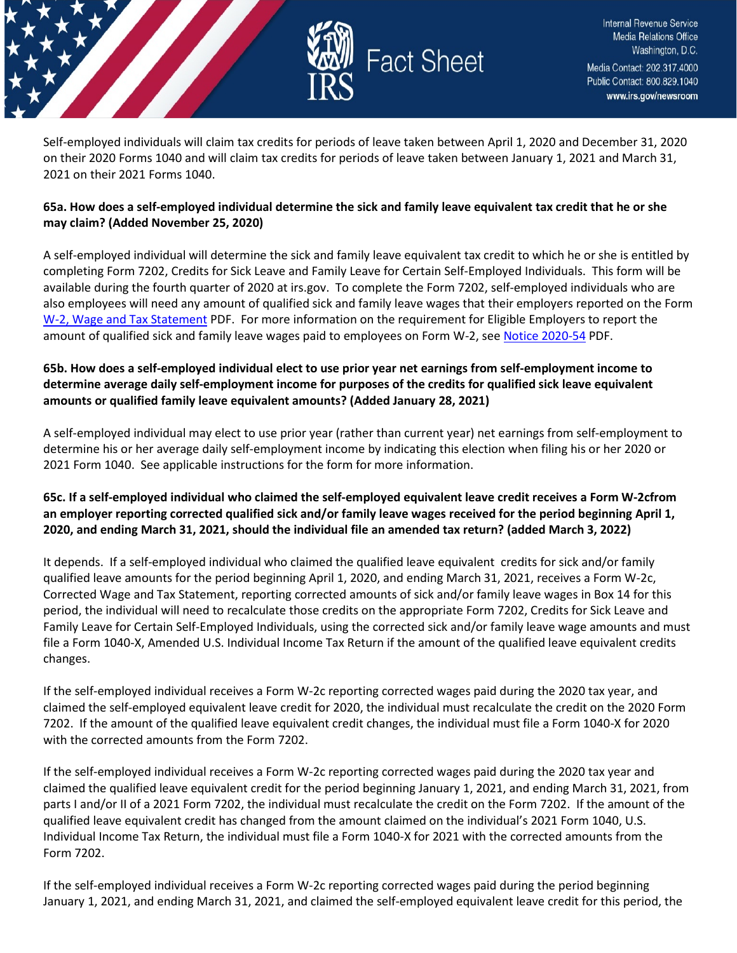

Self-employed individuals will claim tax credits for periods of leave taken between April 1, 2020 and December 31, 2020 on their 2020 Forms 1040 and will claim tax credits for periods of leave taken between January 1, 2021 and March 31, 2021 on their 2021 Forms 1040.

### **65a. How does a self-employed individual determine the sick and family leave equivalent tax credit that he or she may claim? (Added November 25, 2020)**

A self-employed individual will determine the sick and family leave equivalent tax credit to which he or she is entitled by completing Form 7202, Credits for Sick Leave and Family Leave for Certain Self-Employed Individuals. This form will be available during the fourth quarter of 2020 at irs.gov. To complete the Form 7202, self-employed individuals who are also employees will need any amount of qualified sick and family leave wages that their employers reported on the Form [W-2, Wage and Tax Statement](https://www.irs.gov/pub/irs-pdf/fw2.pdf) PDF. For more information on the requirement for Eligible Employers to report the amount of qualified sick and family leave wages paid to employees on Form W-2, see [Notice 2020-54](https://www.irs.gov/pub/irs-drop/n-20-54.pdf) PDF.

# **65b. How does a self-employed individual elect to use prior year net earnings from self-employment income to determine average daily self-employment income for purposes of the credits for qualified sick leave equivalent amounts or qualified family leave equivalent amounts? (Added January 28, 2021)**

A self-employed individual may elect to use prior year (rather than current year) net earnings from self-employment to determine his or her average daily self-employment income by indicating this election when filing his or her 2020 or 2021 Form 1040. See applicable instructions for the form for more information.

# **65c. If a self-employed individual who claimed the self-employed equivalent leave credit receives a Form W-2cfrom an employer reporting corrected qualified sick and/or family leave wages received for the period beginning April 1, 2020, and ending March 31, 2021, should the individual file an amended tax return? (added March 3, 2022)**

It depends. If a self-employed individual who claimed the qualified leave equivalent credits for sick and/or family qualified leave amounts for the period beginning April 1, 2020, and ending March 31, 2021, receives a Form W-2c, Corrected Wage and Tax Statement, reporting corrected amounts of sick and/or family leave wages in Box 14 for this period, the individual will need to recalculate those credits on the appropriate Form 7202, Credits for Sick Leave and Family Leave for Certain Self-Employed Individuals, using the corrected sick and/or family leave wage amounts and must file a Form 1040-X, Amended U.S. Individual Income Tax Return if the amount of the qualified leave equivalent credits changes.

If the self-employed individual receives a Form W-2c reporting corrected wages paid during the 2020 tax year, and claimed the self-employed equivalent leave credit for 2020, the individual must recalculate the credit on the 2020 Form 7202. If the amount of the qualified leave equivalent credit changes, the individual must file a Form 1040-X for 2020 with the corrected amounts from the Form 7202.

If the self-employed individual receives a Form W-2c reporting corrected wages paid during the 2020 tax year and claimed the qualified leave equivalent credit for the period beginning January 1, 2021, and ending March 31, 2021, from parts I and/or II of a 2021 Form 7202, the individual must recalculate the credit on the Form 7202. If the amount of the qualified leave equivalent credit has changed from the amount claimed on the individual's 2021 Form 1040, U.S. Individual Income Tax Return, the individual must file a Form 1040-X for 2021 with the corrected amounts from the Form 7202.

If the self-employed individual receives a Form W-2c reporting corrected wages paid during the period beginning January 1, 2021, and ending March 31, 2021, and claimed the self-employed equivalent leave credit for this period, the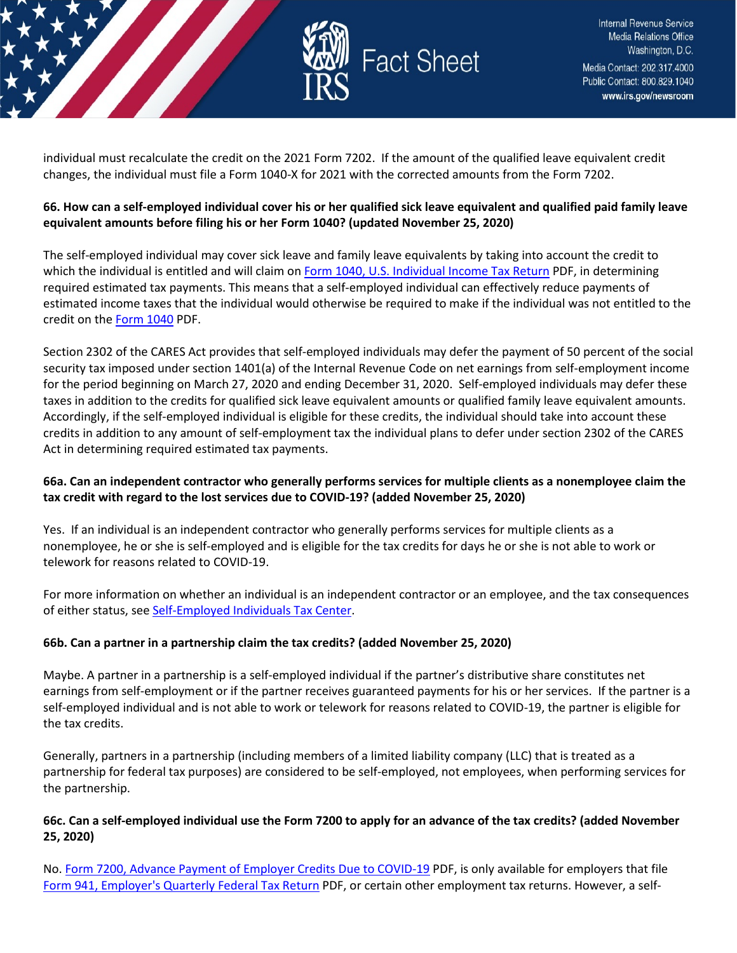

individual must recalculate the credit on the 2021 Form 7202. If the amount of the qualified leave equivalent credit changes, the individual must file a Form 1040-X for 2021 with the corrected amounts from the Form 7202.

# **66. How can a self-employed individual cover his or her qualified sick leave equivalent and qualified paid family leave equivalent amounts before filing his or her Form 1040? (updated November 25, 2020)**

The self-employed individual may cover sick leave and family leave equivalents by taking into account the credit to which the individual is entitled and will claim o[n Form 1040, U.S. Individual Income Tax Return](https://www.irs.gov/pub/irs-pdf/f1040.pdf) PDF, in determining required estimated tax payments. This means that a self-employed individual can effectively reduce payments of estimated income taxes that the individual would otherwise be required to make if the individual was not entitled to the credit on the [Form 1040](https://www.irs.gov/pub/irs-pdf/f1040.pdf) PDF.

Section 2302 of the CARES Act provides that self-employed individuals may defer the payment of 50 percent of the social security tax imposed under section 1401(a) of the Internal Revenue Code on net earnings from self-employment income for the period beginning on March 27, 2020 and ending December 31, 2020. Self-employed individuals may defer these taxes in addition to the credits for qualified sick leave equivalent amounts or qualified family leave equivalent amounts. Accordingly, if the self-employed individual is eligible for these credits, the individual should take into account these credits in addition to any amount of self-employment tax the individual plans to defer under section 2302 of the CARES Act in determining required estimated tax payments.

# **66a. Can an independent contractor who generally performs services for multiple clients as a nonemployee claim the tax credit with regard to the lost services due to COVID-19? (added November 25, 2020)**

Yes. If an individual is an independent contractor who generally performs services for multiple clients as a nonemployee, he or she is self-employed and is eligible for the tax credits for days he or she is not able to work or telework for reasons related to COVID-19.

For more information on whether an individual is an independent contractor or an employee, and the tax consequences of either status, see [Self-Employed Individuals Tax Center.](https://www.irs.gov/businesses/small-businesses-self-employed/self-employed-individuals-tax-center)

### **66b. Can a partner in a partnership claim the tax credits? (added November 25, 2020)**

Maybe. A partner in a partnership is a self-employed individual if the partner's distributive share constitutes net earnings from self-employment or if the partner receives guaranteed payments for his or her services. If the partner is a self-employed individual and is not able to work or telework for reasons related to COVID-19, the partner is eligible for the tax credits.

Generally, partners in a partnership (including members of a limited liability company (LLC) that is treated as a partnership for federal tax purposes) are considered to be self-employed, not employees, when performing services for the partnership.

### **66c. Can a self-employed individual use the Form 7200 to apply for an advance of the tax credits? (added November 25, 2020)**

No. [Form 7200, Advance Payment of Employer Credits Due to COVID-19](https://www.irs.gov/pub/irs-pdf/f7200.pdf) PDF, is only available for employers that file [Form 941, Employer's Quarterly Federal Tax Return](https://www.irs.gov/pub/irs-pdf/f941.pdf) PDF, or certain other employment tax returns. However, a self-